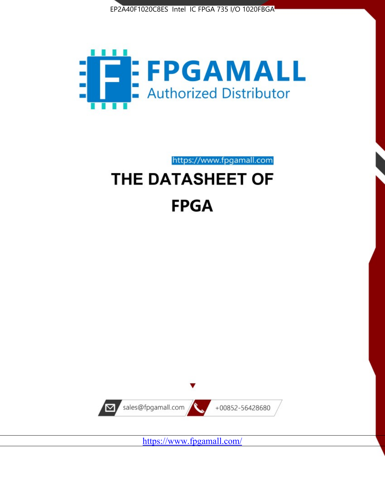



https://www.fpgamall.com THE DATASHEET OF

# **FPGA**



<https://www.fpgamall.com/>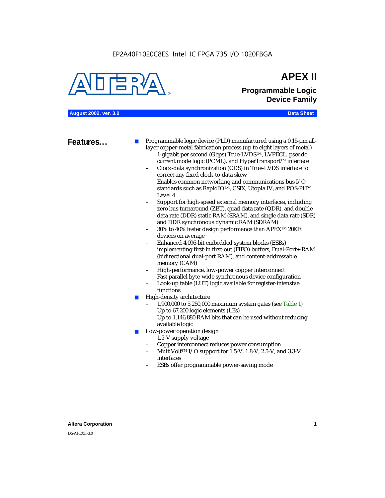### EP2A40F1020C8ES Intel IC FPGA 735 I/O 1020FBGA



## **APEX II Programmable Logic Device Family**

**August 2002, ver. 3.0 Data Sheet**

**Features...** ■ Programmable logic device (PLD) manufactured using a 0.15-µm alllayer copper-metal fabrication process (up to eight layers of metal)

- 1-gigabit per second (Gbps) True-LVDSTM, LVPECL, pseudo current mode logic (PCML), and HyperTransport<sup>™</sup> interface
- Clock-data synchronization (CDS) in True-LVDS interface to correct any fixed clock-to-data skew
- Enables common networking and communications bus I/O standards such as RapidIOTM, CSIX, Utopia IV, and POS-PHY Level 4
- Support for high-speed external memory interfaces, including zero bus turnaround (ZBT), quad data rate (QDR), and double data rate (DDR) static RAM (SRAM), and single data rate (SDR) and DDR synchronous dynamic RAM (SDRAM)
- 30% to 40% faster design performance than APEX<sup>™</sup> 20KE devices on average
- Enhanced 4,096-bit embedded system blocks (ESBs) implementing first-in first-out (FIFO) buffers, Dual-Port+ RAM (bidirectional dual-port RAM), and content-addressable memory (CAM)
- High-performance, low-power copper interconnect
- Fast parallel byte-wide synchronous device configuration
- Look-up table (LUT) logic available for register-intensive functions
- High-density architecture
	- 1,900,000 to 5,250,000 maximum system gates (see Table 1)
	- Up to 67,200 logic elements (LEs)
	- Up to 1,146,880 RAM bits that can be used without reducing available logic
- Low-power operation design
	- 1.5-V supply voltage
	- Copper interconnect reduces power consumption
	- MultiVolt<sup>™</sup> I/O support for 1.5-V, 1.8-V, 2.5-V, and 3.3-V interfaces
	- ESBs offer programmable power-saving mode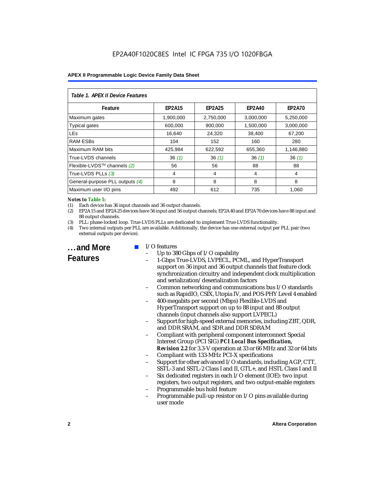| Table 1. APEX II Device Features |               |               |               |               |  |  |
|----------------------------------|---------------|---------------|---------------|---------------|--|--|
| Feature                          | <b>EP2A15</b> | <b>EP2A25</b> | <b>EP2A40</b> | <b>EP2A70</b> |  |  |
| Maximum gates                    | 1,900,000     | 2,750,000     | 3,000,000     | 5,250,000     |  |  |
| <b>Typical gates</b>             | 600,000       | 900,000       | 1,500,000     | 3,000,000     |  |  |
| <b>LEs</b>                       | 16,640        | 24,320        | 38,400        | 67,200        |  |  |
| <b>RAM ESBs</b>                  | 104           | 152           | 160           | 280           |  |  |
| Maximum RAM bits                 | 425,984       | 622,592       | 655,360       | 1,146,880     |  |  |
| True-LVDS channels               | 36(1)         | 36(1)         | 36(1)         | 36(1)         |  |  |
| Flexible-LVDS™ channels (2)      | 56            | 56            | 88            | 88            |  |  |
| True-LVDS PLLs (3)               | 4             | 4             | 4             | 4             |  |  |
| General-purpose PLL outputs (4)  | 8             | 8             | 8             | 8             |  |  |
| Maximum user I/O pins            | 492           | 612           | 735           | 1,060         |  |  |

#### *Notes to Table 1:*

(1) Each device has 36 input channels and 36 output channels.

(2) EP2A15 and EP2A25 devices have 56 input and 56 output channels; EP2A40 and EP2A70 devices have 88 input and 88 output channels.

(3) PLL: phase-locked loop. True-LVDS PLLs are dedicated to implement True-LVDS functionality.

(4) Two internal outputs per PLL are available. Additionally, the device has one external output per PLL pair (two external outputs per device).

**...and More Features**

#### I/O features

- Up to 380 Gbps of I/O capability
- 1-Gbps True-LVDS, LVPECL, PCML, and HyperTransport support on 36 input and 36 output channels that feature clock synchronization circuitry and independent clock multiplication and serialization/deserialization factors
- Common networking and communications bus I/O standards such as RapidIO, CSIX, Utopia IV, and POS-PHY Level 4 enabled
- 400-megabits per second (Mbps) Flexible-LVDS and HyperTransport support on up to 88 input and 88 output channels (input channels also support LVPECL)
- Support for high-speed external memories, including ZBT, QDR, and DDR SRAM, and SDR and DDR SDRAM
- Compliant with peripheral component interconnect Special Interest Group (PCI SIG) *PCI Local Bus Specification, Revision 2.2* for 3.3-V operation at 33 or 66 MHz and 32 or 64 bits
- Compliant with 133-MHz PCI-X specifications
- Support for other advanced I/O standards, including AGP, CTT, SSTL-3 and SSTL-2 Class I and II, GTL+, and HSTL Class I and II
- Six dedicated registers in each I/O element (IOE): two input registers, two output registers, and two output-enable registers
- Programmable bus hold feature
- Programmable pull-up resistor on I/O pins available during user mode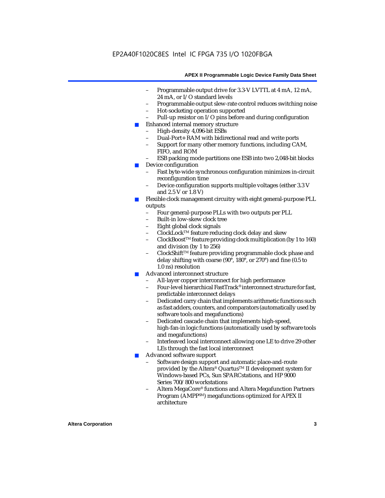- Programmable output drive for 3.3-V LVTTL at 4 mA, 12 mA, 24 mA, or I/O standard levels
- Programmable output slew-rate control reduces switching noise
- Hot-socketing operation supported
- Pull-up resistor on I/O pins before and during configuration
- Enhanced internal memory structure
	- High-density 4,096-bit ESBs
	- Dual-Port+ RAM with bidirectional read and write ports
	- Support for many other memory functions, including CAM, FIFO, and ROM
	- ESB packing mode partitions one ESB into two 2,048-bit blocks
- Device configuration
	- Fast byte-wide synchronous configuration minimizes in-circuit reconfiguration time
	- Device configuration supports multiple voltages (either 3.3 V and 2.5 V or 1.8 V)
- Flexible clock management circuitry with eight general-purpose PLL outputs
	- Four general-purpose PLLs with two outputs per PLL
	- Built-in low-skew clock tree
	- Eight global clock signals
	- ClockLockTM feature reducing clock delay and skew
	- ClockBoostTM feature providing clock multiplication (by 1 to 160) and division (by 1 to 256)
	- ClockShift™ feature providing programmable clock phase and delay shifting with coarse (90°, 180°, or 270°) and fine (0.5 to 1.0 ns) resolution
- Advanced interconnect structure
	- All-layer copper interconnect for high performance
	- Four-level hierarchical FastTrack® interconnect structure for fast, predictable interconnect delays
	- Dedicated carry chain that implements arithmetic functions such as fast adders, counters, and comparators (automatically used by software tools and megafunctions)
	- Dedicated cascade chain that implements high-speed, high-fan-in logic functions (automatically used by software tools and megafunctions)
	- Interleaved local interconnect allowing one LE to drive 29 other LEs through the fast local interconnect
- Advanced software support
	- Software design support and automatic place-and-route provided by the Altera® Quartus<sup>™</sup> II development system for Windows-based PCs, Sun SPARCstations, and HP 9000 Series 700/800 workstations
	- Altera MegaCore® functions and Altera Megafunction Partners Program (AMPPSM) megafunctions optimized for APEX II architecture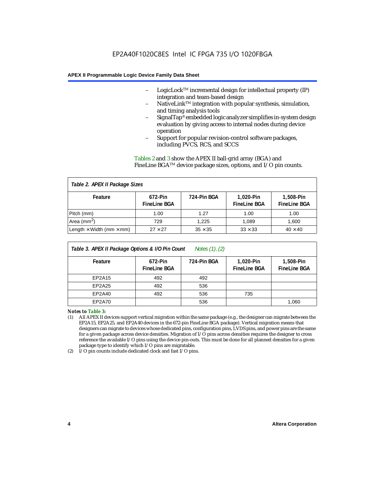- LogicLock<sup>TM</sup> incremental design for intellectual property  $(IP)$ integration and team-based design
- NativeLink™ integration with popular synthesis, simulation, and timing analysis tools
- SignalTap® embedded logic analyzer simplifies in-system design evaluation by giving access to internal nodes during device operation
- Support for popular revision-control software packages, including PVCS, RCS, and SCCS

Tables 2 and 3 show the APEX II ball-grid array (BGA) and FineLine BGATM device package sizes, options, and I/O pin counts.

| Table 2. APEX II Package Sizes         |                                |                |                                   |                                  |  |  |
|----------------------------------------|--------------------------------|----------------|-----------------------------------|----------------------------------|--|--|
| Feature                                | 672-Pin<br><b>FineLine BGA</b> | 724-Pin BGA    | 1,020-Pin<br><b>Finel ine BGA</b> | 1,508-Pin<br><b>FineLine BGA</b> |  |  |
| Pitch (mm)                             | 1.00                           | 1.27           | 1.00                              | 1.00                             |  |  |
| Area (mm <sup>2</sup> )                | 729                            | 1.225          | 1.089                             | 1.600                            |  |  |
| Length $\times$ Width (mm $\times$ mm) | $27 \times 27$                 | $35 \times 35$ | $33 \times 33$                    | $40 \times 40$                   |  |  |

| Table 3. APEX II Package Options & I/O Pin Count<br>Notes $(1)$ , $(2)$ |                                |             |                                  |                                    |  |
|-------------------------------------------------------------------------|--------------------------------|-------------|----------------------------------|------------------------------------|--|
| Feature                                                                 | 672-Pin<br><b>FineLine BGA</b> | 724-Pin BGA | 1,020-Pin<br><b>FineLine BGA</b> | $1.508-Pin$<br><b>FineLine BGA</b> |  |
| EP2A15                                                                  | 492                            | 492         |                                  |                                    |  |
| EP2A25                                                                  | 492                            | 536         |                                  |                                    |  |
| EP2A40                                                                  | 492                            | 536         | 735                              |                                    |  |
| EP2A70                                                                  |                                | 536         |                                  | 1,060                              |  |

*Notes to Table 3:*

(1) All APEX II devices support vertical migration within the same package (e.g., the designer can migrate between the EP2A15, EP2A25, and EP2A40 devices in the 672-pin FineLine BGA package). Vertical migration means that designers can migrate to devices whose dedicated pins, configuration pins, LVDS pins, and power pins are the same for a given package across device densities. Migration of I/O pins across densities requires the designer to cross reference the available I/O pins using the device pin-outs. This must be done for all planned densities for a given package type to identify which I/O pins are migratable.

(2) I/O pin counts include dedicated clock and fast I/O pins.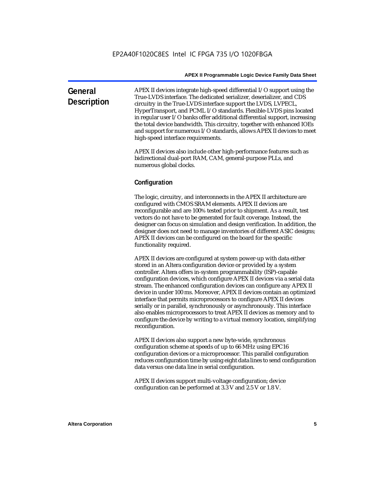| General<br><b>Description</b> | APEX II devices integrate high-speed differential I/O support using the<br>True-LVDS interface. The dedicated serializer, deserializer, and CDS<br>circuitry in the True-LVDS interface support the LVDS, LVPECL,<br>HyperTransport, and PCML I/O standards. Flexible-LVDS pins located<br>in regular user $I/O$ banks offer additional differential support, increasing<br>the total device bandwidth. This circuitry, together with enhanced IOEs<br>and support for numerous I/O standards, allows APEX II devices to meet |
|-------------------------------|-------------------------------------------------------------------------------------------------------------------------------------------------------------------------------------------------------------------------------------------------------------------------------------------------------------------------------------------------------------------------------------------------------------------------------------------------------------------------------------------------------------------------------|
|                               | high-speed interface requirements.                                                                                                                                                                                                                                                                                                                                                                                                                                                                                            |

APEX II devices also include other high-performance features such as bidirectional dual-port RAM, CAM, general-purpose PLLs, and numerous global clocks.

#### **Configuration**

The logic, circuitry, and interconnects in the APEX II architecture are configured with CMOS SRAM elements. APEX II devices are reconfigurable and are 100% tested prior to shipment. As a result, test vectors do not have to be generated for fault coverage. Instead, the designer can focus on simulation and design verification. In addition, the designer does not need to manage inventories of different ASIC designs; APEX II devices can be configured on the board for the specific functionality required.

APEX II devices are configured at system power-up with data either stored in an Altera configuration device or provided by a system controller. Altera offers in-system programmability (ISP)-capable configuration devices, which configure APEX II devices via a serial data stream. The enhanced configuration devices can configure any APEX II device in under 100 ms. Moreover, APEX II devices contain an optimized interface that permits microprocessors to configure APEX II devices serially or in parallel, synchronously or asynchronously. This interface also enables microprocessors to treat APEX II devices as memory and to configure the device by writing to a virtual memory location, simplifying reconfiguration.

APEX II devices also support a new byte-wide, synchronous configuration scheme at speeds of up to 66 MHz using EPC16 configuration devices or a microprocessor. This parallel configuration reduces configuration time by using eight data lines to send configuration data versus one data line in serial configuration.

APEX II devices support multi-voltage configuration; device configuration can be performed at 3.3 V and 2.5 V or 1.8 V.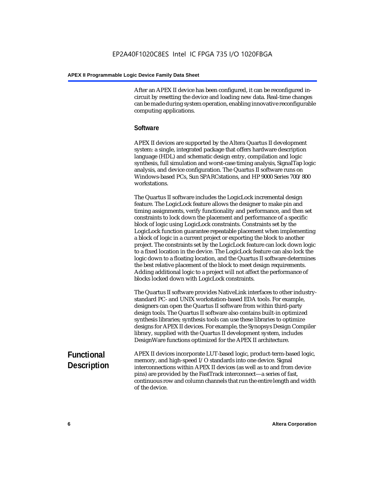After an APEX II device has been configured, it can be reconfigured incircuit by resetting the device and loading new data. Real-time changes can be made during system operation, enabling innovative reconfigurable computing applications.

#### **Software**

APEX II devices are supported by the Altera Quartus II development system: a single, integrated package that offers hardware description language (HDL) and schematic design entry, compilation and logic synthesis, full simulation and worst-case timing analysis, SignalTap logic analysis, and device configuration. The Quartus II software runs on Windows-based PCs, Sun SPARCstations, and HP 9000 Series 700/800 workstations.

The Quartus II software includes the LogicLock incremental design feature. The LogicLock feature allows the designer to make pin and timing assignments, verify functionality and performance, and then set constraints to lock down the placement and performance of a specific block of logic using LogicLock constraints. Constraints set by the LogicLock function guarantee repeatable placement when implementing a block of logic in a current project or exporting the block to another project. The constraints set by the LogicLock feature can lock down logic to a fixed location in the device. The LogicLock feature can also lock the logic down to a floating location, and the Quartus II software determines the best relative placement of the block to meet design requirements. Adding additional logic to a project will not affect the performance of blocks locked down with LogicLock constraints.

The Quartus II software provides NativeLink interfaces to other industrystandard PC- and UNIX workstation-based EDA tools. For example, designers can open the Quartus II software from within third-party design tools. The Quartus II software also contains built-in optimized synthesis libraries; synthesis tools can use these libraries to optimize designs for APEX II devices. For example, the Synopsys Design Compiler library, supplied with the Quartus II development system, includes DesignWare functions optimized for the APEX II architecture.

#### **Functional Description** APEX II devices incorporate LUT-based logic, product-term-based logic, memory, and high-speed I/O standards into one device. Signal interconnections within APEX II devices (as well as to and from device pins) are provided by the FastTrack interconnect—a series of fast, continuous row and column channels that run the entire length and width of the device.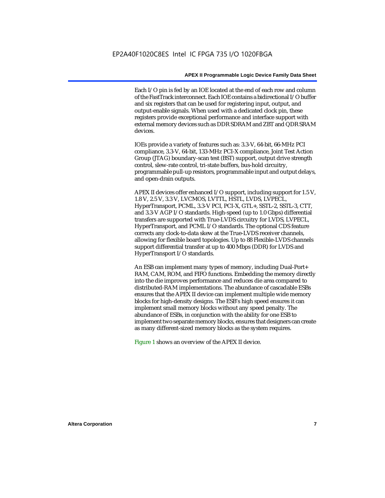Each I/O pin is fed by an IOE located at the end of each row and column of the FastTrack interconnect. Each IOE contains a bidirectional I/O buffer and six registers that can be used for registering input, output, and output-enable signals. When used with a dedicated clock pin, these registers provide exceptional performance and interface support with external memory devices such as DDR SDRAM and ZBT and QDR SRAM devices.

IOEs provide a variety of features such as: 3.3-V, 64-bit, 66-MHz PCI compliance, 3.3-V, 64-bit, 133-MHz PCI-X compliance, Joint Test Action Group (JTAG) boundary-scan test (BST) support, output drive strength control, slew-rate control, tri-state buffers, bus-hold circuitry, programmable pull-up resistors, programmable input and output delays, and open-drain outputs.

APEX II devices offer enhanced I/O support, including support for 1.5 V, 1.8 V, 2.5 V, 3.3 V, LVCMOS, LVTTL, HSTL, LVDS, LVPECL, HyperTransport, PCML, 3.3-V PCI, PCI-X, GTL+, SSTL-2, SSTL-3, CTT, and 3.3-V AGP I/O standards. High-speed (up to 1.0 Gbps) differential transfers are supported with True-LVDS circuitry for LVDS, LVPECL, HyperTransport, and PCML I/O standards. The optional CDS feature corrects any clock-to-data skew at the True-LVDS receiver channels, allowing for flexible board topologies. Up to 88 Flexible-LVDS channels support differential transfer at up to 400 Mbps (DDR) for LVDS and HyperTransport I/O standards.

An ESB can implement many types of memory, including Dual-Port+ RAM, CAM, ROM, and FIFO functions. Embedding the memory directly into the die improves performance and reduces die area compared to distributed-RAM implementations. The abundance of cascadable ESBs ensures that the APEX II device can implement multiple wide memory blocks for high-density designs. The ESB's high speed ensures it can implement small memory blocks without any speed penalty. The abundance of ESBs, in conjunction with the ability for one ESB to implement two separate memory blocks, ensures that designers can create as many different-sized memory blocks as the system requires.

Figure 1 shows an overview of the APEX II device.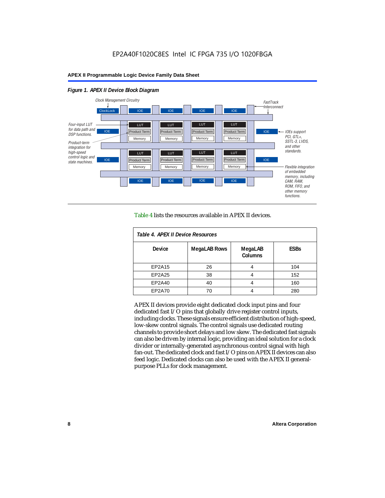#### *Figure 1. APEX II Device Block Diagram*



Table 4 lists the resources available in APEX II devices.

| Table 4. APEX II Device Resources |                     |                           |             |  |  |  |
|-----------------------------------|---------------------|---------------------------|-------------|--|--|--|
| <b>Device</b>                     | <b>MegaLAB Rows</b> | MegaLAB<br><b>Columns</b> | <b>ESBs</b> |  |  |  |
| EP2A15                            | 26                  | 4                         | 104         |  |  |  |
| EP2A25                            | 38                  |                           | 152         |  |  |  |
| EP2A40                            | 40                  |                           | 160         |  |  |  |
| EP2A70                            | 70                  | 4                         | 280         |  |  |  |

APEX II devices provide eight dedicated clock input pins and four dedicated fast I/O pins that globally drive register control inputs, including clocks. These signals ensure efficient distribution of high-speed, low-skew control signals. The control signals use dedicated routing channels to provide short delays and low skew. The dedicated fast signals can also be driven by internal logic, providing an ideal solution for a clock divider or internally-generated asynchronous control signal with high fan-out. The dedicated clock and fast I/O pins on APEX II devices can also feed logic. Dedicated clocks can also be used with the APEX II generalpurpose PLLs for clock management.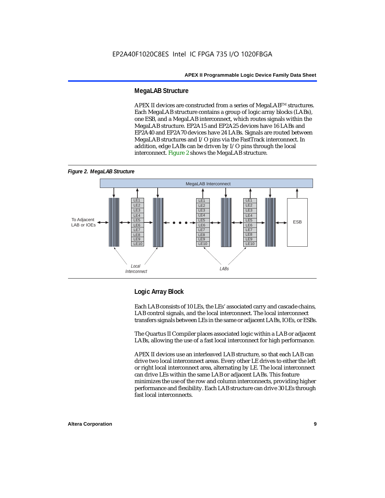#### **MegaLAB Structure**

APEX II devices are constructed from a series of MegaLAB<sup>TM</sup> structures. Each MegaLAB structure contains a group of logic array blocks (LABs), one ESB, and a MegaLAB interconnect, which routes signals within the MegaLAB structure. EP2A15 and EP2A25 devices have 16 LABs and EP2A40 and EP2A70 devices have 24 LABs. Signals are routed between MegaLAB structures and I/O pins via the FastTrack interconnect. In addition, edge LABs can be driven by I/O pins through the local interconnect. Figure 2 shows the MegaLAB structure.





#### **Logic Array Block**

Each LAB consists of 10 LEs, the LEs' associated carry and cascade chains, LAB control signals, and the local interconnect. The local interconnect transfers signals between LEs in the same or adjacent LABs, IOEs, or ESBs.

The Quartus II Compiler places associated logic within a LAB or adjacent LABs, allowing the use of a fast local interconnect for high performance.

APEX II devices use an interleaved LAB structure, so that each LAB can drive two local interconnect areas. Every other LE drives to either the left or right local interconnect area, alternating by LE. The local interconnect can drive LEs within the same LAB or adjacent LABs. This feature minimizes the use of the row and column interconnects, providing higher performance and flexibility. Each LAB structure can drive 30 LEs through fast local interconnects.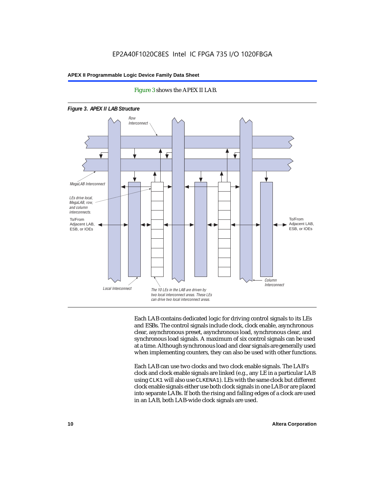

Figure 3 shows the APEX II LAB.

Each LAB contains dedicated logic for driving control signals to its LEs and ESBs. The control signals include clock, clock enable, asynchronous clear, asynchronous preset, asynchronous load, synchronous clear, and synchronous load signals. A maximum of six control signals can be used at a time. Although synchronous load and clear signals are generally used when implementing counters, they can also be used with other functions.

Each LAB can use two clocks and two clock enable signals. The LAB's clock and clock enable signals are linked (e.g., any LE in a particular LAB using CLK1 will also use CLKENA1). LEs with the same clock but different clock enable signals either use both clock signals in one LAB or are placed into separate LABs. If both the rising and falling edges of a clock are used in an LAB, both LAB-wide clock signals are used.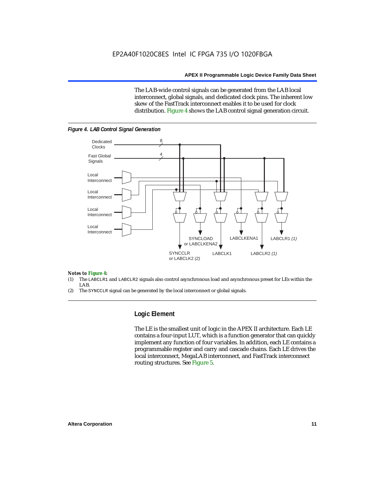The LAB-wide control signals can be generated from the LAB local interconnect, global signals, and dedicated clock pins. The inherent low skew of the FastTrack interconnect enables it to be used for clock distribution. Figure 4 shows the LAB control signal generation circuit.



#### *Figure 4. LAB Control Signal Generation*

#### *Notes to Figure 4:*

- (1) The LABCLR1 and LABCLR2 signals also control asynchronous load and asynchronous preset for LEs within the LAB.
- (2) The SYNCCLR signal can be generated by the local interconnect or global signals.

#### **Logic Element**

The LE is the smallest unit of logic in the APEX II architecture. Each LE contains a four-input LUT, which is a function generator that can quickly implement any function of four variables. In addition, each LE contains a programmable register and carry and cascade chains. Each LE drives the local interconnect, MegaLAB interconnect, and FastTrack interconnect routing structures. See Figure 5.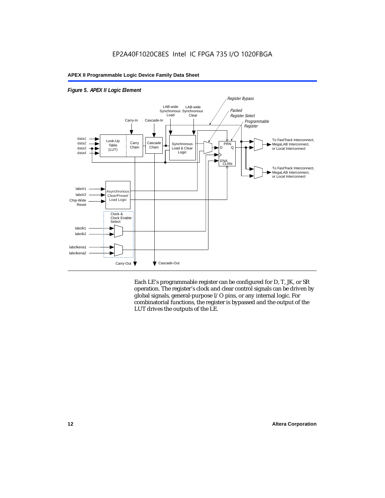

*Figure 5. APEX II Logic Element*

Each LE's programmable register can be configured for D, T, JK, or SR operation. The register's clock and clear control signals can be driven by global signals, general-purpose I/O pins, or any internal logic. For combinatorial functions, the register is bypassed and the output of the LUT drives the outputs of the LE.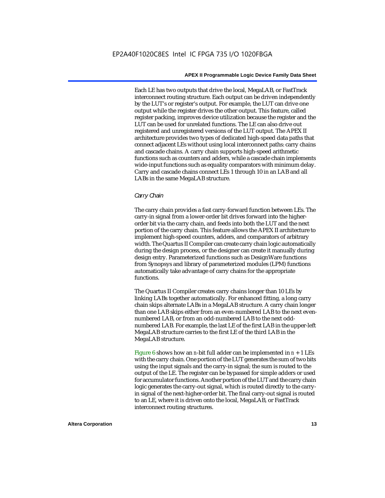Each LE has two outputs that drive the local, MegaLAB, or FastTrack interconnect routing structure. Each output can be driven independently by the LUT's or register's output. For example, the LUT can drive one output while the register drives the other output. This feature, called register packing, improves device utilization because the register and the LUT can be used for unrelated functions. The LE can also drive out registered and unregistered versions of the LUT output. The APEX II architecture provides two types of dedicated high-speed data paths that connect adjacent LEs without using local interconnect paths: carry chains and cascade chains. A carry chain supports high-speed arithmetic functions such as counters and adders, while a cascade chain implements wide-input functions such as equality comparators with minimum delay. Carry and cascade chains connect LEs 1 through 10 in an LAB and all LABs in the same MegaLAB structure.

#### *Carry Chain*

The carry chain provides a fast carry-forward function between LEs. The carry-in signal from a lower-order bit drives forward into the higherorder bit via the carry chain, and feeds into both the LUT and the next portion of the carry chain. This feature allows the APEX II architecture to implement high-speed counters, adders, and comparators of arbitrary width. The Quartus II Compiler can create carry chain logic automatically during the design process, or the designer can create it manually during design entry. Parameterized functions such as DesignWare functions from Synopsys and library of parameterized modules (LPM) functions automatically take advantage of carry chains for the appropriate functions.

The Quartus II Compiler creates carry chains longer than 10 LEs by linking LABs together automatically. For enhanced fitting, a long carry chain skips alternate LABs in a MegaLAB structure. A carry chain longer than one LAB skips either from an even-numbered LAB to the next evennumbered LAB, or from an odd-numbered LAB to the next oddnumbered LAB. For example, the last LE of the first LAB in the upper-left MegaLAB structure carries to the first LE of the third LAB in the MegaLAB structure.

Figure 6 shows how an *n*-bit full adder can be implemented in  $n + 1$  LEs with the carry chain. One portion of the LUT generates the sum of two bits using the input signals and the carry-in signal; the sum is routed to the output of the LE. The register can be bypassed for simple adders or used for accumulator functions. Another portion of the LUT and the carry chain logic generates the carry-out signal, which is routed directly to the carryin signal of the next-higher-order bit. The final carry-out signal is routed to an LE, where it is driven onto the local, MegaLAB, or FastTrack interconnect routing structures.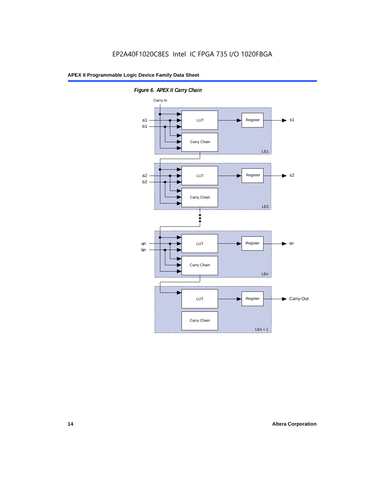

*Figure 6. APEX II Carry Chain*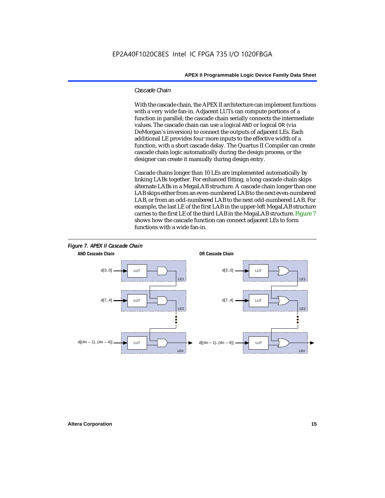#### *Cascade Chain*

With the cascade chain, the APEX II architecture can implement functions with a very wide fan-in. Adjacent LUTs can compute portions of a function in parallel; the cascade chain serially connects the intermediate values. The cascade chain can use a logical AND or logical OR (via DeMorgan's inversion) to connect the outputs of adjacent LEs. Each additional LE provides four more inputs to the effective width of a function, with a short cascade delay. The Quartus II Compiler can create cascade chain logic automatically during the design process, or the designer can create it manually during design entry.

Cascade chains longer than 10 LEs are implemented automatically by linking LABs together. For enhanced fitting, a long cascade chain skips alternate LABs in a MegaLAB structure. A cascade chain longer than one LAB skips either from an even-numbered LAB to the next even-numbered LAB, or from an odd-numbered LAB to the next odd-numbered LAB. For example, the last LE of the first LAB in the upper-left MegaLAB structure carries to the first LE of the third LAB in the MegaLAB structure. Figure 7 shows how the cascade function can connect adjacent LEs to form functions with a wide fan-in.



## **Altera Corporation 15**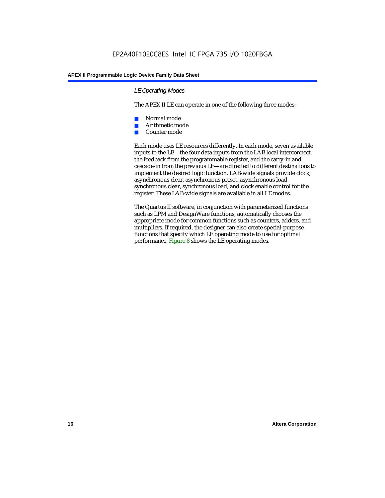#### *LE Operating Modes*

The APEX II LE can operate in one of the following three modes:

- Normal mode
- Arithmetic mode
- Counter mode

Each mode uses LE resources differently. In each mode, seven available inputs to the LE—the four data inputs from the LAB local interconnect, the feedback from the programmable register, and the carry-in and cascade-in from the previous LE—are directed to different destinations to implement the desired logic function. LAB-wide signals provide clock, asynchronous clear, asynchronous preset, asynchronous load, synchronous clear, synchronous load, and clock enable control for the register. These LAB-wide signals are available in all LE modes.

The Quartus II software, in conjunction with parameterized functions such as LPM and DesignWare functions, automatically chooses the appropriate mode for common functions such as counters, adders, and multipliers. If required, the designer can also create special-purpose functions that specify which LE operating mode to use for optimal performance. Figure 8 shows the LE operating modes.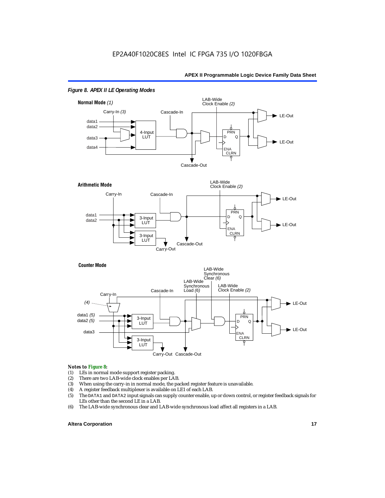

#### *Figure 8. APEX II LE Operating Modes*





#### *Notes to Figure 8:*

- (1) LEs in normal mode support register packing.<br>(2) There are two LAB-wide clock enables per LA
- (2) There are two LAB-wide clock enables per LAB.<br>(3) When using the carry-in in normal mode, the pa
- (3) When using the carry-in in normal mode, the packed register feature is unavailable.<br>(4) A register feedback multiplexer is available on LE1 of each LAB.
- (4) A register feedback multiplexer is available on LE1 of each LAB.<br>(5) The DATA1 and DATA2 input signals can supply counter enable, u
- (5) The DATA1 and DATA2 input signals can supply counter enable, up or down control, or register feedback signals for LEs other than the second LE in a LAB.
- (6) The LAB-wide synchronous clear and LAB-wide synchronous load affect all registers in a LAB.

#### **Altera Corporation 17 17**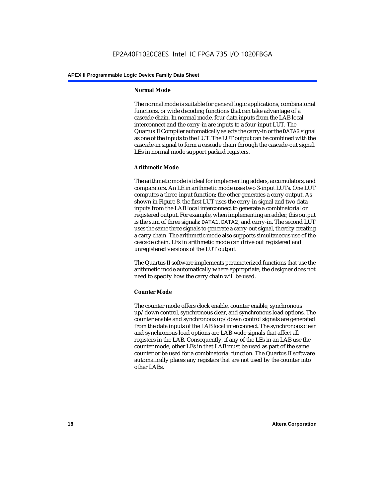#### **Normal Mode**

The normal mode is suitable for general logic applications, combinatorial functions, or wide decoding functions that can take advantage of a cascade chain. In normal mode, four data inputs from the LAB local interconnect and the carry-in are inputs to a four-input LUT. The Quartus II Compiler automatically selects the carry-in or the DATA3 signal as one of the inputs to the LUT. The LUT output can be combined with the cascade-in signal to form a cascade chain through the cascade-out signal. LEs in normal mode support packed registers.

#### **Arithmetic Mode**

The arithmetic mode is ideal for implementing adders, accumulators, and comparators. An LE in arithmetic mode uses two 3-input LUTs. One LUT computes a three-input function; the other generates a carry output. As shown in Figure 8, the first LUT uses the carry-in signal and two data inputs from the LAB local interconnect to generate a combinatorial or registered output. For example, when implementing an adder, this output is the sum of three signals: DATA1, DATA2, and carry-in. The second LUT uses the same three signals to generate a carry-out signal, thereby creating a carry chain. The arithmetic mode also supports simultaneous use of the cascade chain. LEs in arithmetic mode can drive out registered and unregistered versions of the LUT output.

The Quartus II software implements parameterized functions that use the arithmetic mode automatically where appropriate; the designer does not need to specify how the carry chain will be used.

#### **Counter Mode**

The counter mode offers clock enable, counter enable, synchronous up/down control, synchronous clear, and synchronous load options. The counter enable and synchronous up/down control signals are generated from the data inputs of the LAB local interconnect. The synchronous clear and synchronous load options are LAB-wide signals that affect all registers in the LAB. Consequently, if any of the LEs in an LAB use the counter mode, other LEs in that LAB must be used as part of the same counter or be used for a combinatorial function. The Quartus II software automatically places any registers that are not used by the counter into other LABs.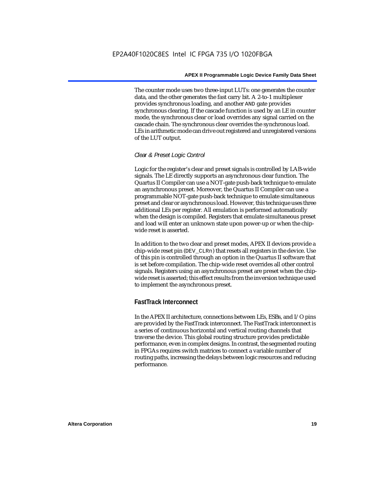The counter mode uses two three-input LUTs: one generates the counter data, and the other generates the fast carry bit. A 2-to-1 multiplexer provides synchronous loading, and another AND gate provides synchronous clearing. If the cascade function is used by an LE in counter mode, the synchronous clear or load overrides any signal carried on the cascade chain. The synchronous clear overrides the synchronous load. LEs in arithmetic mode can drive out registered and unregistered versions of the LUT output.

#### *Clear & Preset Logic Control*

Logic for the register's clear and preset signals is controlled by LAB-wide signals. The LE directly supports an asynchronous clear function. The Quartus II Compiler can use a NOT-gate push-back technique to emulate an asynchronous preset. Moreover, the Quartus II Compiler can use a programmable NOT-gate push-back technique to emulate simultaneous preset and clear or asynchronous load. However, this technique uses three additional LEs per register. All emulation is performed automatically when the design is compiled. Registers that emulate simultaneous preset and load will enter an unknown state upon power-up or when the chipwide reset is asserted.

In addition to the two clear and preset modes, APEX II devices provide a chip-wide reset pin (DEV\_CLRn) that resets all registers in the device. Use of this pin is controlled through an option in the Quartus II software that is set before compilation. The chip-wide reset overrides all other control signals. Registers using an asynchronous preset are preset when the chipwide reset is asserted; this effect results from the inversion technique used to implement the asynchronous preset.

#### **FastTrack Interconnect**

In the APEX II architecture, connections between LEs, ESBs, and I/O pins are provided by the FastTrack interconnect. The FastTrack interconnect is a series of continuous horizontal and vertical routing channels that traverse the device. This global routing structure provides predictable performance, even in complex designs. In contrast, the segmented routing in FPGAs requires switch matrices to connect a variable number of routing paths, increasing the delays between logic resources and reducing performance.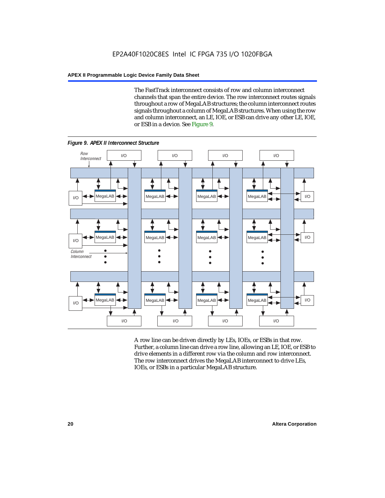The FastTrack interconnect consists of row and column interconnect channels that span the entire device. The row interconnect routes signals throughout a row of MegaLAB structures; the column interconnect routes signals throughout a column of MegaLAB structures. When using the row and column interconnect, an LE, IOE, or ESB can drive any other LE, IOE, or ESB in a device. See Figure 9.



*Figure 9. APEX II Interconnect Structure*

A row line can be driven directly by LEs, IOEs, or ESBs in that row. Further, a column line can drive a row line, allowing an LE, IOE, or ESB to drive elements in a different row via the column and row interconnect. The row interconnect drives the MegaLAB interconnect to drive LEs, IOEs, or ESBs in a particular MegaLAB structure.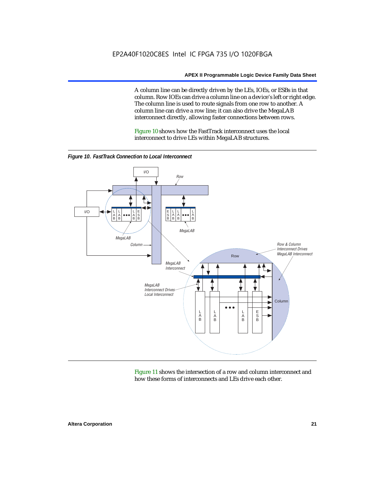A column line can be directly driven by the LEs, IOEs, or ESBs in that column. Row IOEs can drive a column line on a device's left or right edge. The column line is used to route signals from one row to another. A column line can drive a row line; it can also drive the MegaLAB interconnect directly, allowing faster connections between rows.

Figure 10 shows how the FastTrack interconnect uses the local interconnect to drive LEs within MegaLAB structures.



*Figure 10. FastTrack Connection to Local Interconnect*

Figure 11 shows the intersection of a row and column interconnect and how these forms of interconnects and LEs drive each other.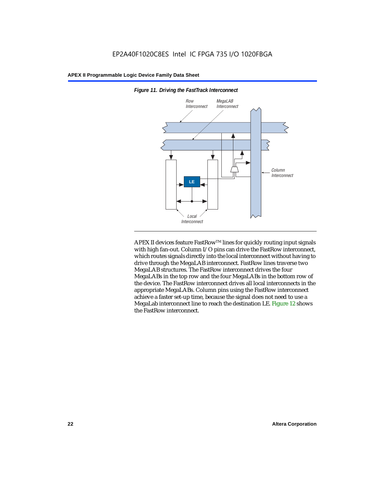

*Figure 11. Driving the FastTrack Interconnect*

APEX II devices feature FastRow™ lines for quickly routing input signals with high fan-out. Column I/O pins can drive the FastRow interconnect, which routes signals directly into the local interconnect without having to drive through the MegaLAB interconnect. FastRow lines traverse two MegaLAB structures. The FastRow interconnect drives the four MegaLABs in the top row and the four MegaLABs in the bottom row of the device. The FastRow interconnect drives all local interconnects in the appropriate MegaLABs. Column pins using the FastRow interconnect achieve a faster set-up time, because the signal does not need to use a MegaLab interconnect line to reach the destination LE. Figure 12 shows the FastRow interconnect.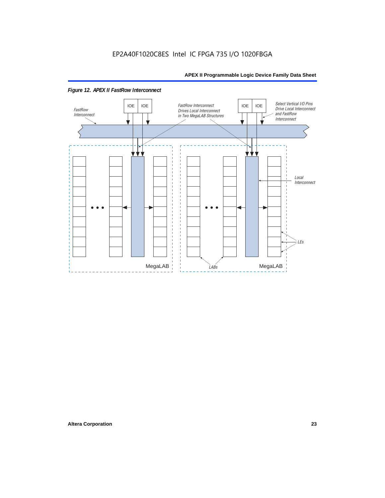

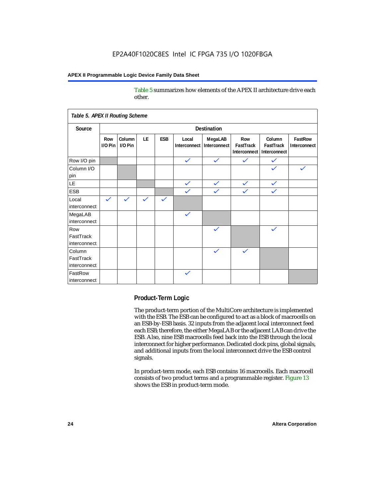Table 5 summarizes how elements of the APEX II architecture drive each other.

| Table 5. APEX II Routing Scheme     |                |                   |                    |              |                       |                         |                                  |                                     |                         |
|-------------------------------------|----------------|-------------------|--------------------|--------------|-----------------------|-------------------------|----------------------------------|-------------------------------------|-------------------------|
| Source                              |                |                   | <b>Destination</b> |              |                       |                         |                                  |                                     |                         |
|                                     | Row<br>I/O Pin | Column<br>I/O Pin | LE                 | <b>ESB</b>   | Local<br>Interconnect | MegaLAB<br>Interconnect | Row<br>FastTrack<br>Interconnect | Column<br>FastTrack<br>Interconnect | FastRow<br>Interconnect |
| Row I/O pin                         |                |                   |                    |              | $\checkmark$          | $\checkmark$            | $\checkmark$                     | $\checkmark$                        |                         |
| Column I/O<br>pin                   |                |                   |                    |              |                       |                         |                                  |                                     |                         |
| LE                                  |                |                   |                    |              | $\checkmark$          | $\checkmark$            | $\checkmark$                     | $\checkmark$                        |                         |
| <b>ESB</b>                          |                |                   |                    |              | $\checkmark$          | $\checkmark$            | $\checkmark$                     | $\checkmark$                        |                         |
| Local<br>interconnect               | $\checkmark$   | $\checkmark$      | $\checkmark$       | $\checkmark$ |                       |                         |                                  |                                     |                         |
| MegaLAB<br>interconnect             |                |                   |                    |              | $\checkmark$          |                         |                                  |                                     |                         |
| Row<br>FastTrack<br>interconnect    |                |                   |                    |              |                       | $\checkmark$            |                                  | $\checkmark$                        |                         |
| Column<br>FastTrack<br>interconnect |                |                   |                    |              |                       | $\checkmark$            | $\checkmark$                     |                                     |                         |
| FastRow<br>interconnect             |                |                   |                    |              | $\checkmark$          |                         |                                  |                                     |                         |

#### **Product-Term Logic**

The product-term portion of the MultiCore architecture is implemented with the ESB. The ESB can be configured to act as a block of macrocells on an ESB-by-ESB basis. 32 inputs from the adjacent local interconnect feed each ESB; therefore, the either MegaLAB or the adjacent LAB can drive the ESB. Also, nine ESB macrocells feed back into the ESB through the local interconnect for higher performance. Dedicated clock pins, global signals, and additional inputs from the local interconnect drive the ESB control signals.

In product-term mode, each ESB contains 16 macrocells. Each macrocell consists of two product terms and a programmable register. Figure 13 shows the ESB in product-term mode.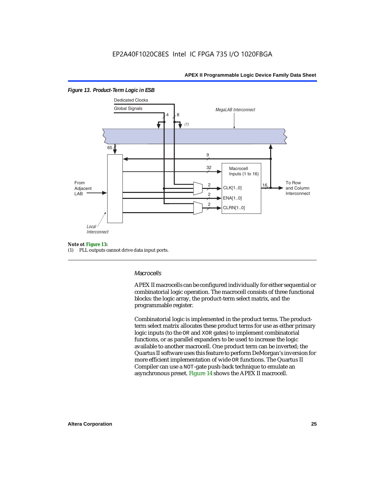

#### *Figure 13. Product-Term Logic in ESB*

#### *Note ot Figure 13:*

(1) PLL outputs cannot drive data input ports.

#### *Macrocells*

APEX II macrocells can be configured individually for either sequential or combinatorial logic operation. The macrocell consists of three functional blocks: the logic array, the product-term select matrix, and the programmable register.

Combinatorial logic is implemented in the product terms. The productterm select matrix allocates these product terms for use as either primary logic inputs (to the OR and XOR gates) to implement combinatorial functions, or as parallel expanders to be used to increase the logic available to another macrocell. One product term can be inverted; the Quartus II software uses this feature to perform DeMorgan's inversion for more efficient implementation of wide OR functions. The Quartus II Compiler can use a NOT-gate push-back technique to emulate an asynchronous preset. Figure 14 shows the APEX II macrocell.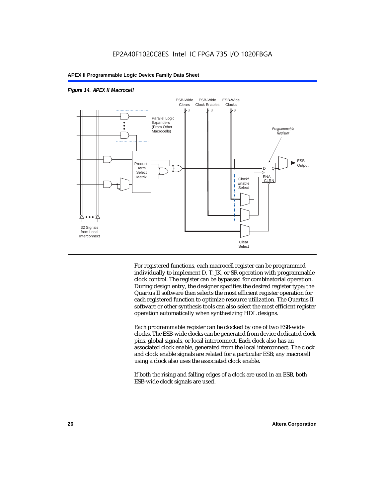

#### *Figure 14. APEX II Macrocell*

For registered functions, each macrocell register can be programmed individually to implement D, T, JK, or SR operation with programmable clock control. The register can be bypassed for combinatorial operation. During design entry, the designer specifies the desired register type; the Quartus II software then selects the most efficient register operation for each registered function to optimize resource utilization. The Quartus II software or other synthesis tools can also select the most efficient register operation automatically when synthesizing HDL designs.

Each programmable register can be clocked by one of two ESB-wide clocks. The ESB-wide clocks can be generated from device dedicated clock pins, global signals, or local interconnect. Each clock also has an associated clock enable, generated from the local interconnect. The clock and clock enable signals are related for a particular ESB; any macrocell using a clock also uses the associated clock enable.

If both the rising and falling edges of a clock are used in an ESB, both ESB-wide clock signals are used.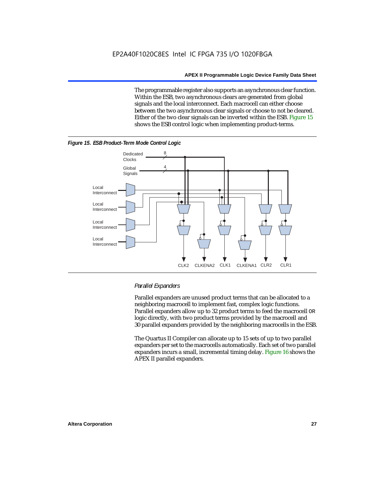The programmable register also supports an asynchronous clear function. Within the ESB, two asynchronous clears are generated from global signals and the local interconnect. Each macrocell can either choose between the two asynchronous clear signals or choose to not be cleared. Either of the two clear signals can be inverted within the ESB. Figure 15 shows the ESB control logic when implementing product-terms.





#### *Parallel Expanders*

Parallel expanders are unused product terms that can be allocated to a neighboring macrocell to implement fast, complex logic functions. Parallel expanders allow up to 32 product terms to feed the macrocell OR logic directly, with two product terms provided by the macrocell and 30 parallel expanders provided by the neighboring macrocells in the ESB.

The Quartus II Compiler can allocate up to 15 sets of up to two parallel expanders per set to the macrocells automatically. Each set of two parallel expanders incurs a small, incremental timing delay. Figure 16 shows the APEX II parallel expanders.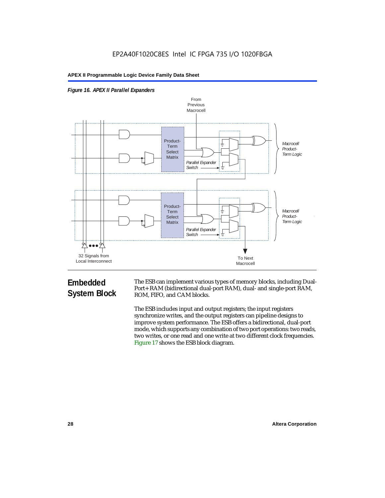



## **Embedded System Block**

The ESB can implement various types of memory blocks, including Dual-Port+ RAM (bidirectional dual-port RAM), dual- and single-port RAM, ROM, FIFO, and CAM blocks.

The ESB includes input and output registers; the input registers synchronize writes, and the output registers can pipeline designs to improve system performance. The ESB offers a bidirectional, dual-port mode, which supports any combination of two port operations: two reads, two writes, or one read and one write at two different clock frequencies. Figure 17 shows the ESB block diagram.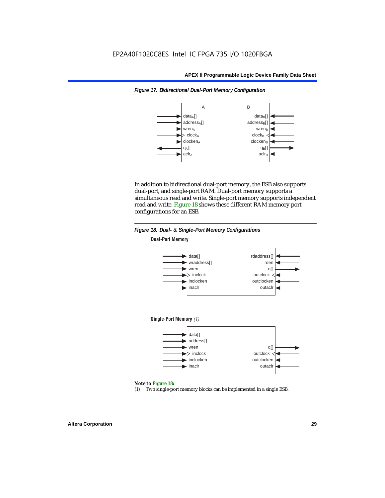*Figure 17. Bidirectional Dual-Port Memory Configuration*

#### **APEX II Programmable Logic Device Family Data Sheet**



In addition to bidirectional dual-port memory, the ESB also supports dual-port, and single-port RAM. Dual-port memory supports a simultaneous read and write. Single-port memory supports independent read and write. Figure 18 shows these different RAM memory port

configurations for an ESB.



#### *Figure 18. Dual- & Single-Port Memory Configurations*

#### *Note to Figure 18:*

(1) Two single-port memory blocks can be implemented in a single ESB.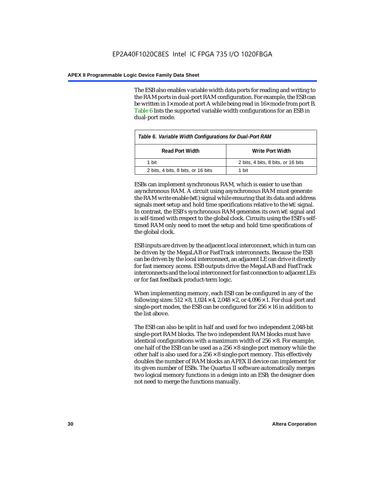The ESB also enables variable width data ports for reading and writing to the RAM ports in dual-port RAM configuration. For example, the ESB can be written in 1× mode at port A while being read in 16× mode from port B. Table 6 lists the supported variable width configurations for an ESB in dual-port mode.

| Table 6. Variable Width Configurations for Dual-Port RAM |                                    |  |  |  |
|----------------------------------------------------------|------------------------------------|--|--|--|
| <b>Read Port Width</b><br>Write Port Width               |                                    |  |  |  |
| 1 hit                                                    | 2 bits, 4 bits, 8 bits, or 16 bits |  |  |  |
| 2 bits, 4 bits, 8 bits, or 16 bits                       | 1 hit                              |  |  |  |

ESBs can implement synchronous RAM, which is easier to use than asynchronous RAM. A circuit using asynchronous RAM must generate the RAM write enable (WE) signal while ensuring that its data and address signals meet setup and hold time specifications relative to the WE signal. In contrast, the ESB's synchronous RAM generates its own WE signal and is self-timed with respect to the global clock. Circuits using the ESB's selftimed RAM only need to meet the setup and hold time specifications of the global clock.

ESB inputs are driven by the adjacent local interconnect, which in turn can be driven by the MegaLAB or FastTrack interconnects. Because the ESB can be driven by the local interconnect, an adjacent LE can drive it directly for fast memory access. ESB outputs drive the MegaLAB and FastTrack interconnects and the local interconnect for fast connection to adjacent LEs or for fast feedback product-term logic.

When implementing memory, each ESB can be configured in any of the following sizes:  $512 \times 8$ ,  $1,024 \times 4$ ,  $2,048 \times 2$ , or  $4,096 \times 1$ . For dual-port and single-port modes, the ESB can be configured for  $256 \times 16$  in addition to the list above.

The ESB can also be split in half and used for two independent 2,048-bit single-port RAM blocks. The two independent RAM blocks must have identical configurations with a maximum width of  $256 \times 8$ . For example, one half of the ESB can be used as a  $256 \times 8$  single-port memory while the other half is also used for a  $256 \times 8$  single-port memory. This effectively doubles the number of RAM blocks an APEX II device can implement for its given number of ESBs. The Quartus II software automatically merges two logical memory functions in a design into an ESB; the designer does not need to merge the functions manually.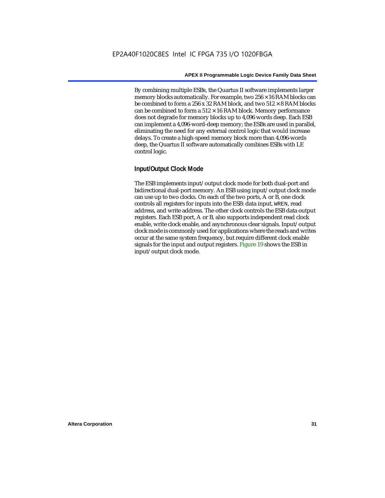By combining multiple ESBs, the Quartus II software implements larger memory blocks automatically. For example, two  $256 \times 16$  RAM blocks can be combined to form a 256 x 32 RAM block, and two  $512 \times 8$  RAM blocks can be combined to form a  $512 \times 16$  RAM block. Memory performance does not degrade for memory blocks up to 4,096 words deep. Each ESB can implement a 4,096-word-deep memory; the ESBs are used in parallel, eliminating the need for any external control logic that would increase delays. To create a high-speed memory block more than 4,096-words deep, the Quartus II software automatically combines ESBs with LE control logic.

### **Input/Output Clock Mode**

The ESB implements input/output clock mode for both dual-port and bidirectional dual-port memory. An ESB using input/output clock mode can use up to two clocks. On each of the two ports, A or B, one clock controls all registers for inputs into the ESB: data input, WREN, read address, and write address. The other clock controls the ESB data output registers. Each ESB port, A or B, also supports independent read clock enable, write clock enable, and asynchronous clear signals. Input/output clock mode is commonly used for applications where the reads and writes occur at the same system frequency, but require different clock enable signals for the input and output registers. Figure 19 shows the ESB in input/output clock mode.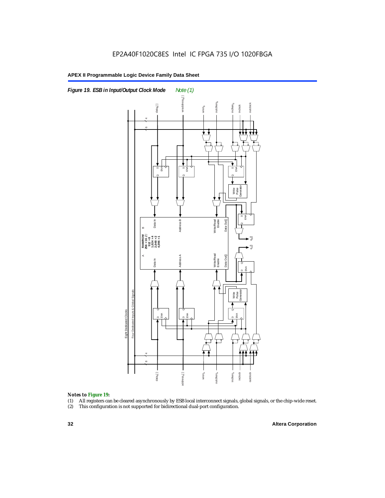

#### *Notes to Figure 19:*

- (1) All registers can be cleared asynchronously by ESB local interconnect signals, global signals, or the chip-wide reset.
-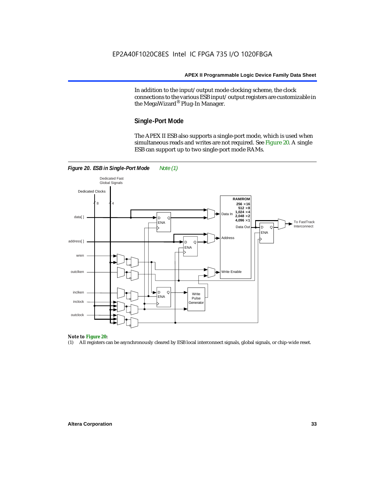In addition to the input/output mode clocking scheme, the clock connections to the various ESB input/output registers are customizable in the MegaWizard® Plug-In Manager.

#### **Single-Port Mode**

The APEX II ESB also supports a single-port mode, which is used when simultaneous reads and writes are not required. See Figure 20. A single ESB can support up to two single-port mode RAMs.



#### *Note to Figure 20:*

(1) All registers can be asynchronously cleared by ESB local interconnect signals, global signals, or chip-wide reset.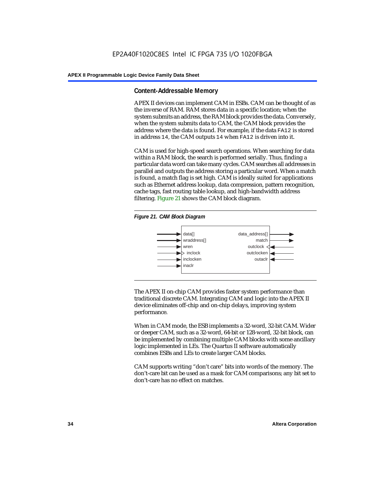#### **Content-Addressable Memory**

APEX II devices can implement CAM in ESBs. CAM can be thought of as the inverse of RAM. RAM stores data in a specific location; when the system submits an address, the RAM block provides the data. Conversely, when the system submits data to CAM, the CAM block provides the address where the data is found. For example, if the data FA12 is stored in address 14, the CAM outputs 14 when FA12 is driven into it.

CAM is used for high-speed search operations. When searching for data within a RAM block, the search is performed serially. Thus, finding a particular data word can take many cycles. CAM searches all addresses in parallel and outputs the address storing a particular word. When a match is found, a match flag is set high. CAM is ideally suited for applications such as Ethernet address lookup, data compression, pattern recognition, cache tags, fast routing table lookup, and high-bandwidth address filtering. Figure 21 shows the CAM block diagram.





The APEX II on-chip CAM provides faster system performance than traditional discrete CAM. Integrating CAM and logic into the APEX II device eliminates off-chip and on-chip delays, improving system performance.

When in CAM mode, the ESB implements a 32-word, 32-bit CAM. Wider or deeper CAM, such as a 32-word, 64-bit or 128-word, 32-bit block, can be implemented by combining multiple CAM blocks with some ancillary logic implemented in LEs. The Quartus II software automatically combines ESBs and LEs to create larger CAM blocks.

CAM supports writing "don't care" bits into words of the memory. The don't-care bit can be used as a mask for CAM comparisons; any bit set to don't-care has no effect on matches.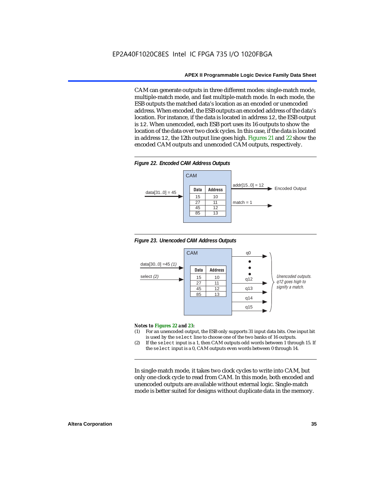CAM can generate outputs in three different modes: single-match mode, multiple-match mode, and fast multiple-match mode. In each mode, the ESB outputs the matched data's location as an encoded or unencoded address. When encoded, the ESB outputs an encoded address of the data's location. For instance, if the data is located in address 12, the ESB output is 12. When unencoded, each ESB port uses its 16 outputs to show the location of the data over two clock cycles. In this case, if the data is located in address 12, the 12th output line goes high. Figures 21 and 22 show the encoded CAM outputs and unencoded CAM outputs, respectively.









#### *Notes to Figures 22 and 23:*

- (1) For an unencoded output, the ESB only supports 31 input data bits. One input bit is used by the select line to choose one of the two banks of 16 outputs.
- (2) If the select input is a 1, then CAM outputs odd words between 1 through 15. If the select input is a 0, CAM outputs even words between 0 through 14.

In single-match mode, it takes two clock cycles to write into CAM, but only one clock cycle to read from CAM. In this mode, both encoded and unencoded outputs are available without external logic. Single-match mode is better suited for designs without duplicate data in the memory.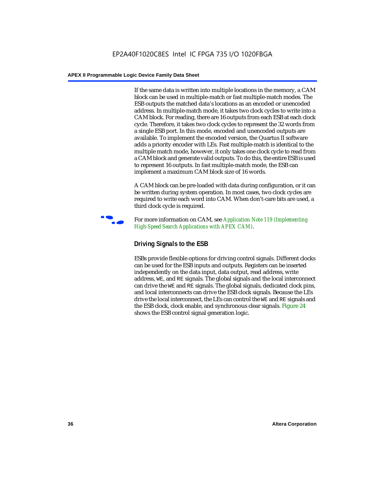If the same data is written into multiple locations in the memory, a CAM block can be used in multiple-match or fast multiple-match modes. The ESB outputs the matched data's locations as an encoded or unencoded address. In multiple-match mode, it takes two clock cycles to write into a CAM block. For reading, there are 16 outputs from each ESB at each clock cycle. Therefore, it takes two clock cycles to represent the 32 words from a single ESB port. In this mode, encoded and unencoded outputs are available. To implement the encoded version, the Quartus II software adds a priority encoder with LEs. Fast multiple-match is identical to the multiple match mode, however, it only takes one clock cycle to read from a CAM block and generate valid outputs. To do this, the entire ESB is used to represent 16 outputs. In fast multiple-match mode, the ESB can implement a maximum CAM block size of 16 words.

A CAM block can be pre-loaded with data during configuration, or it can be written during system operation. In most cases, two clock cycles are required to write each word into CAM. When don't-care bits are used, a third clock cycle is required.



f For more information on CAM, see *Application Note 119 (Implementing High-Speed Search Applications with APEX CAM)*.

## **Driving Signals to the ESB**

ESBs provide flexible options for driving control signals. Different clocks can be used for the ESB inputs and outputs. Registers can be inserted independently on the data input, data output, read address, write address, WE, and RE signals. The global signals and the local interconnect can drive the WE and RE signals. The global signals, dedicated clock pins, and local interconnects can drive the ESB clock signals. Because the LEs drive the local interconnect, the LEs can control the WE and RE signals and the ESB clock, clock enable, and synchronous clear signals. Figure 24 shows the ESB control signal generation logic.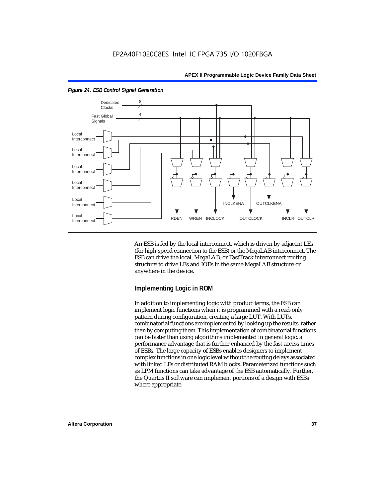

*Figure 24. ESB Control Signal Generation*

An ESB is fed by the local interconnect, which is driven by adjacent LEs (for high-speed connection to the ESB) or the MegaLAB interconnect. The ESB can drive the local, MegaLAB, or FastTrack interconnect routing structure to drive LEs and IOEs in the same MegaLAB structure or anywhere in the device.

#### **Implementing Logic in ROM**

In addition to implementing logic with product terms, the ESB can implement logic functions when it is programmed with a read-only pattern during configuration, creating a large LUT. With LUTs, combinatorial functions are implemented by looking up the results, rather than by computing them. This implementation of combinatorial functions can be faster than using algorithms implemented in general logic, a performance advantage that is further enhanced by the fast access times of ESBs. The large capacity of ESBs enables designers to implement complex functions in one logic level without the routing delays associated with linked LEs or distributed RAM blocks. Parameterized functions such as LPM functions can take advantage of the ESB automatically. Further, the Quartus II software can implement portions of a design with ESBs where appropriate.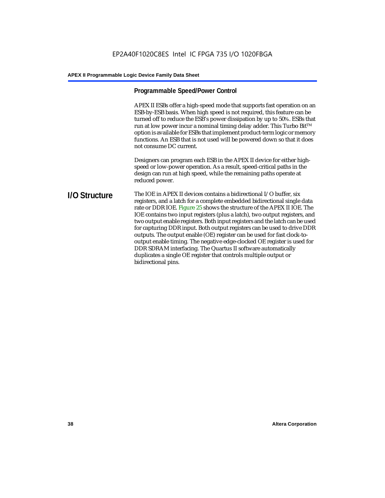## **Programmable Speed/Power Control**

APEX II ESBs offer a high-speed mode that supports fast operation on an ESB-by-ESB basis. When high speed is not required, this feature can be turned off to reduce the ESB's power dissipation by up to 50%. ESBs that run at low power incur a nominal timing delay adder. This Turbo Bit $TM$ option is available for ESBs that implement product-term logic or memory functions. An ESB that is not used will be powered down so that it does not consume DC current.

Designers can program each ESB in the APEX II device for either highspeed or low-power operation. As a result, speed-critical paths in the design can run at high speed, while the remaining paths operate at reduced power.

#### **I/O Structure** The IOE in APEX II devices contains a bidirectional I/O buffer, six registers, and a latch for a complete embedded bidirectional single data rate or DDR IOE. Figure 25 shows the structure of the APEX II IOE. The IOE contains two input registers (plus a latch), two output registers, and two output enable registers. Both input registers and the latch can be used for capturing DDR input. Both output registers can be used to drive DDR outputs. The output enable (OE) register can be used for fast clock-tooutput enable timing. The negative edge-clocked OE register is used for DDR SDRAM interfacing. The Quartus II software automatically duplicates a single OE register that controls multiple output or bidirectional pins.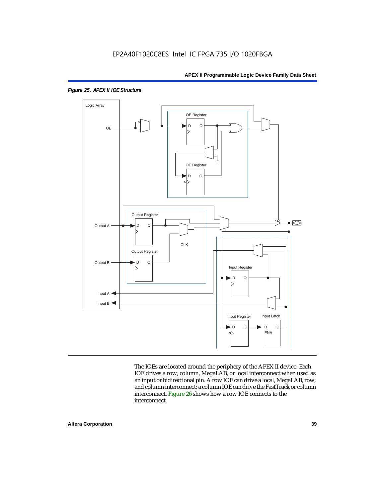

*Figure 25. APEX II IOE Structure*

The IOEs are located around the periphery of the APEX II device. Each IOE drives a row, column, MegaLAB, or local interconnect when used as an input or bidirectional pin. A row IOE can drive a local, MegaLAB, row, and column interconnect; a column IOE can drive the FastTrack or column interconnect. Figure 26 shows how a row IOE connects to the interconnect.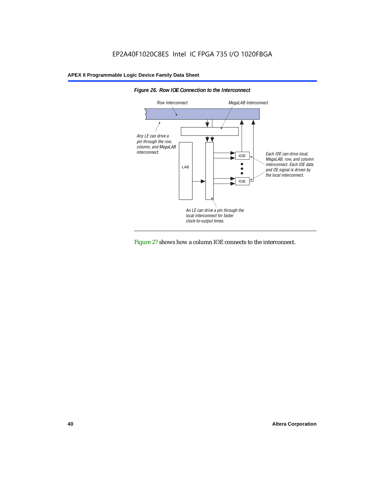



Figure 27 shows how a column IOE connects to the interconnect.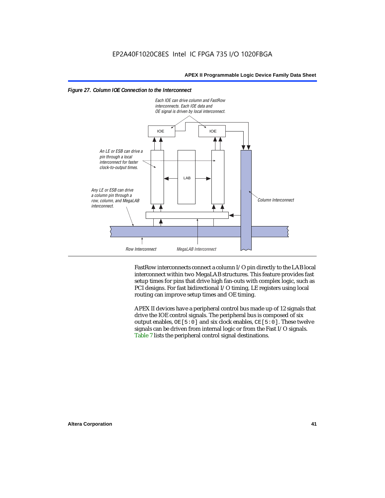



FastRow interconnects connect a column I/O pin directly to the LAB local interconnect within two MegaLAB structures. This feature provides fast setup times for pins that drive high fan-outs with complex logic, such as PCI designs. For fast bidirectional I/O timing, LE registers using local routing can improve setup times and OE timing.

APEX II devices have a peripheral control bus made up of 12 signals that drive the IOE control signals. The peripheral bus is composed of six output enables,  $OE[5:0]$  and six clock enables,  $CE[5:0]$ . These twelve signals can be driven from internal logic or from the Fast I/O signals. Table 7 lists the peripheral control signal destinations.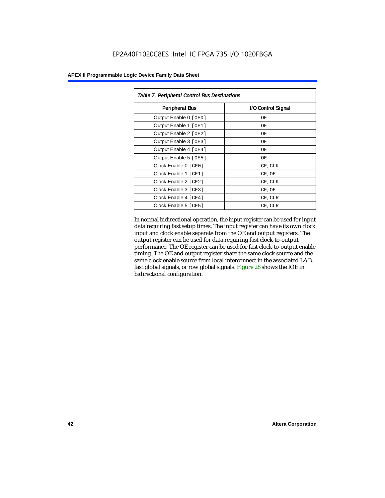| Table 7. Peripheral Control Bus Destinations |                    |  |  |  |
|----------------------------------------------|--------------------|--|--|--|
| <b>Peripheral Bus</b>                        | I/O Control Signal |  |  |  |
| Output Enable 0 [OE0]                        | OE.                |  |  |  |
| Output Enable 1 [OE1]                        | OE.                |  |  |  |
| Output Enable 2 [OE2]                        | OЕ                 |  |  |  |
| Output Enable 3 [OE3]                        | OЕ                 |  |  |  |
| Output Enable 4 [OE4]                        | OЕ                 |  |  |  |
| Output Enable 5 [OE5]                        | OЕ                 |  |  |  |
| Clock Enable 0 [ CEO ]                       | CE, CLK            |  |  |  |
| Clock Enable 1 [CE1]                         | CE, OE             |  |  |  |
| Clock Enable 2 [ CE2 ]                       | CE, CLK            |  |  |  |
| Clock Enable 3 [ CE3 ]                       | CE, OE             |  |  |  |
| Clock Enable 4 [CE4]                         | CE, CLR            |  |  |  |
| Clock Enable 5 [ CE5 ]                       | CE, CLR            |  |  |  |

In normal bidirectional operation, the input register can be used for input data requiring fast setup times. The input register can have its own clock input and clock enable separate from the OE and output registers. The output register can be used for data requiring fast clock-to-output performance. The OE register can be used for fast clock-to-output enable timing. The OE and output register share the same clock source and the same clock enable source from local interconnect in the associated LAB, fast global signals, or row global signals. Figure 28 shows the IOE in bidirectional configuration.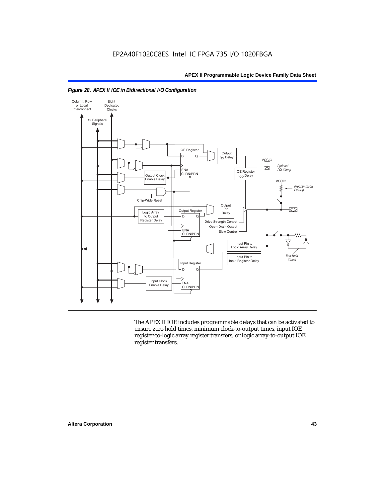

*Figure 28. APEX II IOE in Bidirectional I/O Configuration*

The APEX II IOE includes programmable delays that can be activated to ensure zero hold times, minimum clock-to-output times, input IOE register-to-logic array register transfers, or logic array-to-output IOE register transfers.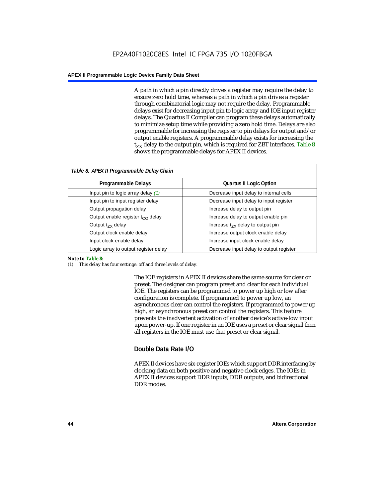A path in which a pin directly drives a register may require the delay to ensure zero hold time, whereas a path in which a pin drives a register through combinatorial logic may not require the delay. Programmable delays exist for decreasing input pin to logic array and IOE input register delays. The Quartus II Compiler can program these delays automatically to minimize setup time while providing a zero hold time. Delays are also programmable for increasing the register to pin delays for output and/or output enable registers. A programmable delay exists for increasing the  $t_{ZX}$  delay to the output pin, which is required for ZBT interfaces. Table 8 shows the programmable delays for APEX II devices.

| Table 8. APEX II Programmable Delay Chain |                                         |  |  |  |
|-------------------------------------------|-----------------------------------------|--|--|--|
| Programmable Delays                       | <b>Quartus II Logic Option</b>          |  |  |  |
| Input pin to logic array delay $(1)$      | Decrease input delay to internal cells  |  |  |  |
| Input pin to input register delay         | Decrease input delay to input register  |  |  |  |
| Output propagation delay                  | Increase delay to output pin            |  |  |  |
| Output enable register $t_{\rm CO}$ delay | Increase delay to output enable pin     |  |  |  |
| Output $t_{\rm rx}$ delay                 | Increase $t_{zx}$ delay to output pin   |  |  |  |
| Output clock enable delay                 | Increase output clock enable delay      |  |  |  |
| Input clock enable delay                  | Increase input clock enable delay       |  |  |  |
| Logic array to output register delay      | Decrease input delay to output register |  |  |  |

#### *Note to Table 8:*

(1) This delay has four settings: off and three levels of delay.

The IOE registers in APEX II devices share the same source for clear or preset. The designer can program preset and clear for each individual IOE. The registers can be programmed to power up high or low after configuration is complete. If programmed to power up low, an asynchronous clear can control the registers. If programmed to power up high, an asynchronous preset can control the registers. This feature prevents the inadvertent activation of another device's active-low input upon power-up. If one register in an IOE uses a preset or clear signal then all registers in the IOE must use that preset or clear signal.

## **Double Data Rate I/O**

APEX II devices have six-register IOEs which support DDR interfacing by clocking data on both positive and negative clock edges. The IOEs in APEX II devices support DDR inputs, DDR outputs, and bidirectional DDR modes.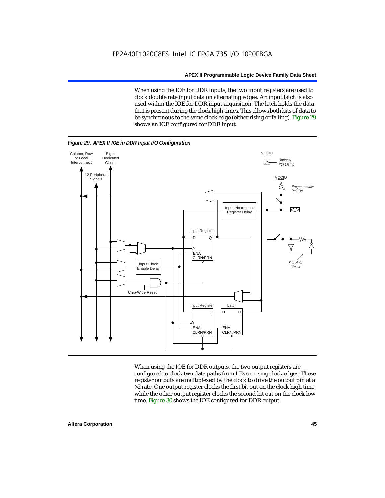When using the IOE for DDR inputs, the two input registers are used to clock double rate input data on alternating edges. An input latch is also used within the IOE for DDR input acquisition. The latch holds the data that is present during the clock high times. This allows both bits of data to be synchronous to the same clock edge (either rising or falling). Figure 29 shows an IOE configured for DDR input.



When using the IOE for DDR outputs, the two output registers are configured to clock two data paths from LEs on rising clock edges. These register outputs are multiplexed by the clock to drive the output pin at a  $\times 2$  rate. One output register clocks the first bit out on the clock high time, while the other output register clocks the second bit out on the clock low time. Figure 30 shows the IOE configured for DDR output.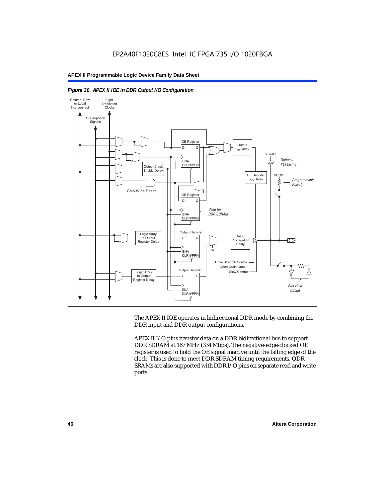



The APEX II IOE operates in bidirectional DDR mode by combining the DDR input and DDR output configurations.

APEX II I/O pins transfer data on a DDR bidirectional bus to support DDR SDRAM at 167 MHz (334 Mbps). The negative-edge-clocked OE register is used to hold the OE signal inactive until the falling edge of the clock. This is done to meet DDR SDRAM timing requirements. QDR SRAMs are also supported with DDR I/O pins on separate read and write ports.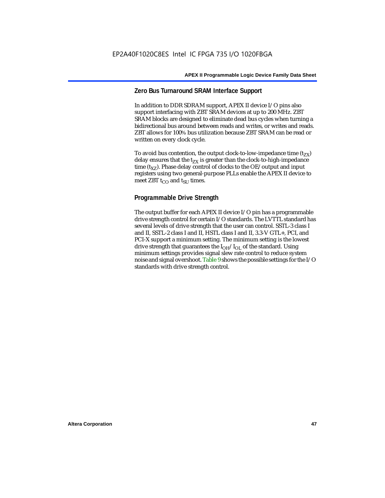## **Zero Bus Turnaround SRAM Interface Support**

In addition to DDR SDRAM support, APEX II device I/O pins also support interfacing with ZBT SRAM devices at up to 200 MHz. ZBT SRAM blocks are designed to eliminate dead bus cycles when turning a bidirectional bus around between reads and writes, or writes and reads. ZBT allows for 100% bus utilization because ZBT SRAM can be read or written on every clock cycle.

To avoid bus contention, the output clock-to-low-impedance time  $(t_{ZX})$ delay ensures that the  $t_{ZX}$  is greater than the clock-to-high-impedance time  $(t_{\text{YZ}})$ . Phase delay control of clocks to the OE/output and input registers using two general-purpose PLLs enable the APEX II device to meet ZBT  $t_{CO}$  and  $t_{SUI}$  times.

## **Programmable Drive Strength**

The output buffer for each APEX II device I/O pin has a programmable drive strength control for certain I/O standards. The LVTTL standard has several levels of drive strength that the user can control. SSTL-3 class I and II, SSTL-2 class I and II, HSTL class I and II, 3.3-V GTL+, PCI, and PCI-X support a minimum setting. The minimum setting is the lowest drive strength that guarantees the  $I<sub>OH</sub>/I<sub>OL</sub>$  of the standard. Using minimum settings provides signal slew rate control to reduce system noise and signal overshoot. Table 9 shows the possible settings for the I/O standards with drive strength control.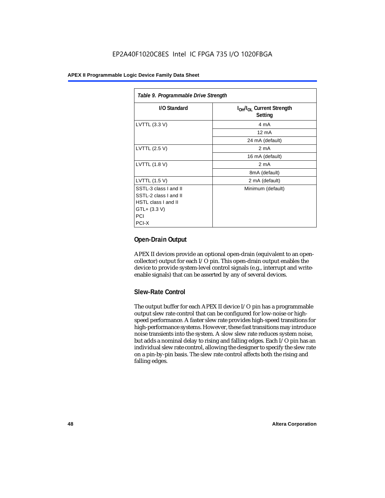| Table 9. Programmable Drive Strength |                                                              |  |  |  |
|--------------------------------------|--------------------------------------------------------------|--|--|--|
| I/O Standard                         | I <sub>OH</sub> /I <sub>OL</sub> Current Strength<br>Setting |  |  |  |
| LVTTL (3.3 V)                        | 4 mA                                                         |  |  |  |
|                                      | $12 \text{ mA}$                                              |  |  |  |
|                                      | 24 mA (default)                                              |  |  |  |
| LVTTL (2.5 V)                        | 2 <sub>m</sub> A                                             |  |  |  |
|                                      | 16 mA (default)                                              |  |  |  |
| LVTTL (1.8 V)                        | 2 mA                                                         |  |  |  |
|                                      | 8mA (default)                                                |  |  |  |
| LVTTL (1.5 V)                        | 2 mA (default)                                               |  |  |  |
| SSTL-3 class I and II                | Minimum (default)                                            |  |  |  |
| SSTL-2 class I and II                |                                                              |  |  |  |
| HSTL class I and II                  |                                                              |  |  |  |
| $GTL + (3.3 V)$                      |                                                              |  |  |  |
| PCI                                  |                                                              |  |  |  |
| PCI-X                                |                                                              |  |  |  |

## **Open-Drain Output**

APEX II devices provide an optional open-drain (equivalent to an opencollector) output for each I/O pin. This open-drain output enables the device to provide system-level control signals (e.g., interrupt and writeenable signals) that can be asserted by any of several devices.

## **Slew-Rate Control**

The output buffer for each APEX II device I/O pin has a programmable output slew rate control that can be configured for low-noise or highspeed performance. A faster slew rate provides high-speed transitions for high-performance systems. However, these fast transitions may introduce noise transients into the system. A slow slew rate reduces system noise, but adds a nominal delay to rising and falling edges. Each I/O pin has an individual slew rate control, allowing the designer to specify the slew rate on a pin-by-pin basis. The slew rate control affects both the rising and falling edges.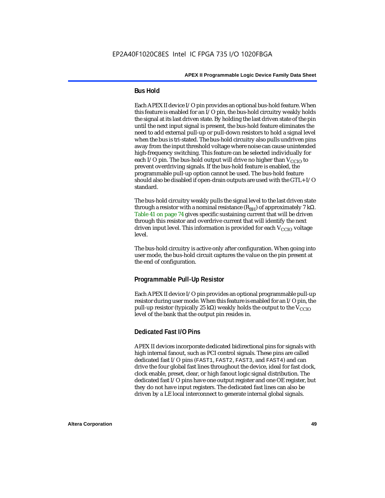#### **Bus Hold**

Each APEX II device I/O pin provides an optional bus-hold feature. When this feature is enabled for an I/O pin, the bus-hold circuitry weakly holds the signal at its last driven state. By holding the last driven state of the pin until the next input signal is present, the bus-hold feature eliminates the need to add external pull-up or pull-down resistors to hold a signal level when the bus is tri-stated. The bus-hold circuitry also pulls undriven pins away from the input threshold voltage where noise can cause unintended high-frequency switching. This feature can be selected individually for each I/O pin. The bus-hold output will drive no higher than  $V_{CCIO}$  to prevent overdriving signals. If the bus-hold feature is enabled, the programmable pull-up option cannot be used. The bus-hold feature should also be disabled if open-drain outputs are used with the GTL+ I/O standard.

The bus-hold circuitry weakly pulls the signal level to the last driven state through a resistor with a nominal resistance  $(R_{BH})$  of approximately 7 kΩ. Table 41 on page 74 gives specific sustaining current that will be driven through this resistor and overdrive current that will identify the next driven input level. This information is provided for each  $V_{CCIO}$  voltage level.

The bus-hold circuitry is active only after configuration. When going into user mode, the bus-hold circuit captures the value on the pin present at the end of configuration.

## **Programmable Pull-Up Resistor**

Each APEX II device I/O pin provides an optional programmable pull-up resistor during user mode. When this feature is enabled for an I/O pin, the pull-up resistor (typically 25 kΩ) weakly holds the output to the  $V_{CCIO}$ level of the bank that the output pin resides in.

#### **Dedicated Fast I/O Pins**

APEX II devices incorporate dedicated bidirectional pins for signals with high internal fanout, such as PCI control signals. These pins are called dedicated fast I/O pins (FAST1, FAST2, FAST3, and FAST4) and can drive the four global fast lines throughout the device, ideal for fast clock, clock enable, preset, clear, or high fanout logic signal distribution. The dedicated fast I/O pins have one output register and one OE register, but they do not have input registers. The dedicated fast lines can also be driven by a LE local interconnect to generate internal global signals.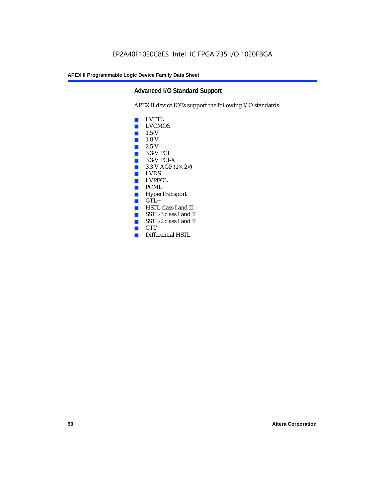## **Advanced I/O Standard Support**

APEX II device IOEs support the following I/O standards:

- LVTTL
- LVCMOS
- $\blacksquare$  1.5-V
- 1.8-V
- 2.5-V
- 3.3-V PCI
- 3.3-V PCI-X
- $\blacksquare$  3.3-V AGP (1 $\times$ , 2 $\times$ )
- LVDS<br>■ LVPE
- LVPECL
- PCML
- HyperTransport
- GTL+<br>■ HSTL
- HSTL class I and II
- SSTL-3 class I and II
- SSTL-2 class I and II
- CTT
- Differential HSTL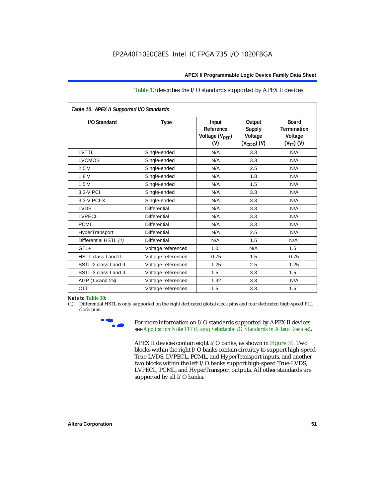#### Table 10 describes the I/O standards supported by APEX II devices.

| Table 10. APEX II Supported I/O Standards |                     |                                                  |                                                               |                                                                   |  |
|-------------------------------------------|---------------------|--------------------------------------------------|---------------------------------------------------------------|-------------------------------------------------------------------|--|
| I/O Standard                              | Type                | Input<br>Reference<br>Voltage $(V_{RFF})$<br>(V) | Output<br><b>Supply</b><br>Voltage<br>$(V_{\text{CCIO}})$ (V) | <b>Board</b><br><b>Termination</b><br>Voltage<br>$(V_{TT})$ $(V)$ |  |
| LVTTL                                     | Single-ended        | N/A                                              | 3.3                                                           | N/A                                                               |  |
| <b>LVCMOS</b>                             | Single-ended        | N/A                                              | 3.3                                                           | N/A                                                               |  |
| 2.5V                                      | Single-ended        | N/A                                              | 2.5                                                           | N/A                                                               |  |
| 1.8V                                      | Single-ended        | N/A                                              | 1.8                                                           | N/A                                                               |  |
| 1.5V                                      | Single-ended        | N/A                                              | 1.5                                                           | N/A                                                               |  |
| 3.3-V PCI                                 | Single-ended        | N/A                                              | 3.3                                                           | N/A                                                               |  |
| $3.3-V$ PCI-X                             | Single-ended        | N/A                                              | 3.3                                                           | N/A                                                               |  |
| <b>LVDS</b>                               | Differential        | N/A                                              | 3.3                                                           | N/A                                                               |  |
| <b>LVPECL</b>                             | Differential        | N/A                                              | 3.3                                                           | N/A                                                               |  |
| <b>PCML</b>                               | <b>Differential</b> | N/A                                              | 3.3                                                           | N/A                                                               |  |
| HyperTransport                            | Differential        | N/A                                              | 2.5                                                           | N/A                                                               |  |
| Differential HSTL (1)                     | Differential        | N/A                                              | 1.5                                                           | N/A                                                               |  |
| $GTL+$                                    | Voltage referenced  | 1.0                                              | N/A                                                           | 1.5                                                               |  |
| HSTL class I and II                       | Voltage referenced  | 0.75                                             | 1.5                                                           | 0.75                                                              |  |
| SSTL-2 class I and II                     | Voltage referenced  | 1.25                                             | 2.5                                                           | 1.25                                                              |  |
| SSTL-3 class I and II                     | Voltage referenced  | 1.5                                              | 3.3                                                           | 1.5                                                               |  |
| AGP (1 $\times$ and 2 $\times$ )          | Voltage referenced  | 1.32                                             | 3.3                                                           | N/A                                                               |  |
| <b>CTT</b>                                | Voltage referenced  | 1.5                                              | 3.3                                                           | 1.5                                                               |  |

#### *Note to Table 10:*

(1) Differential HSTL is only supported on the eight dedicated global clock pins and four dedicated high-speed PLL clock pins.



For more information on I/O standards supported by APEX II devices, see *Application Note 117 (Using Selectable I/O Standards in Altera Devices)*.

APEX II devices contain eight I/O banks, as shown in Figure 31. Two blocks within the right I/O banks contain circuitry to support high-speed True-LVDS, LVPECL, PCML, and HyperTransport inputs, and another two blocks within the left I/O banks support high-speed True-LVDS, LVPECL, PCML, and HyperTransport outputs. All other standards are supported by all I/O banks.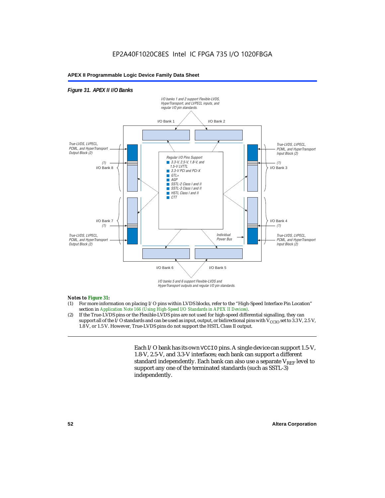### *Figure 31. APEX II I/O Banks*



HyperTransport outputs and regular I/O pin standards.

#### *Notes to Figure 31:*

- (1) For more information on placing I/O pins within LVDS blocks, refer to the "High-Speed Interface Pin Location" section in *Application Note 166 (Using High-Speed I/O Standards in APEX II Devices)*.
- (2) If the True-LVDS pins or the Flexible-LVDS pins are not used for high-speed differential signalling, they can support all of the I/O standards and can be used as input, output, or bidirectional pins with  $V_{CCIO}$  set to 3.3 V, 2.5 V, 1.8 V, or 1.5 V. However, True-LVDS pins do not support the HSTL Class II output.

Each I/O bank has its own VCCIO pins. A single device can support 1.5-V, 1.8-V, 2.5-V, and 3.3-V interfaces; each bank can support a different standard independently. Each bank can also use a separate  $V_{REF}$  level to support any one of the terminated standards (such as SSTL-3) independently.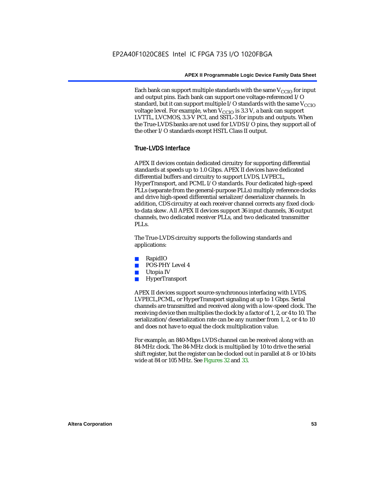Each bank can support multiple standards with the same  $V_{\text{CCIO}}$  for input and output pins. Each bank can support one voltage-referenced I/O standard, but it can support multiple I/O standards with the same  $V_{CCIO}$ voltage level. For example, when  $V_{CCIO}$  is 3.3 V, a bank can support LVTTL, LVCMOS, 3.3-V PCI, and SSTL-3 for inputs and outputs. When the True-LVDS banks are not used for LVDS I/O pins, they support all of the other I/O standards except HSTL Class II output.

## **True-LVDS Interface**

APEX II devices contain dedicated circuitry for supporting differential standards at speeds up to 1.0 Gbps. APEX II devices have dedicated differential buffers and circuitry to support LVDS, LVPECL, HyperTransport, and PCML I/O standards. Four dedicated high-speed PLLs (separate from the general-purpose PLLs) multiply reference clocks and drive high-speed differential serializer/deserializer channels. In addition, CDS circuitry at each receiver channel corrects any fixed clockto-data skew. All APEX II devices support 36 input channels, 36 output channels, two dedicated receiver PLLs, and two dedicated transmitter PLL<sub>s</sub>.

The True-LVDS circuitry supports the following standards and applications:

- RapidIO
- POS-PHY Level 4
- Utopia IV
- **HyperTransport**

APEX II devices support source-synchronous interfacing with LVDS, LVPECL,PCML, or HyperTransport signaling at up to 1 Gbps. Serial channels are transmitted and received along with a low-speed clock. The receiving device then multiplies the clock by a factor of 1, 2, or 4 to 10. The serialization/deserialization rate can be any number from 1, 2, or 4 to 10 and does not have to equal the clock multiplication value.

For example, an 840-Mbps LVDS channel can be received along with an 84-MHz clock. The 84-MHz clock is multiplied by 10 to drive the serial shift register, but the register can be clocked out in parallel at 8- or 10-bits wide at 84 or 105 MHz. See Figures 32 and 33.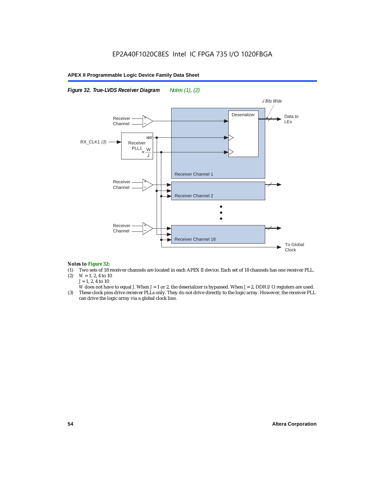

*Figure 32. True-LVDS Receiver Diagram Notes (1), (2)*



#### *Notes to Figure 32:*

- (1) Two sets of 18 receiver channels are located in each APEX II device. Each set of 18 channels has one receiver PLL.<br>(2)  $W = 1, 2, 4$  to 10
- $W = 1, 2, 4$  to 10 *J* = 1, 2, 4 to 10
- *W* does not have to equal *J*. When *J* = 1 or 2, the deserializer is bypassed. When *J* = 2, DDR I/O registers are used.
- (3) These clock pins drive receiver PLLs only. They do not drive directly to the logic array. However, the receiver PLL can drive the logic array via a global clock line.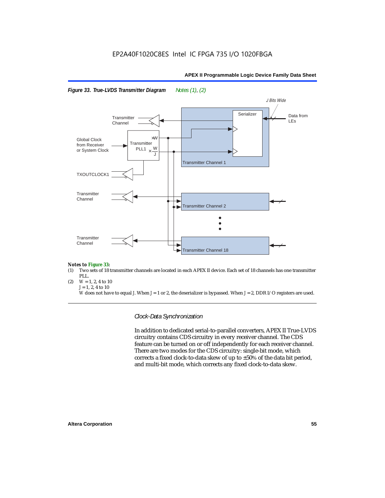



#### *Notes to Figure 33:*

- (1) Two sets of 18 transmitter channels are located in each APEX II device. Each set of 18 channels has one transmitter PLL.
- (2)  $W = 1, 2, 4$  to 10 *J* = 1, 2, 4 to 10

*W* does not have to equal *J*. When *J* = 1 or 2, the deserializer is bypassed. When *J* = 2, DDR I/O registers are used.

*Clock-Data Synchronization*

In addition to dedicated serial-to-parallel converters, APEX II True-LVDS circuitry contains CDS circuitry in every receiver channel. The CDS feature can be turned on or off independently for each receiver channel. There are two modes for the CDS circuitry: single-bit mode, which corrects a fixed clock-to-data skew of up to ±50% of the data bit period, and multi-bit mode, which corrects any fixed clock-to-data skew.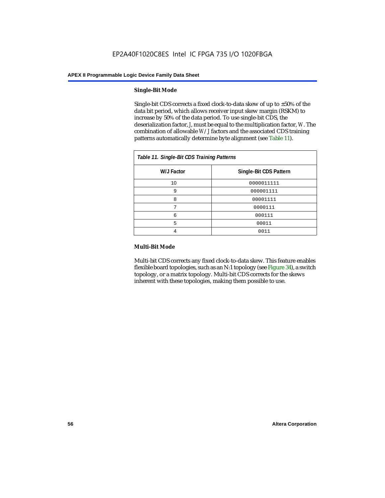#### **Single-Bit Mode**

Single-bit CDS corrects a fixed clock-to-data skew of up to  $\pm 50\%$  of the data bit period, which allows receiver input skew margin (RSKM) to increase by 50% of the data period. To use single-bit CDS, the deserialization factor, *J*, must be equal to the multiplication factor, *W*. The combination of allowable *W*/*J* factors and the associated CDS training patterns automatically determine byte alignment (see Table 11).

| Table 11. Single-Bit CDS Training Patterns |                        |  |  |
|--------------------------------------------|------------------------|--|--|
| W/J Factor                                 | Single-Bit CDS Pattern |  |  |
| 10                                         | 0000011111             |  |  |
| 9                                          | 000001111              |  |  |
| 8                                          | 00001111               |  |  |
|                                            | 0000111                |  |  |
| 6                                          | 000111                 |  |  |
| 5                                          | 00011                  |  |  |
|                                            | 0011                   |  |  |

#### **Multi-Bit Mode**

Multi-bit CDS corrects any fixed clock-to-data skew. This feature enables flexible board topologies, such as an N:1 topology (see Figure 34), a switch topology, or a matrix topology. Multi-bit CDS corrects for the skews inherent with these topologies, making them possible to use.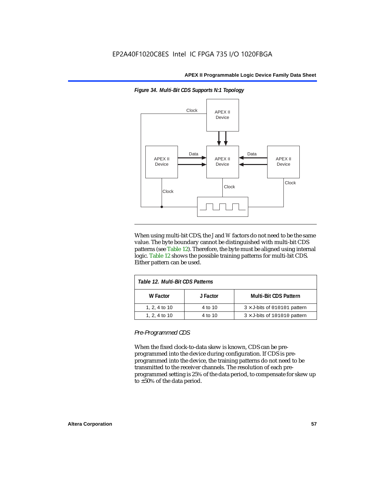

*Figure 34. Multi-Bit CDS Supports N:1 Topology*

When using multi-bit CDS, the *J* and *W* factors do not need to be the same value. The byte boundary cannot be distinguished with multi-bit CDS patterns (see Table 12). Therefore, the byte must be aligned using internal logic. Table 12 shows the possible training patterns for multi-bit CDS. Either pattern can be used.

| Table 12. Multi-Bit CDS Patterns |          |                                     |  |
|----------------------------------|----------|-------------------------------------|--|
| W Factor                         | J Factor | <b>Multi-Bit CDS Pattern</b>        |  |
| 1, 2, 4 to 10                    | 4 to 10  | $3 \times$ J-bits of 010101 pattern |  |
| 1, 2, 4 to 10                    | 4 to 10  | $3 \times$ J-bits of 101010 pattern |  |

*Pre-Programmed CDS*

When the fixed clock-to-data skew is known, CDS can be preprogrammed into the device during configuration. If CDS is preprogrammed into the device, the training patterns do not need to be transmitted to the receiver channels. The resolution of each preprogrammed setting is 25% of the data period, to compensate for skew up to ±50% of the data period.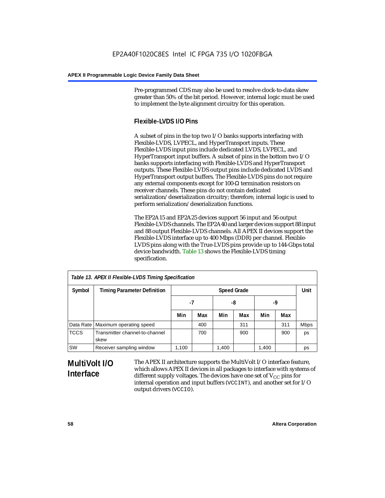Pre-programmed CDS may also be used to resolve clock-to-data skew greater than 50% of the bit period. However, internal logic must be used to implement the byte alignment circuitry for this operation.

## **Flexible-LVDS I/O Pins**

A subset of pins in the top two I/O banks supports interfacing with Flexible-LVDS, LVPECL, and HyperTransport inputs. These Flexible-LVDS input pins include dedicated LVDS, LVPECL, and HyperTransport input buffers. A subset of pins in the bottom two I/O banks supports interfacing with Flexible-LVDS and HyperTransport outputs. These Flexible-LVDS output pins include dedicated LVDS and HyperTransport output buffers. The Flexible-LVDS pins do not require any external components except for 100- $\Omega$  termination resistors on receiver channels. These pins do not contain dedicated serialization/deserialization circuitry; therefore, internal logic is used to perform serialization/deserialization functions.

The EP2A15 and EP2A25 devices support 56 input and 56 output Flexible-LVDS channels. The EP2A40 and larger devices support 88 input and 88 output Flexible-LVDS channels. All APEX II devices support the Flexible-LVDS interface up to 400 Mbps (DDR) per channel. Flexible-LVDS pins along with the True-LVDS pins provide up to 144-Gbps total device bandwidth. Table 13 shows the Flexible-LVDS timing specification.

| Table 13. APEX II Flexible-LVDS Timing Specification |                                        |                    |     |       |     |       |      |             |
|------------------------------------------------------|----------------------------------------|--------------------|-----|-------|-----|-------|------|-------------|
| Symbol                                               | <b>Timing Parameter Definition</b>     | <b>Speed Grade</b> |     |       |     |       | Unit |             |
|                                                      |                                        | -7                 |     | -8    |     | -9    |      |             |
|                                                      |                                        | Min                | Max | Min   | Max | Min   | Max  |             |
|                                                      | Data Rate   Maximum operating speed    |                    | 400 |       | 311 |       | 311  | <b>Mbps</b> |
| <b>TCCS</b>                                          | Transmitter channel-to-channel<br>skew |                    | 700 |       | 900 |       | 900  | ps          |
| SW                                                   | Receiver sampling window               | 1,100              |     | 1,400 |     | 1,400 |      | ps          |

# **MultiVolt I/O Interface**

The APEX II architecture supports the MultiVolt I/O interface feature, which allows APEX II devices in all packages to interface with systems of different supply voltages. The devices have one set of  $V_{CC}$  pins for internal operation and input buffers (VCCINT), and another set for I/O output drivers (VCCIO).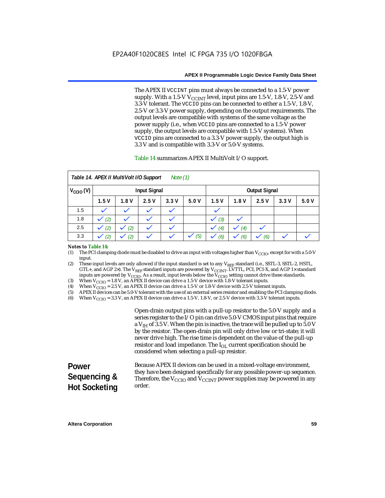The APEX II VCCINT pins must always be connected to a 1.5-V power supply. With a 1.5-V  $V_{\text{CCINT}}$  level, input pins are 1.5-V, 1.8-V, 2.5-V and 3.3-V tolerant. The VCCIO pins can be connected to either a 1.5-V, 1.8-V, 2.5-V or 3.3-V power supply, depending on the output requirements. The output levels are compatible with systems of the same voltage as the power supply (i.e., when VCCIO pins are connected to a 1.5-V power supply, the output levels are compatible with 1.5-V systems). When VCCIO pins are connected to a 3.3-V power supply, the output high is 3.3 V and is compatible with 3.3-V or 5.0-V systems.

#### Table 14 summarizes APEX II MultiVolt I/O support.

|                      | Table 14. APEX II MultiVolt I/O Support<br>Note $(1)$ |      |              |                          |      |                     |         |                      |      |      |
|----------------------|-------------------------------------------------------|------|--------------|--------------------------|------|---------------------|---------|----------------------|------|------|
| $V_{\text{CCIO}}(V)$ | <b>Input Signal</b>                                   |      |              |                          |      |                     |         | <b>Output Signal</b> |      |      |
|                      | 1.5V                                                  | 1.8V | 2.5V         | 3.3V                     | 5.0V | 1.5V                | 1.8V    | 2.5V                 | 3.3V | 5.0V |
| 1.5                  | $\checkmark$                                          |      | $\checkmark$ | $\checkmark$             |      | $\checkmark$        |         |                      |      |      |
| 1.8                  | (2)                                                   |      |              | $\overline{\phantom{a}}$ |      | (3)<br>$\checkmark$ | $\cdot$ |                      |      |      |
| 2.5                  | (2)                                                   | (2)  | $\checkmark$ | $\checkmark$             |      | (4)                 | (4)     | $\checkmark$         |      |      |
| 3.3                  | (2)                                                   | (2)  |              |                          | (5)  | (6)                 | (6)     | (6)<br>$\checkmark$  |      |      |

#### *Notes to Table 14:*

(1) The PCI clamping diode must be disabled to drive an input with voltages higher than  $V_{\rm CClO}$ , except for with a 5.0-V input.

(2) These input levels are only allowed if the input standard is set to any V<sub>REF</sub> standard (i.e., SSTL-3, SSTL-2, HSTL, GTL+, and AGP 2×). The V<sub>REF</sub> standard inputs are powered by V<sub>CCINT</sub>. LVTTL, PCI, PCI-X, and AGP 1× standard inputs are powered by  $V_{\text{CCIO}}$ . As a result, input levels below the  $V_{\text{CCIO}}$  setting cannot drive these standards.

(3) When  $V_{\text{CCIO}} = 1.8$  V, an APEX II device can drive a 1.5-V device with 1.8-V tolerant inputs.<br>(4) When  $V_{\text{CCIO}} = 2.5$  V, an APEX II device can drive a 1.5-V or 1.8-V device with 2.5-V toleran

(4) When  $V_{\text{CCIO}} = 2.5$  V, an APEX II device can drive a 1.5-V or 1.8-V device with 2.5-V tolerant inputs.<br>(5) APEX II devices can be 5.0-V tolerant with the use of an external series resistor and enabling the PCI cl

(5) APEX II devices can be 5.0-V tolerant with the use of an external series resistor and enabling the PCI clamping diode.

(6) When  $V_{\text{CCIO}} = 3.3$  V, an APEX II device can drive a 1.5-V, 1.8-V, or 2.5-V device with 3.3-V tolerant inputs.

Open-drain output pins with a pull-up resistor to the 5.0-V supply and a series register to the I/O pin can drive 5.0-V CMOS input pins that require a  $V<sub>IH</sub>$  of 3.5 V. When the pin is inactive, the trace will be pulled up to 5.0 V by the resistor. The open-drain pin will only drive low or tri-state; it will never drive high. The rise time is dependent on the value of the pull-up resistor and load impedance. The  $I_{OL}$  current specification should be considered when selecting a pull-up resistor.

#### **Power Sequencing & Hot Socketing** Because APEX II devices can be used in a mixed-voltage environment, they have been designed specifically for any possible power-up sequence. Therefore, the  $V_{\text{CCIO}}$  and  $V_{\text{CCINT}}$  power supplies may be powered in any order.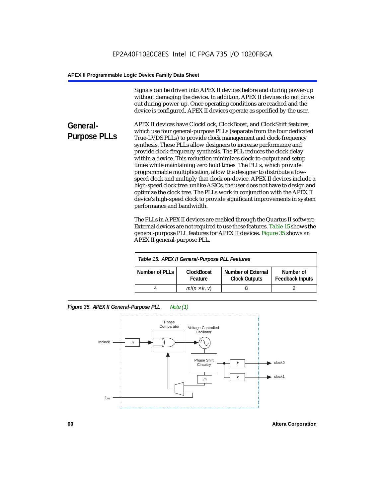Signals can be driven into APEX II devices before and during power-up without damaging the device. In addition, APEX II devices do not drive out during power-up. Once operating conditions are reached and the device is configured, APEX II devices operate as specified by the user.

**General-Purpose PLLs** APEX II devices have ClockLock, ClockBoost, and ClockShift features, which use four general-purpose PLLs (separate from the four dedicated True-LVDS PLLs) to provide clock management and clock-frequency synthesis. These PLLs allow designers to increase performance and provide clock-frequency synthesis. The PLL reduces the clock delay within a device. This reduction minimizes clock-to-output and setup times while maintaining zero hold times. The PLLs, which provide programmable multiplication, allow the designer to distribute a lowspeed clock and multiply that clock on-device. APEX II devices include a high-speed clock tree: unlike ASICs, the user does not have to design and optimize the clock tree. The PLLs work in conjunction with the APEX II device's high-speed clock to provide significant improvements in system performance and bandwidth.

> The PLLs in APEX II devices are enabled through the Quartus II software. External devices are not required to use these features. Table 15 shows the general-purpose PLL features for APEX II devices. Figure 35 shows an APEX II general-purpose PLL.

| Table 15. APEX II General-Purpose PLL Features                                                                                             |                     |  |  |  |
|--------------------------------------------------------------------------------------------------------------------------------------------|---------------------|--|--|--|
| <b>Number of External</b><br>Number of PLLs<br><b>ClockBoost</b><br>Number of<br><b>Feedback Inputs</b><br><b>Clock Outputs</b><br>Feature |                     |  |  |  |
|                                                                                                                                            | $m/(n \times k, v)$ |  |  |  |

*Figure 35. APEX II General-Purpose PLL Note (1)*

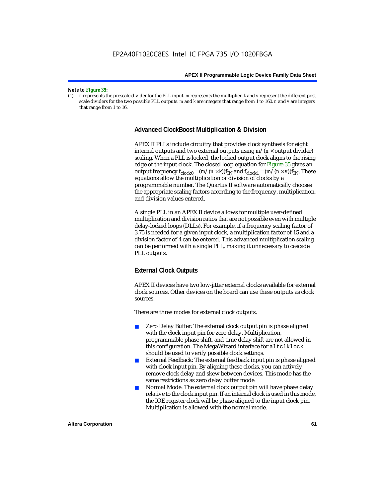#### *Note to Figure 35:*

(1) *n* represents the prescale divider for the PLL input. *m* represents the multiplier. *k* and *v* represent the different post scale dividers for the two possible PLL outputs. *m* and *k* are integers that range from 1 to 160. *n* and *v* are integers that range from 1 to 16.

#### **Advanced ClockBoost Multiplication & Division**

APEX II PLLs include circuitry that provides clock synthesis for eight internal outputs and two external outputs using  $m/(n \times$  output divider) scaling. When a PLL is locked, the locked output clock aligns to the rising edge of the input clock. The closed loop equation for Figure 35 gives an output frequency  $f_{clock0} = (m/(n \times k))f_{IN}$  and  $f_{clock1} = (m/(n \times v))f_{IN}$ . These equations allow the multiplication or division of clocks by a programmable number. The Quartus II software automatically chooses the appropriate scaling factors according to the frequency, multiplication, and division values entered.

A single PLL in an APEX II device allows for multiple user-defined multiplication and division ratios that are not possible even with multiple delay-locked loops (DLLs). For example, if a frequency scaling factor of 3.75 is needed for a given input clock, a multiplication factor of 15 and a division factor of 4 can be entered. This advanced multiplication scaling can be performed with a single PLL, making it unnecessary to cascade PLL outputs.

## **External Clock Outputs**

APEX II devices have two low-jitter external clocks available for external clock sources. Other devices on the board can use these outputs as clock sources.

There are three modes for external clock outputs.

- Zero Delay Buffer: The external clock output pin is phase aligned with the clock input pin for zero delay. Multiplication, programmable phase shift, and time delay shift are not allowed in this configuration. The MegaWizard interface for altclklock should be used to verify possible clock settings.
- External Feedback: The external feedback input pin is phase aligned with clock input pin. By aligning these clocks, you can actively remove clock delay and skew between devices. This mode has the same restrictions as zero delay buffer mode.
- Normal Mode: The external clock output pin will have phase delay relative to the clock input pin. If an internal clock is used in this mode, the IOE register clock will be phase aligned to the input clock pin. Multiplication is allowed with the normal mode.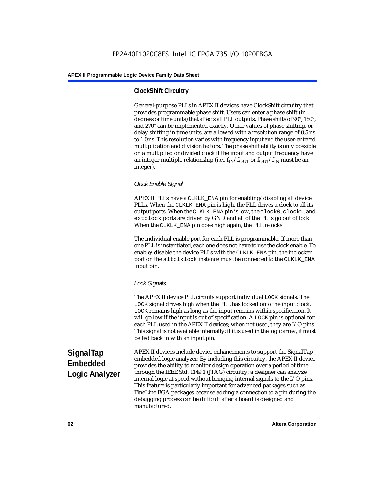## **ClockShift Circuitry**

General-purpose PLLs in APEX II devices have ClockShift circuitry that provides programmable phase shift. Users can enter a phase shift (in degrees or time units) that affects all PLL outputs. Phase shifts of 90°, 180°, and 270° can be implemented exactly. Other values of phase shifting, or delay shifting in time units, are allowed with a resolution range of 0.5 ns to 1.0 ns. This resolution varies with frequency input and the user-entered multiplication and division factors. The phase shift ability is only possible on a multiplied or divided clock if the input and output frequency have an integer multiple relationship (i.e.,  $f_{IN}/f_{OUT}$  or  $f_{OUT}/f_{IN}$  must be an integer).

## *Clock Enable Signal*

APEX II PLLs have a CLKLK\_ENA pin for enabling/disabling all device PLLs. When the CLKLK\_ENA pin is high, the PLL drives a clock to all its output ports. When the CLKLK\_ENA pin is low, the clock0, clock1, and extclock ports are driven by GND and all of the PLLs go out of lock. When the CLKLK\_ENA pin goes high again, the PLL relocks.

The individual enable port for each PLL is programmable. If more than one PLL is instantiated, each one does not have to use the clock enable. To enable/disable the device PLLs with the CLKLK\_ENA pin, the inclocken port on the altclklock instance must be connected to the CLKLK\_ENA input pin.

## *Lock Signals*

The APEX II device PLL circuits support individual LOCK signals. The LOCK signal drives high when the PLL has locked onto the input clock. LOCK remains high as long as the input remains within specification. It will go low if the input is out of specification. A LOCK pin is optional for each PLL used in the APEX II devices; when not used, they are I/O pins. This signal is not available internally; if it is used in the logic array, it must be fed back in with an input pin.

**SignalTap Embedded Logic Analyzer** APEX II devices include device enhancements to support the SignalTap embedded logic analyzer. By including this circuitry, the APEX II device provides the ability to monitor design operation over a period of time through the IEEE Std. 1149.1 (JTAG) circuitry; a designer can analyze internal logic at speed without bringing internal signals to the I/O pins. This feature is particularly important for advanced packages such as FineLine BGA packages because adding a connection to a pin during the debugging process can be difficult after a board is designed and manufactured.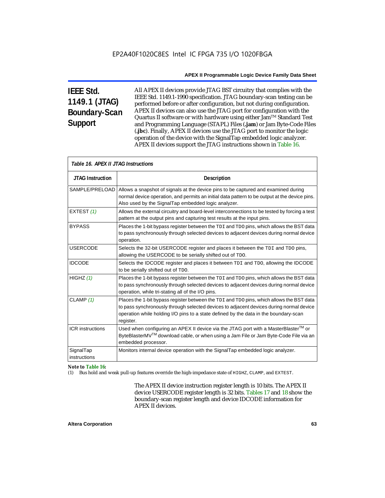# **IEEE Std. 1149.1 (JTAG) Boundary-Scan Support**

All APEX II devices provide JTAG BST circuitry that complies with the IEEE Std. 1149.1-1990 specification. JTAG boundary-scan testing can be performed before or after configuration, but not during configuration. APEX II devices can also use the JTAG port for configuration with the Quartus II software or with hardware using either Jam<sup>TM</sup> Standard Test and Programming Language (STAPL) Files (**.jam**) or Jam Byte-Code Files (**.jbc**). Finally, APEX II devices use the JTAG port to monitor the logic operation of the device with the SignalTap embedded logic analyzer. APEX II devices support the JTAG instructions shown in Table 16.

|                           | Table 16. APEX II JTAG Instructions                                                                                                                                                                                                                                                      |  |  |  |  |
|---------------------------|------------------------------------------------------------------------------------------------------------------------------------------------------------------------------------------------------------------------------------------------------------------------------------------|--|--|--|--|
| <b>JTAG Instruction</b>   | <b>Description</b>                                                                                                                                                                                                                                                                       |  |  |  |  |
| SAMPLE/PRELOAD            | Allows a snapshot of signals at the device pins to be captured and examined during<br>normal device operation, and permits an initial data pattern to be output at the device pins.<br>Also used by the SignalTap embedded logic analyzer.                                               |  |  |  |  |
| EXTEST (1)                | Allows the external circuitry and board-level interconnections to be tested by forcing a test<br>pattern at the output pins and capturing test results at the input pins.                                                                                                                |  |  |  |  |
| <b>BYPASS</b>             | Places the 1-bit bypass register between the TDI and TDO pins, which allows the BST data<br>to pass synchronously through selected devices to adjacent devices during normal device<br>operation.                                                                                        |  |  |  |  |
| <b>USERCODE</b>           | Selects the 32-bit USERCODE register and places it between the TDI and TDO pins,<br>allowing the USERCODE to be serially shifted out of TDO.                                                                                                                                             |  |  |  |  |
| <b>IDCODE</b>             | Selects the IDCODE register and places it between TDI and TDO, allowing the IDCODE<br>to be serially shifted out of TDO.                                                                                                                                                                 |  |  |  |  |
| HIGHZ $(1)$               | Places the 1-bit bypass register between the TDI and TDO pins, which allows the BST data<br>to pass synchronously through selected devices to adjacent devices during normal device<br>operation, while tri-stating all of the I/O pins.                                                 |  |  |  |  |
| CLAMP $(1)$               | Places the 1-bit bypass register between the TDI and TDO pins, which allows the BST data<br>to pass synchronously through selected devices to adjacent devices during normal device<br>operation while holding I/O pins to a state defined by the data in the boundary-scan<br>register. |  |  |  |  |
| <b>ICR</b> instructions   | Used when configuring an APEX II device via the JTAG port with a MasterBlaster™ or<br>ByteBlasterMV <sup>TM</sup> download cable, or when using a Jam File or Jam Byte-Code File via an<br>embedded processor.                                                                           |  |  |  |  |
| SignalTap<br>instructions | Monitors internal device operation with the SignalTap embedded logic analyzer.                                                                                                                                                                                                           |  |  |  |  |

#### *Note to Table 16:*

(1) Bus hold and weak pull-up features override the high-impedance state of HIGHZ, CLAMP, and EXTEST.

The APEX II device instruction register length is 10 bits. The APEX II device USERCODE register length is 32 bits. Tables 17 and 18 show the boundary-scan register length and device IDCODE information for APEX II devices.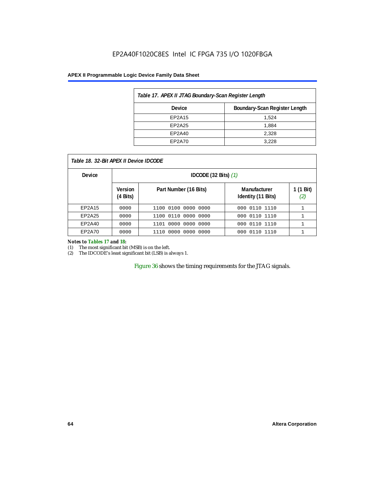## EP2A40F1020C8ES Intel IC FPGA 735 I/O 1020FBGA

#### **APEX II Programmable Logic Device Family Data Sheet**

| Table 17. APEX II JTAG Boundary-Scan Register Length |                               |  |
|------------------------------------------------------|-------------------------------|--|
| <b>Device</b>                                        | Boundary-Scan Register Length |  |
| EP2A15                                               | 1.524                         |  |
| EP2A25                                               | 1.884                         |  |
| EP2A40                                               | 2,328                         |  |
| EP2A70                                               | 3.228                         |  |

| Table 18. 32-Bit APEX II Device IDCODE |                                      |                                  |                                    |               |  |  |  |  |  |  |
|----------------------------------------|--------------------------------------|----------------------------------|------------------------------------|---------------|--|--|--|--|--|--|
| <b>Device</b>                          |                                      | IDCODE $(32 \text{ Bits})$ $(1)$ |                                    |               |  |  |  |  |  |  |
|                                        | <b>Version</b><br>$(4 \text{ Bits})$ | Part Number (16 Bits)            | Manufacturer<br>Identity (11 Bits) | 1 (1 l<br>(2) |  |  |  |  |  |  |
| EP2A15                                 | 0000                                 | 0100 0000 0000<br>1100           | 000 0110 1110                      |               |  |  |  |  |  |  |
| EP2A25                                 | 0000                                 | 1100 0110 0000 0000              | 000 0110 1110                      |               |  |  |  |  |  |  |
| EP2A40                                 | 0000                                 | . 0000. 0000<br>0000<br>1101     | 000 0110<br>1110                   |               |  |  |  |  |  |  |

#### *Notes to Tables 17 and 18:*

(1) The most significant bit (MSB) is on the left.

(2) The IDCODE's least significant bit (LSB) is always 1.

Figure 36 shows the timing requirements for the JTAG signals.

EP2A70 0000 1110 0000 0000 0000 000 0110 1110 1

**1 (1 Bit)** *(2)*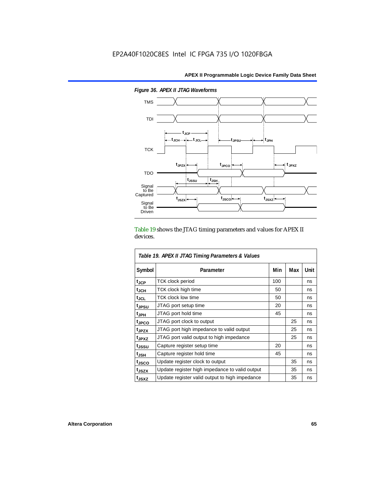

*Figure 36. APEX II JTAG Waveforms*

Table 19 shows the JTAG timing parameters and values for APEX II devices.

| Table 19. APEX II JTAG Timing Parameters & Values |                                                |     |     |      |  |  |  |  |  |
|---------------------------------------------------|------------------------------------------------|-----|-----|------|--|--|--|--|--|
| Symbol                                            | Parameter                                      | Min | Max | Unit |  |  |  |  |  |
| t <sub>JCP</sub>                                  | <b>TCK clock period</b>                        | 100 |     | ns   |  |  |  |  |  |
| $t_{\sf JCH}$                                     | TCK clock high time                            | 50  |     | ns   |  |  |  |  |  |
| tjcl                                              | <b>TCK clock low time</b>                      | 50  |     | ns   |  |  |  |  |  |
| tjpsu                                             | JTAG port setup time                           | 20  |     | ns   |  |  |  |  |  |
| t <sub>JPH</sub>                                  | JTAG port hold time                            | 45  |     | ns   |  |  |  |  |  |
| <sup>t</sup> JPCO                                 | JTAG port clock to output                      |     | 25  | ns   |  |  |  |  |  |
| t <sub>JPZX</sub>                                 | JTAG port high impedance to valid output       |     | 25  | ns   |  |  |  |  |  |
| t <sub>JPXZ</sub>                                 | JTAG port valid output to high impedance       |     | 25  | ns   |  |  |  |  |  |
| tjssu                                             | Capture register setup time                    | 20  |     | ns   |  |  |  |  |  |
| t <sub>JSH</sub>                                  | Capture register hold time                     | 45  |     | ns   |  |  |  |  |  |
| tjsco                                             | Update register clock to output                |     | 35  | ns   |  |  |  |  |  |
| t <sub>JSZX</sub>                                 | Update register high impedance to valid output |     | 35  | ns   |  |  |  |  |  |
| t <sub>JSXZ</sub>                                 | Update register valid output to high impedance |     | 35  | ns   |  |  |  |  |  |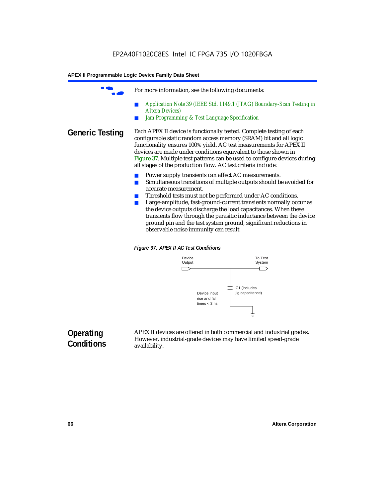For more information, see the following documents: ■ *Application Note 39 (IEEE Std. 1149.1 (JTAG) Boundary-Scan Testing in Altera Devices) Jam Programming & Test Language Specification* **Generic Testing** Each APEX II device is functionally tested. Complete testing of each configurable static random access memory (SRAM) bit and all logic functionality ensures 100% yield. AC test measurements for APEX II devices are made under conditions equivalent to those shown in Figure 37. Multiple test patterns can be used to configure devices during all stages of the production flow. AC test criteria include: Power supply transients can affect AC measurements. ■ Simultaneous transitions of multiple outputs should be avoided for accurate measurement. Threshold tests must not be performed under AC conditions. ■ Large-amplitude, fast-ground-current transients normally occur as the device outputs discharge the load capacitances. When these transients flow through the parasitic inductance between the device ground pin and the test system ground, significant reductions in observable noise immunity can result.





# **Operating Conditions**

APEX II devices are offered in both commercial and industrial grades. However, industrial-grade devices may have limited speed-grade availability.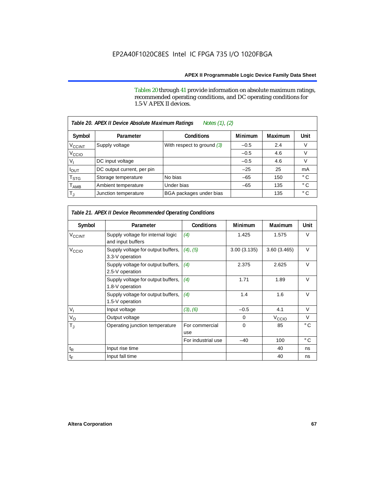Tables 20 through 41 provide information on absolute maximum ratings, recommended operating conditions, and DC operating conditions for 1.5-V APEX II devices.

| Notes (1), (2)<br>Table 20. APEX II Device Absolute Maximum Ratings |                            |                              |                |         |              |  |  |  |  |
|---------------------------------------------------------------------|----------------------------|------------------------------|----------------|---------|--------------|--|--|--|--|
| Symbol                                                              | Parameter                  | <b>Conditions</b>            | <b>Minimum</b> | Maximum | Unit         |  |  |  |  |
| $V_{\text{CCINT}}$                                                  | Supply voltage             | With respect to ground $(3)$ | $-0.5$         | 2.4     | V            |  |  |  |  |
| V <sub>CCIO</sub>                                                   |                            |                              | $-0.5$         | 4.6     | V            |  |  |  |  |
| v,                                                                  | DC input voltage           |                              | $-0.5$         | 4.6     | V            |  |  |  |  |
| <b>POUT</b>                                                         | DC output current, per pin |                              | $-25$          | 25      | mA           |  |  |  |  |
| T <sub>STG</sub>                                                    | Storage temperature        | No bias                      | $-65$          | 150     | $^{\circ}$ C |  |  |  |  |
| $\mathsf{T}_{\mathsf{AMB}}$                                         | Ambient temperature        | Under bias                   | $-65$          | 135     | $^{\circ}$ C |  |  |  |  |
| $T_{\rm J}$                                                         | Junction temperature       | BGA packages under bias      |                | 135     | $^{\circ}$ C |  |  |  |  |

| Table 21. APEX II Device Recommended Operating Conditions |                                                        |                       |                |                   |              |  |  |  |  |
|-----------------------------------------------------------|--------------------------------------------------------|-----------------------|----------------|-------------------|--------------|--|--|--|--|
| Symbol                                                    | Parameter                                              | <b>Conditions</b>     | <b>Minimum</b> | <b>Maximum</b>    | Unit         |  |  |  |  |
| $V_{CCINT}$                                               | Supply voltage for internal logic<br>and input buffers | (4)                   | 1.425          | 1.575             | $\vee$       |  |  |  |  |
| V <sub>CCIO</sub>                                         | Supply voltage for output buffers,<br>3.3-V operation  | (4), (5)              | 3.00(3.135)    | 3.60(3.465)       | $\vee$       |  |  |  |  |
|                                                           | Supply voltage for output buffers,<br>2.5-V operation  | (4)                   | 2.375          | 2.625             | $\vee$       |  |  |  |  |
|                                                           | Supply voltage for output buffers,<br>1.8-V operation  | (4)                   | 1.71           | 1.89              | $\vee$       |  |  |  |  |
|                                                           | Supply voltage for output buffers,<br>1.5-V operation  | (4)                   | 1.4            | 1.6               | $\vee$       |  |  |  |  |
| $V_{\parallel}$                                           | Input voltage                                          | (3), (6)              | $-0.5$         | 4.1               | V            |  |  |  |  |
| $V_{\rm O}$                                               | Output voltage                                         |                       | 0              | V <sub>CCIO</sub> | V            |  |  |  |  |
| $T_{\rm J}$                                               | Operating junction temperature                         | For commercial<br>use | $\Omega$       | 85                | $^{\circ}$ C |  |  |  |  |
|                                                           |                                                        | For industrial use    | $-40$          | 100               | $^{\circ}$ C |  |  |  |  |
| $\mathfrak{t}_{\mathsf{R}}$                               | Input rise time                                        |                       |                | 40                | ns           |  |  |  |  |
| $t_{\mathsf{F}}$                                          | Input fall time                                        |                       |                | 40                | ns           |  |  |  |  |

Г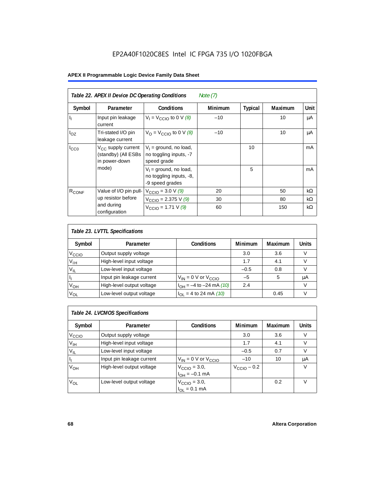| Table 22. APEX II Device DC Operating Conditions<br>Note $(7)$ |                                                                        |                                                                        |                |                |                |           |  |  |  |
|----------------------------------------------------------------|------------------------------------------------------------------------|------------------------------------------------------------------------|----------------|----------------|----------------|-----------|--|--|--|
| Symbol                                                         | Parameter                                                              | <b>Conditions</b>                                                      | <b>Minimum</b> | <b>Typical</b> | <b>Maximum</b> | Unit      |  |  |  |
| $\mathbf{I}_{\mathbf{I}}$                                      | Input pin leakage<br>current                                           | $V_1 = V_{CCD}$ to 0 V (8)                                             | $-10$          |                | 10             | μA        |  |  |  |
| $I_{OZ}$                                                       | Tri-stated I/O pin<br>leakage current                                  | $V_{\Omega}$ = V <sub>CCIO</sub> to 0 V (8)                            | $-10$          |                | 10             | μA        |  |  |  |
| $I_{CC0}$                                                      | V <sub>CC</sub> supply current<br>(standby) (All ESBs<br>in power-down | $V_1$ = ground, no load,<br>no toggling inputs, -7<br>speed grade      |                | 10             |                | mA        |  |  |  |
|                                                                | mode)                                                                  | $V_1$ = ground, no load,<br>no toggling inputs, -8,<br>-9 speed grades |                | 5              |                | mA        |  |  |  |
| $R_{CONF}$                                                     | Value of I/O pin pull-                                                 | $V_{\text{CCIO}} = 3.0 \text{ V } (9)$                                 | 20             |                | 50             | kΩ        |  |  |  |
|                                                                | up resistor before                                                     | $V_{\text{CCIO}} = 2.375 \text{ V} (9)$                                | 30             |                | 80             | kΩ        |  |  |  |
|                                                                | and during<br>configuration                                            | $V_{\text{CCIO}} = 1.71 V (9)$                                         | 60             |                | 150            | $k\Omega$ |  |  |  |

| Table 23. LVTTL Specifications |                           |                                |                |                |              |  |  |  |  |
|--------------------------------|---------------------------|--------------------------------|----------------|----------------|--------------|--|--|--|--|
| Symbol                         | Parameter                 | <b>Conditions</b>              | <b>Minimum</b> | <b>Maximum</b> | <b>Units</b> |  |  |  |  |
| V <sub>CCIO</sub>              | Output supply voltage     |                                | 3.0            | 3.6            | v            |  |  |  |  |
| $V_{IH}$                       | High-level input voltage  |                                | 1.7            | 4.1            |              |  |  |  |  |
| $V_{IL}$                       | Low-level input voltage   |                                | $-0.5$         | 0.8            |              |  |  |  |  |
| H                              | Input pin leakage current | $V_{IN}$ = 0 V or $V_{CCIO}$   | $-5$           | 5              | μA           |  |  |  |  |
| $V_{OH}$                       | High-level output voltage | $I_{OH} = -4$ to $-24$ mA (10) | 2.4            |                | v            |  |  |  |  |
| $V_{OL}$                       | Low-level output voltage  | $I_{OL}$ = 4 to 24 mA (10)     |                | 0.45           |              |  |  |  |  |

| Table 24. LVCMOS Specifications |                           |                                                               |                         |         |              |  |  |  |  |
|---------------------------------|---------------------------|---------------------------------------------------------------|-------------------------|---------|--------------|--|--|--|--|
| Symbol                          | Parameter                 | <b>Conditions</b>                                             | Minimum                 | Maximum | <b>Units</b> |  |  |  |  |
| V <sub>CCIO</sub>               | Output supply voltage     |                                                               | 3.0                     | 3.6     | V            |  |  |  |  |
| $V_{\text{IH}}$                 | High-level input voltage  |                                                               | 1.7                     | 4.1     | V            |  |  |  |  |
| $V_{IL}$                        | Low-level input voltage   |                                                               | $-0.5$                  | 0.7     | V            |  |  |  |  |
| H,                              | Input pin leakage current | $V_{IN}$ = 0 V or $V_{CCIO}$                                  | $-10$                   | 10      | μA           |  |  |  |  |
| V <sub>OH</sub>                 | High-level output voltage | $V_{\text{CCIO}} = 3.0,$<br>$I_{\text{OH}} = -0.1 \text{ mA}$ | $V_{\text{CCIO}} - 0.2$ |         | V            |  |  |  |  |
| $V_{OL}$                        | Low-level output voltage  | $V_{\text{CCIO}} = 3.0,$<br>$I_{OL} = 0.1$ mA                 |                         | 0.2     |              |  |  |  |  |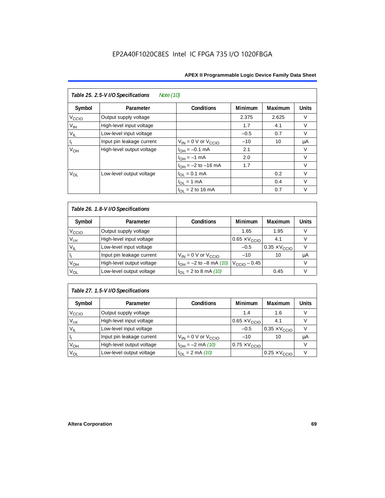| Table 25. 2.5-V I/O Specifications<br>Note (10) |                           |                              |         |                |              |  |  |  |  |
|-------------------------------------------------|---------------------------|------------------------------|---------|----------------|--------------|--|--|--|--|
| Symbol                                          | Parameter                 | <b>Conditions</b>            | Minimum | <b>Maximum</b> | <b>Units</b> |  |  |  |  |
| $V_{\text{CCLO}}$                               | Output supply voltage     |                              | 2.375   | 2.625          | $\vee$       |  |  |  |  |
| $V_{\text{IH}}$                                 | High-level input voltage  |                              | 1.7     | 4.1            | $\vee$       |  |  |  |  |
| $V_{IL}$                                        | Low-level input voltage   |                              | $-0.5$  | 0.7            | $\vee$       |  |  |  |  |
| H.                                              | Input pin leakage current | $V_{IN} = 0$ V or $V_{CCIO}$ | $-10$   | 10             | μA           |  |  |  |  |
| V <sub>OH</sub>                                 | High-level output voltage | $I_{OH} = -0.1$ mA           | 2.1     |                | V            |  |  |  |  |
|                                                 |                           | $I_{OH} = -1$ mA             | 2.0     |                | $\vee$       |  |  |  |  |
|                                                 |                           | $I_{OH} = -2$ to $-16$ mA    | 1.7     |                | $\vee$       |  |  |  |  |
| $V_{OL}$                                        | Low-level output voltage  | $I_{OL} = 0.1$ mA            |         | 0.2            | $\vee$       |  |  |  |  |
|                                                 |                           | $I_{OL} = 1$ mA              |         | 0.4            | $\vee$       |  |  |  |  |
|                                                 |                           | $I_{\Omega I}$ = 2 to 16 mA  |         | 0.7            | v            |  |  |  |  |

| Table 26. 1.8-V I/O Specifications |                           |                               |                               |                               |              |  |  |  |  |
|------------------------------------|---------------------------|-------------------------------|-------------------------------|-------------------------------|--------------|--|--|--|--|
| Symbol                             | Parameter                 | <b>Conditions</b>             | <b>Minimum</b>                | Maximum                       | <b>Units</b> |  |  |  |  |
| V <sub>ccio</sub>                  | Output supply voltage     |                               | 1.65                          | 1.95                          | v            |  |  |  |  |
| $V_{IH}$                           | High-level input voltage  |                               | $0.65 \times V_{\text{CCIO}}$ | 4.1                           | v            |  |  |  |  |
| $V_{IL}$                           | Low-level input voltage   |                               | $-0.5$                        | $0.35 \times V_{\text{CCIO}}$ |              |  |  |  |  |
| H                                  | Input pin leakage current | $V_{IN} = 0$ V or $V_{CCIO}$  | $-10$                         | 10                            | μA           |  |  |  |  |
| $V_{OH}$                           | High-level output voltage | $I_{OH} = -2$ to $-8$ mA (10) | $V_{\text{CCIO}} - 0.45$      |                               | v            |  |  |  |  |
| $V_{OL}$                           | Low-level output voltage  | $I_{OL}$ = 2 to 8 mA (10)     |                               | 0.45                          | v            |  |  |  |  |

## *Table 27. 1.5-V I/O Specifications*

| Symbol            | Parameter                 | <b>Conditions</b>            | <b>Minimum</b>                | <b>Maximum</b>                | <b>Units</b> |
|-------------------|---------------------------|------------------------------|-------------------------------|-------------------------------|--------------|
| V <sub>CCIO</sub> | Output supply voltage     |                              | 1.4                           | 1.6                           |              |
| $V_{\text{IH}}$   | High-level input voltage  |                              | $0.65 \times V_{\text{CCIO}}$ | 4.1                           |              |
| $V_{IL}$          | Low-level input voltage   |                              | $-0.5$                        | $0.35 \times V_{\text{CCIO}}$ |              |
| П                 | Input pin leakage current | $V_{IN} = 0$ V or $V_{CCIO}$ | $-10$                         | 10                            | μA           |
| V <sub>OH</sub>   | High-level output voltage | $I_{OH} = -2$ mA (10)        | $0.75 \times V_{\text{CCIO}}$ |                               |              |
| $V_{OL}$          | Low-level output voltage  | $I_{OL} = 2 \text{ mA} (10)$ |                               | $0.25 \times V_{\text{CCIO}}$ |              |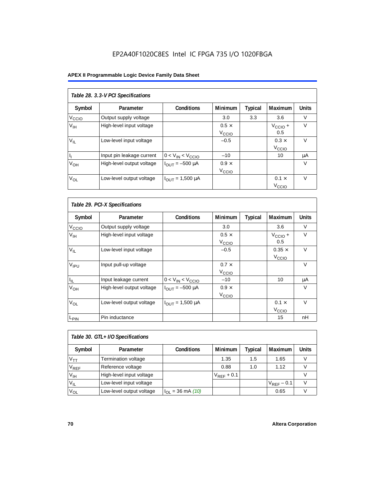## EP2A40F1020C8ES Intel IC FPGA 735 I/O 1020FBGA

## **APEX II Programmable Logic Device Family Data Sheet**

| Table 28. 3.3-V PCI Specifications |                           |                                |                   |         |                     |              |  |  |  |
|------------------------------------|---------------------------|--------------------------------|-------------------|---------|---------------------|--------------|--|--|--|
| Symbol                             | Parameter                 | <b>Conditions</b>              | Minimum           | Typical | Maximum             | <b>Units</b> |  |  |  |
| V <sub>ccio</sub>                  | Output supply voltage     |                                | 3.0               | 3.3     | 3.6                 | V            |  |  |  |
| V <sub>IH</sub>                    | High-level input voltage  |                                | $0.5 \times$      |         | $V_{\text{CCIO}} +$ | V            |  |  |  |
|                                    |                           |                                | V <sub>CCIO</sub> |         | 0.5                 |              |  |  |  |
| $V_{IL}$                           | Low-level input voltage   |                                | $-0.5$            |         | $0.3 \times$        | $\vee$       |  |  |  |
|                                    |                           |                                |                   |         | V <sub>CCIO</sub>   |              |  |  |  |
| h                                  | Input pin leakage current | $0 < V_{IN} < V_{CCIO}$        | $-10$             |         | 10                  | μA           |  |  |  |
| V <sub>OH</sub>                    | High-level output voltage | $I_{OUIT} = -500 \mu A$        | $0.9 \times$      |         |                     | $\vee$       |  |  |  |
|                                    |                           |                                | V <sub>CCIO</sub> |         |                     |              |  |  |  |
| $V_{OL}$                           | Low-level output voltage  | $I_{\text{OUT}} = 1,500 \mu A$ |                   |         | $0.1 \times$        | $\vee$       |  |  |  |
|                                    |                           |                                |                   |         | V <sub>ccio</sub>   |              |  |  |  |

| Table 29. PCI-X Specifications |                           |                                |                                   |         |                                    |              |  |  |  |
|--------------------------------|---------------------------|--------------------------------|-----------------------------------|---------|------------------------------------|--------------|--|--|--|
| Symbol                         | Parameter                 | <b>Conditions</b>              | <b>Minimum</b>                    | Typical | Maximum                            | <b>Units</b> |  |  |  |
| V <sub>CCIO</sub>              | Output supply voltage     |                                | 3.0                               |         | 3.6                                | $\vee$       |  |  |  |
| $V_{\text{IH}}$                | High-level input voltage  |                                | $0.5 \times$<br>V <sub>CCIO</sub> |         | $V_{\text{CCIO}} +$<br>0.5         | $\vee$       |  |  |  |
| $V_{IL}$                       | Low-level input voltage   |                                | $-0.5$                            |         | $0.35 \times$<br>V <sub>CCIO</sub> | $\vee$       |  |  |  |
| V <sub>IPU</sub>               | Input pull-up voltage     |                                | $0.7 \times$<br>V <sub>CCIO</sub> |         |                                    | $\vee$       |  |  |  |
| $I_{\rm IL}$                   | Input leakage current     | $0 < V_{IN} < V_{CCIO}$        | $-10$                             |         | 10                                 | μA           |  |  |  |
| $V_{OH}$                       | High-level output voltage | $I_{\text{OUT}} = -500 \mu A$  | $0.9 \times$<br>V <sub>CCIO</sub> |         |                                    | $\vee$       |  |  |  |
| $V_{OL}$                       | Low-level output voltage  | $I_{\text{OUT}} = 1,500 \mu A$ |                                   |         | $0.1 \times$<br>V <sub>CCIO</sub>  | $\vee$       |  |  |  |
| L <sub>PIN</sub>               | Pin inductance            |                                |                                   |         | 15                                 | nH           |  |  |  |

| Table 30. GTL+ I/O Specifications |                            |                       |                 |         |                 |              |
|-----------------------------------|----------------------------|-----------------------|-----------------|---------|-----------------|--------------|
| Symbol                            | Parameter                  | <b>Conditions</b>     | <b>Minimum</b>  | Typical | <b>Maximum</b>  | <b>Units</b> |
| $V_{TT}$                          | <b>Termination voltage</b> |                       | 1.35            | 1.5     | 1.65            |              |
| $V_{REF}$                         | Reference voltage          |                       | 0.88            | 1.0     | 1.12            |              |
| V <sub>IH</sub>                   | High-level input voltage   |                       | $V_{REF}$ + 0.1 |         |                 |              |
| $V_{IL}$                          | Low-level input voltage    |                       |                 |         | $V_{RFF}$ – 0.1 |              |
| $V_{OL}$                          | Low-level output voltage   | $I_{OL}$ = 36 mA (10) |                 |         | 0.65            |              |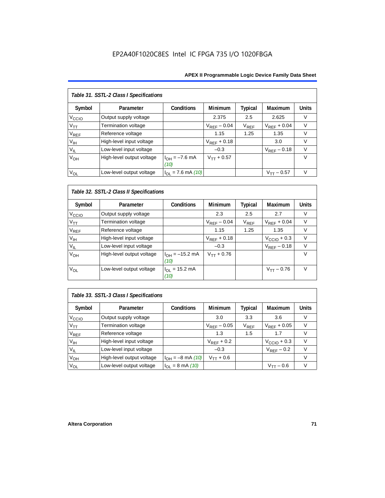| Table 31. SSTL-2 Class I Specifications |                           |                            |                  |           |                  |              |  |
|-----------------------------------------|---------------------------|----------------------------|------------------|-----------|------------------|--------------|--|
| Symbol                                  | Parameter                 | <b>Conditions</b>          | <b>Minimum</b>   | Typical   | Maximum          | <b>Units</b> |  |
| V <sub>CCIO</sub>                       | Output supply voltage     |                            | 2.375            | 2.5       | 2.625            | v            |  |
| $V_{TT}$                                | Termination voltage       |                            | $V_{RFF}$ – 0.04 | $V_{REF}$ | $V_{RFF}$ + 0.04 | $\vee$       |  |
| V <sub>REF</sub>                        | Reference voltage         |                            | 1.15             | 1.25      | 1.35             | $\vee$       |  |
| $V_{\text{IH}}$                         | High-level input voltage  |                            | $V_{RFF}$ + 0.18 |           | 3.0              | $\vee$       |  |
| $V_{IL}$                                | Low-level input voltage   |                            | $-0.3$           |           | $V_{RFF}$ – 0.18 | v            |  |
| V <sub>OH</sub>                         | High-level output voltage | $I_{OH} = -7.6$ mA<br>(10) | $V_{TT} + 0.57$  |           |                  | $\vee$       |  |
| $V_{OL}$                                | Low-level output voltage  | $I_{OL}$ = 7.6 mA (10)     |                  |           | $V_{TT}$ – 0.57  | $\vee$       |  |

## *Table 32. SSTL-2 Class II Specifications*

| Symbol            | Parameter                 | <b>Conditions</b>                  | <b>Minimum</b>   | Typical   | <b>Maximum</b>          | <b>Units</b> |
|-------------------|---------------------------|------------------------------------|------------------|-----------|-------------------------|--------------|
| V <sub>CCIO</sub> | Output supply voltage     |                                    | 2.3              | 2.5       | 2.7                     | V            |
| $V_{TT}$          | Termination voltage       |                                    | $V_{RFF}$ – 0.04 | $V_{REF}$ | $V_{RFF}$ + 0.04        | $\vee$       |
| $V_{REF}$         | Reference voltage         |                                    | 1.15             | 1.25      | 1.35                    | V            |
| V <sub>IH</sub>   | High-level input voltage  |                                    | $V_{REF}$ + 0.18 |           | $V_{\text{CCIO}} + 0.3$ | $\vee$       |
| $V_{IL}$          | Low-level input voltage   |                                    | $-0.3$           |           | $V_{REF} - 0.18$        | $\vee$       |
| V <sub>OH</sub>   | High-level output voltage | $I_{OH} = -15.2$ mA<br>(10)        | $V_{TT} + 0.76$  |           |                         | v            |
| V <sub>OL</sub>   | Low-level output voltage  | $I_{OL} = 15.2 \text{ mA}$<br>(10) |                  |           | $V_{TT} - 0.76$         | $\vee$       |

## *Table 33. SSTL-3 Class I Specifications*

| Symbol            | Parameter                 | <b>Conditions</b>            | <b>Minimum</b>   | <b>Typical</b>              | Maximum                 | <b>Units</b> |
|-------------------|---------------------------|------------------------------|------------------|-----------------------------|-------------------------|--------------|
| V <sub>ccio</sub> | Output supply voltage     |                              | 3.0              | 3.3                         | 3.6                     |              |
| $V_{TT}$          | Termination voltage       |                              | $V_{REF}$ – 0.05 | $\mathsf{V}_{\mathsf{REF}}$ | $V_{RFF}$ + 0.05        | V            |
| $V_{REF}$         | Reference voltage         |                              | 1.3              | 1.5                         | 1.7                     |              |
| V <sub>IH</sub>   | High-level input voltage  |                              | $V_{REF}$ + 0.2  |                             | $V_{\text{CCIO}} + 0.3$ |              |
| $V_{IL}$          | Low-level input voltage   |                              | $-0.3$           |                             | $V_{REF}$ – 0.2         |              |
| $V_{OH}$          | High-level output voltage | $I_{OH} = -8$ mA (10)        | $V_{TT} + 0.6$   |                             |                         |              |
| $V_{OL}$          | Low-level output voltage  | $I_{OL} = 8 \text{ mA} (10)$ |                  |                             | $V_{TT} - 0.6$          |              |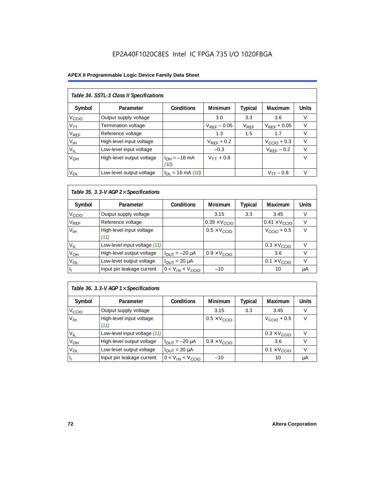#### **APEX II Programmable Logic Device Family Data Sheet**

| Table 34. SSTL-3 Class II Specifications |                           |                           |                  |           |                         |              |  |  |  |
|------------------------------------------|---------------------------|---------------------------|------------------|-----------|-------------------------|--------------|--|--|--|
| Symbol                                   | Parameter                 | <b>Conditions</b>         | <b>Minimum</b>   | Typical   | Maximum                 | <b>Units</b> |  |  |  |
| V <sub>CCIO</sub>                        | Output supply voltage     |                           | 3.0              | 3.3       | 3.6                     | V            |  |  |  |
| $V_{\mathsf{TT}}$                        | Termination voltage       |                           | $V_{REF}$ – 0.05 | $V_{REF}$ | $V_{RFF}$ + 0.05        | V            |  |  |  |
| <b>V<sub>REF</sub></b>                   | Reference voltage         |                           | 1.3              | 1.5       | 1.7                     | V            |  |  |  |
| V <sub>IH</sub>                          | High-level input voltage  |                           | $V_{RFF}$ + 0.2  |           | $V_{\text{CCIO}} + 0.3$ | $\vee$       |  |  |  |
| $V_{IL}$                                 | Low-level input voltage   |                           | $-0.3$           |           | $V_{RFF}$ – 0.2         | $\vee$       |  |  |  |
| V <sub>OH</sub>                          | High-level output voltage | $I_{OH} = -16$ mA<br>(10) | $V_{TT}$ + 0.8   |           |                         | $\vee$       |  |  |  |
| $V_{OL}$                                 | Low-level output voltage  | $I_{OL}$ = 16 mA (10)     |                  |           | $V_{TT} - 0.8$          | $\vee$       |  |  |  |

# *Table 35. 3.3-V AGP 2*× *Specifications*

| Symbol            | Parameter                        | <b>Conditions</b>       | <b>Minimum</b>                | Typical | <b>Maximum</b>                | <b>Units</b> |
|-------------------|----------------------------------|-------------------------|-------------------------------|---------|-------------------------------|--------------|
| V <sub>CCIO</sub> | Output supply voltage            |                         | 3.15                          | 3.3     | 3.45                          | V            |
| $\rm V_{REF}$     | Reference voltage                |                         | $0.39 \times V_{\text{CCIO}}$ |         | $0.41 \times V_{\text{CCIO}}$ |              |
| V <sub>IH</sub>   | High-level input voltage<br>(11) |                         | $0.5 \times V_{\text{CCIO}}$  |         | $V_{\text{CCIO}} + 0.5$       | V            |
| $V_{IL}$          | Low-level input voltage (11)     |                         |                               |         | $0.3 \times V_{\text{CCIO}}$  |              |
| V <sub>OH</sub>   | High-level output voltage        | $I_{OUT} = -20 \mu A$   | $0.9 \times V_{\text{CCIO}}$  |         | 3.6                           | V            |
| V <sub>OL</sub>   | Low-level output voltage         | $I_{OUT}$ = 20 µA       |                               |         | $0.1 \times V_{\text{CCIO}}$  |              |
|                   | Input pin leakage current        | $0 < V_{IN} < V_{CCIO}$ | $-10$                         |         | 10                            | μA           |

# *Table 36. 3.3-V AGP 1*× *Specifications*

| Symbol            | Parameter                        | <b>Conditions</b>       | <b>Minimum</b>               | <b>Typical</b> | Maximum                      | <b>Units</b> |
|-------------------|----------------------------------|-------------------------|------------------------------|----------------|------------------------------|--------------|
| V <sub>CCIO</sub> | Output supply voltage            |                         | 3.15                         | 3.3            | 3.45                         | V            |
| V <sub>IH</sub>   | High-level input voltage<br>(11) |                         | $0.5 \times V_{\text{CCIO}}$ |                | $VCCIO + 0.5$                | v            |
| $V_{IL}$          | Low-level input voltage (11)     |                         |                              |                | $0.3 \times V_{\text{CCIO}}$ |              |
| V <sub>OH</sub>   | High-level output voltage        | $I_{OUT} = -20 \mu A$   | $0.9 \times V_{\text{CCIO}}$ |                | 3.6                          |              |
| $V_{OL}$          | Low-level output voltage         | $I_{OUT}$ = 20 µA       |                              |                | $0.1 \times V_{\text{CCIO}}$ |              |
|                   | Input pin leakage current        | $0 < V_{IN} < V_{CCIO}$ | $-10$                        |                | 10                           | μA           |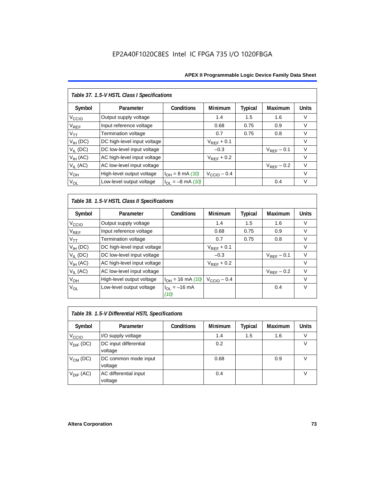| Table 37. 1.5-V HSTL Class I Specifications |                             |                       |                         |                |                        |              |  |  |  |
|---------------------------------------------|-----------------------------|-----------------------|-------------------------|----------------|------------------------|--------------|--|--|--|
| Symbol                                      | Parameter                   | Conditions            | Minimum                 | <b>Typical</b> | Maximum                | <b>Units</b> |  |  |  |
| V <sub>CCIO</sub>                           | Output supply voltage       |                       | 1.4                     | 1.5            | 1.6                    | V            |  |  |  |
| $\mathsf{V}_{\mathsf{REF}}$                 | Input reference voltage     |                       | 0.68                    | 0.75           | 0.9                    | $\vee$       |  |  |  |
| $V_{TT}$                                    | <b>Termination voltage</b>  |                       | 0.7                     | 0.75           | 0.8                    | $\vee$       |  |  |  |
| $V_{IH}$ (DC)                               | DC high-level input voltage |                       | $V_{REF}$ + 0.1         |                |                        | $\vee$       |  |  |  |
| $V_{IL}$ (DC)                               | DC low-level input voltage  |                       | $-0.3$                  |                | $V_{RFF}$ – 0.1        | $\vee$       |  |  |  |
| $V_{IH}$ (AC)                               | AC high-level input voltage |                       | $V_{RFF}$ + 0.2         |                |                        | $\vee$       |  |  |  |
| $V_{II}$ (AC)                               | AC low-level input voltage  |                       |                         |                | $V_{\text{REF}}$ – 0.2 | $\vee$       |  |  |  |
| V <sub>OH</sub>                             | High-level output voltage   | $I_{OH} = 8$ mA (10)  | $V_{\text{CCIO}} - 0.4$ |                |                        | $\vee$       |  |  |  |
| $V_{OL}$                                    | Low-level output voltage    | $I_{OL} = -8$ mA (10) |                         |                | 0.4                    | $\vee$       |  |  |  |

*Table 38. 1.5-V HSTL Class II Specifications*

| Symbol            | Parameter                   | Conditions                            | <b>Minimum</b>          | Typical | Maximum         | <b>Units</b> |
|-------------------|-----------------------------|---------------------------------------|-------------------------|---------|-----------------|--------------|
| V <sub>CCIO</sub> | Output supply voltage       |                                       | 1.4                     | 1.5     | 1.6             | V            |
| $V_{REF}$         | Input reference voltage     |                                       | 0.68                    | 0.75    | 0.9             | $\vee$       |
| $V_{TT}$          | Termination voltage         |                                       | 0.7                     | 0.75    | 0.8             | $\vee$       |
| $V_{IH}$ (DC)     | DC high-level input voltage |                                       | $V_{REF}$ + 0.1         |         |                 | V            |
| $V_{IL}$ (DC)     | DC low-level input voltage  |                                       | $-0.3$                  |         | $V_{RFF}$ – 0.1 | $\vee$       |
| $V_{IH}$ (AC)     | AC high-level input voltage |                                       | $V_{RFF}$ + 0.2         |         |                 | V            |
| $V_{IL}$ (AC)     | AC low-level input voltage  |                                       |                         |         | $V_{RFF}$ – 0.2 | $\vee$       |
| V <sub>OH</sub>   | High-level output voltage   | $I_{OH} = 16$ mA (10)                 | $V_{\text{CCIO}} - 0.4$ |         |                 | V            |
| $V_{OL}$          | Low-level output voltage    | $I_{\Omega} = -16 \text{ mA}$<br>(10) |                         |         | 0.4             | $\vee$       |

| Table 39. 1.5-V Differential HSTL Specifications |                                  |                   |                |         |                |              |  |  |  |
|--------------------------------------------------|----------------------------------|-------------------|----------------|---------|----------------|--------------|--|--|--|
| Symbol                                           | Parameter                        | <b>Conditions</b> | <b>Minimum</b> | Typical | <b>Maximum</b> | <b>Units</b> |  |  |  |
| V <sub>CCIO</sub>                                | I/O supply voltage               |                   | 1.4            | 1.5     | 1.6            |              |  |  |  |
| $V_{\text{DIF}}$ (DC)                            | DC input differential<br>voltage |                   | 0.2            |         |                | V            |  |  |  |
| $V_{CM}$ (DC)                                    | DC common mode input<br>voltage  |                   | 0.68           |         | 0.9            | v            |  |  |  |
| $V_{\text{DIF}}$ (AC)                            | AC differential input<br>voltage |                   | 0.4            |         |                |              |  |  |  |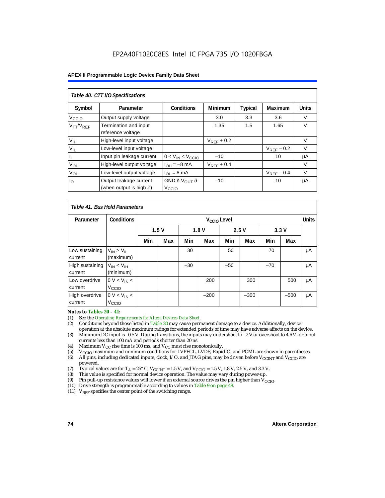| Table 40. CTT I/O Specifications |                                            |                          |                 |         |                 |              |  |  |  |
|----------------------------------|--------------------------------------------|--------------------------|-----------------|---------|-----------------|--------------|--|--|--|
| Symbol                           | Parameter                                  | <b>Conditions</b>        | <b>Minimum</b>  | Typical | Maximum         | <b>Units</b> |  |  |  |
| V <sub>CCIO</sub>                | Output supply voltage                      |                          | 3.0             | 3.3     | 3.6             | V            |  |  |  |
| $V_{TT}/V_{REF}$                 | Termination and input<br>reference voltage |                          | 1.35            | 1.5     | 1.65            | $\vee$       |  |  |  |
| V <sub>IH</sub>                  | High-level input voltage                   |                          | $V_{RFF}$ + 0.2 |         |                 | V            |  |  |  |
| $V_{IL}$                         | Low-level input voltage                    |                          |                 |         | $V_{RFF}$ – 0.2 | V            |  |  |  |
|                                  | Input pin leakage current                  | $0 < V_{IN} < V_{CCIO}$  | $-10$           |         | 10              | μA           |  |  |  |
| $V_{OH}$                         | High-level output voltage                  | $I_{OH} = -8$ mA         | $V_{RFF}$ + 0.4 |         |                 | V            |  |  |  |
| $V_{OL}$                         | Low-level output voltage                   | $I_{OL} = 8 \text{ mA}$  |                 |         | $V_{REF}$ – 0.4 | $\vee$       |  |  |  |
| $I_{\rm O}$                      | Output leakage current                     | GND ð V <sub>OUT</sub> ð | $-10$           |         | 10              | μA           |  |  |  |
|                                  | (when output is high $Z$ )                 | Vccio                    |                 |         |                 |              |  |  |  |

| Table 41, Bus Hold Parameters |                                     |     |                         |       |        |       |        |       |              |    |
|-------------------------------|-------------------------------------|-----|-------------------------|-------|--------|-------|--------|-------|--------------|----|
| Parameter                     | <b>Conditions</b>                   |     | V <sub>CCIO</sub> Level |       |        |       |        |       | <b>Units</b> |    |
|                               |                                     |     | 1.5V<br>1.8V            |       | 2.5V   |       | 3.3V   |       |              |    |
|                               |                                     | Min | Max                     | Min   | Max    | Min   | Max    | Min   | Max          |    |
| Low sustaining<br>current     | $V_{IN}$ > $V_{II}$<br>(maximum)    |     |                         | 30    |        | 50    |        | 70    |              | μA |
| High sustaining<br>current    | $V_{IN}$ < $V_{IH}$<br>(minimum)    |     |                         | $-30$ |        | $-50$ |        | $-70$ |              | μA |
| Low overdrive<br>current      | $0 V < V_{IN}$<br>V <sub>CCIO</sub> |     |                         |       | 200    |       | 300    |       | 500          | μA |
| High overdrive<br>current     | $0 V < V_{IN}$<br>V <sub>CCIO</sub> |     |                         |       | $-200$ |       | $-300$ |       | $-500$       | μA |

#### *Notes to Tables 20 – 41:*

- (1) See the *Operating Requirements for Altera Devices Data Sheet.*
- (2) Conditions beyond those listed in Table 20 may cause permanent damage to a device. Additionally, device operation at the absolute maximum ratings for extended periods of time may have adverse affects on the device.
- (3) Minimum DC input is –0.5 V. During transitions, the inputs may undershoot to 2 V or overshoot to 4.6 V for input currents less than 100 mA and periods shorter than 20 ns.
- (4) Maximum  $V_{CC}$  rise time is 100 ms, and  $V_{CC}$  must rise monotonically.<br>(5)  $V_{CC}$  maximum and minimum conditions for LVPECL, LVDS, Rapic
- V<sub>CCIO</sub> maximum and minimum conditions for LVPECL, LVDS, RapidIO, and PCML are shown in parentheses.
- (6) All pins, including dedicated inputs, clock, I/O, and JTAG pins, may be driven before V<sub>CCINT</sub> and V<sub>CCIO</sub> are powered.
- (7) Typical values are for  $T_A = 25^\circ$  C,  $V_{\text{CCINT}} = 1.5$  V, and  $V_{\text{CCIO}} = 1.5$  V, 1.8 V, 2.5 V, and 3.3 V.<br>(8) This value is specified for normal device operation. The value may vary during power-up.
- This value is specified for normal device operation. The value may vary during power-up.
- (9) Pin pull-up resistance values will lower if an external source drives the pin higher than  $V_{\text{CCIO}}$ .
- (10) Drive strength is programmable according to values in Table 9 on page 48.
- (11)  $V_{REF}$  specifies the center point of the switching range.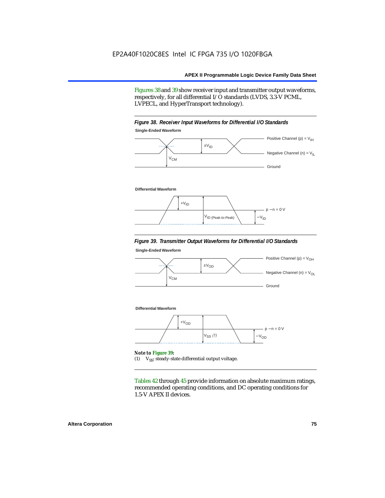Figures 38 and 39 show receiver input and transmitter output waveforms, respectively, for all differential I/O standards (LVDS, 3.3-V PCML, LVPECL, and HyperTransport technology).



#### *Figure 39. Transmitter Output Waveforms for Differential I/O Standards*

**Single-Ended Waveform**



Tables 42 through 45 provide information on absolute maximum ratings, recommended operating conditions, and DC operating conditions for 1.5-V APEX II devices.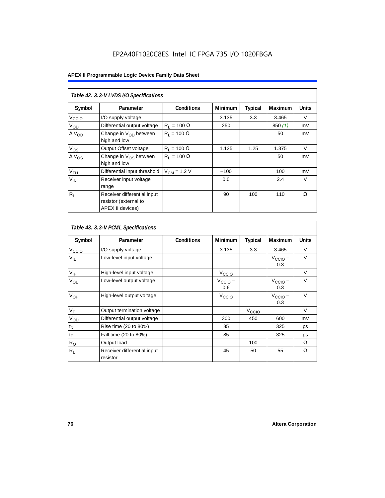|                          | Table 42. 3.3-V LVDS I/O Specifications                                  |                    |         |         |                |              |  |  |  |  |
|--------------------------|--------------------------------------------------------------------------|--------------------|---------|---------|----------------|--------------|--|--|--|--|
| Symbol                   | Parameter                                                                | <b>Conditions</b>  | Minimum | Typical | <b>Maximum</b> | <b>Units</b> |  |  |  |  |
| V <sub>CCIO</sub>        | I/O supply voltage                                                       |                    | 3.135   | 3.3     | 3.465          | V            |  |  |  |  |
| V <sub>OD</sub>          | Differential output voltage                                              | $R_1 = 100 \Omega$ | 250     |         | 850(1)         | mV           |  |  |  |  |
| $\Delta$ V <sub>OD</sub> | Change in $V_{OD}$ between<br>high and low                               | $R_1 = 100 \Omega$ |         |         | 50             | mV           |  |  |  |  |
| $V_{OS}$                 | Output Offset voltage                                                    | $R_1 = 100 \Omega$ | 1.125   | 1.25    | 1.375          | $\vee$       |  |  |  |  |
| $\Delta V_{OS}$          | Change in $V_{OS}$ between<br>high and low                               | $R_1 = 100 \Omega$ |         |         | 50             | mV           |  |  |  |  |
| V <sub>TH</sub>          | Differential input threshold                                             | $V_{CM}$ = 1.2 V   | $-100$  |         | 100            | mV           |  |  |  |  |
| $V_{IN}$                 | Receiver input voltage<br>range                                          |                    | 0.0     |         | 2.4            | $\vee$       |  |  |  |  |
| $R_{\rm L}$              | Receiver differential input<br>resistor (external to<br>APEX II devices) |                    | 90      | 100     | 110            | Ω            |  |  |  |  |

|                             | Table 43. 3.3-V PCML Specifications     |                   |                            |                   |                            |              |  |  |  |  |
|-----------------------------|-----------------------------------------|-------------------|----------------------------|-------------------|----------------------------|--------------|--|--|--|--|
| Symbol                      | Parameter                               | <b>Conditions</b> | <b>Minimum</b>             | <b>Typical</b>    | <b>Maximum</b>             | <b>Units</b> |  |  |  |  |
| $V_{\text{CCIQ}}$           | I/O supply voltage                      |                   | 3.135                      | 3.3               | 3.465                      | $\vee$       |  |  |  |  |
| $V_{IL}$                    | Low-level input voltage                 |                   |                            |                   | $V_{\text{CCIO}}$ –<br>0.3 | $\vee$       |  |  |  |  |
| $V_{\text{IH}}$             | High-level input voltage                |                   | V <sub>CCIO</sub>          |                   |                            | $\vee$       |  |  |  |  |
| $V_{OL}$                    | Low-level output voltage                |                   | $V_{\text{CCIO}} -$<br>0.6 |                   | $V_{\text{CCIO}}$ –<br>0.3 | $\vee$       |  |  |  |  |
| V <sub>OH</sub>             | High-level output voltage               |                   | V <sub>CCIO</sub>          |                   | $V_{\text{CCIO}}$ –<br>0.3 | $\vee$       |  |  |  |  |
| $V_T$                       | Output termination voltage              |                   |                            | V <sub>CCIO</sub> |                            | $\vee$       |  |  |  |  |
| $V_{OD}$                    | Differential output voltage             |                   | 300                        | 450               | 600                        | mV           |  |  |  |  |
| $t_{\mathsf{R}}$            | Rise time (20 to 80%)                   |                   | 85                         |                   | 325                        | ps           |  |  |  |  |
| $\mathfrak{t}_{\mathsf{F}}$ | Fall time (20 to 80%)                   |                   | 85                         |                   | 325                        | ps           |  |  |  |  |
| $R_{\rm O}$                 | Output load                             |                   |                            | 100               |                            | Ω            |  |  |  |  |
| $R_L$                       | Receiver differential input<br>resistor |                   | 45                         | 50                | 55                         | Ω            |  |  |  |  |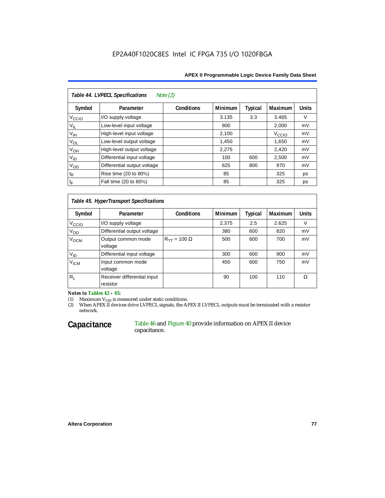| Table 44. LVPECL Specifications<br>Note $(2)$ |                             |                   |                |         |                   |              |  |  |  |
|-----------------------------------------------|-----------------------------|-------------------|----------------|---------|-------------------|--------------|--|--|--|
| Symbol                                        | Parameter                   | <b>Conditions</b> | <b>Minimum</b> | Typical | Maximum           | <b>Units</b> |  |  |  |
| V <sub>CCIO</sub>                             | I/O supply voltage          |                   | 3.135          | 3.3     | 3.465             | V            |  |  |  |
| $V_{IL}$                                      | Low-level input voltage     |                   | 800            |         | 2,000             | mV           |  |  |  |
| $V_{\text{IH}}$                               | High-level input voltage    |                   | 2,100          |         | V <sub>CCIO</sub> | mV           |  |  |  |
| $V_{OL}$                                      | Low-level output voltage    |                   | 1,450          |         | 1,650             | mV           |  |  |  |
| $V_{OH}$                                      | High-level output voltage   |                   | 2,275          |         | 2,420             | mV           |  |  |  |
| $V_{ID}$                                      | Differential input voltage  |                   | 100            | 600     | 2,500             | mV           |  |  |  |
| $V_{OD}$                                      | Differential output voltage |                   | 625            | 800     | 970               | mV           |  |  |  |
| $t_{\mathsf{R}}$                              | Rise time (20 to 80%)       |                   | 85             |         | 325               | ps           |  |  |  |
| $t_{\mathsf{F}}$                              | Fall time (20 to 80%)       |                   | 85             |         | 325               | ps           |  |  |  |

# *Table 45. HyperTransport Specifications*

| Symbol             | Parameter                               | <b>Conditions</b>       | <b>Minimum</b> | <b>Typical</b> | Maximum | <b>Units</b> |
|--------------------|-----------------------------------------|-------------------------|----------------|----------------|---------|--------------|
| V <sub>CCIO</sub>  | I/O supply voltage                      |                         | 2.375          | 2.5            | 2.625   |              |
| V <sub>OD</sub>    | Differential output voltage             |                         | 380            | 600            | 820     | mV           |
| V <sub>OCM</sub>   | Output common mode<br>voltage           | $R_{TT}$ = 100 $\Omega$ | 500            | 600            | 700     | mV           |
| $V_{ID}$           | Differential input voltage              |                         | 300            | 600            | 900     | mV           |
| $V_{\mathsf{ICM}}$ | Input common mode<br>voltage            |                         | 450            | 600            | 750     | mV           |
| $R_L$              | Receiver differential input<br>resistor |                         | 90             | 100            | 110     | Ω            |

*Notes to Tables 42 – 45:*

(1) Maximum  $V_{OD}$  is measured under static conditions.

(2) When APEX II devices drive LVPECL signals, the APEX II LVPECL outputs must be terminated with a resistor network.

#### **Capacitance** Table 46 and Figure 40 provide information on APEX II device capacitance.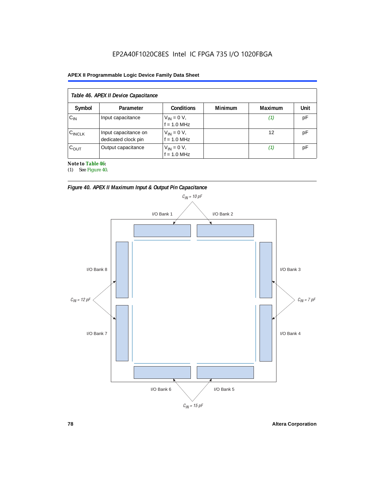#### **APEX II Programmable Logic Device Family Data Sheet**

|                    | Table 46. APEX II Device Capacitance        |                                |                |         |      |
|--------------------|---------------------------------------------|--------------------------------|----------------|---------|------|
| Symbol             | Parameter                                   | <b>Conditions</b>              | <b>Minimum</b> | Maximum | Unit |
| $C_{IN}$           | Input capacitance                           | $V_{IN} = 0 V,$<br>f = 1.0 MHz |                | (1)     | pF   |
| $C_{\text{INCLK}}$ | Input capacitance on<br>dedicated clock pin | $V_{IN} = 0 V,$<br>f = 1.0 MHz |                | 12      | рF   |
| $C_{OUT}$          | Output capacitance                          | $V_{IN} = 0 V,$<br>f = 1.0 MHz |                | (1)     | рF   |

*Note to Table 46:*

(1) See Figure 40.



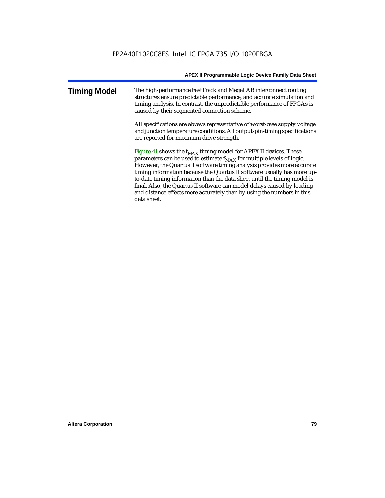| <b>Timing Model</b> | The high-performance FastTrack and MegaLAB interconnect routing<br>structures ensure predictable performance, and accurate simulation and |
|---------------------|-------------------------------------------------------------------------------------------------------------------------------------------|
|                     | timing analysis. In contrast, the unpredictable performance of FPGAs is<br>caused by their segmented connection scheme.                   |

All specifications are always representative of worst-case supply voltage and junction temperature conditions. All output-pin-timing specifications are reported for maximum drive strength.

Figure 41 shows the  $f_{MAX}$  timing model for APEX II devices. These parameters can be used to estimate  $f_{MAX}$  for multiple levels of logic. However, the Quartus II software timing analysis provides more accurate timing information because the Quartus II software usually has more upto-date timing information than the data sheet until the timing model is final. Also, the Quartus II software can model delays caused by loading and distance effects more accurately than by using the numbers in this data sheet.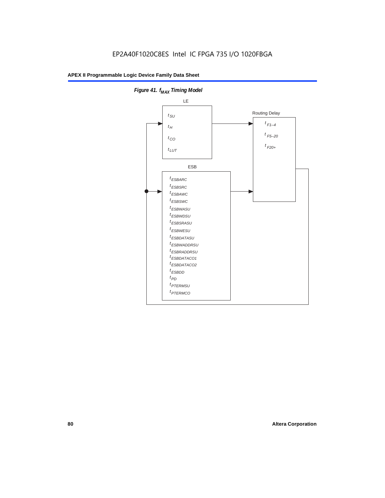

**Figure 41. f**<sub>MAX</sub> Timing Model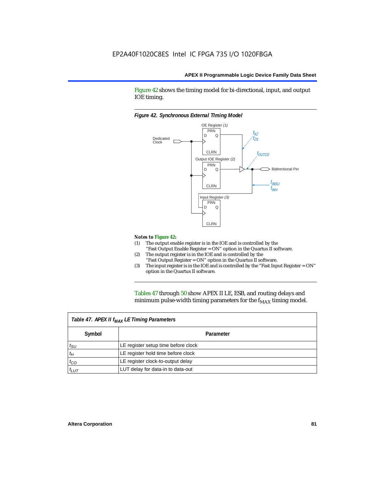Figure 42 shows the timing model for bi-directional, input, and output IOE timing.

#### *Figure 42. Synchronous External TIming Model*



#### *Notes to Figure 42:*

- (1) The output enable register is in the IOE and is controlled by the "Fast Output Enable Register = ON" option in the Quartus II software.
- (2) The output register is in the IOE and is controlled by the "Fast Output Register = ON" option in the Quartus II software.
- (3) The input register is in the IOE and is controlled by the "Fast Input Register = ON" option in the Quartus II software.

Tables 47 through 50 show APEX II LE, ESB, and routing delays and minimum pulse-width timing parameters for the  $f_{MAX}$  timing model.

|              | Table 47. APEX II f <sub>MAX</sub> LE Timing Parameters |  |  |  |  |  |  |
|--------------|---------------------------------------------------------|--|--|--|--|--|--|
| Symbol       | Parameter                                               |  |  |  |  |  |  |
| $t_{\rm SU}$ | LE register setup time before clock                     |  |  |  |  |  |  |
| $t_H$        | LE register hold time before clock                      |  |  |  |  |  |  |
| $t_{CO}$     | LE register clock-to-output delay                       |  |  |  |  |  |  |
| $t_{LUT}$    | LUT delay for data-in to data-out                       |  |  |  |  |  |  |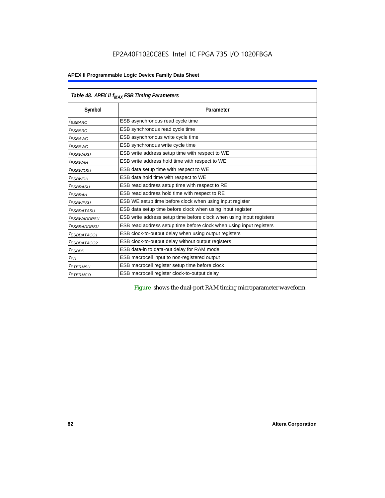|                         | Table 48. APEX II f <sub>MAX</sub> ESB Timing Parameters             |  |  |  |  |
|-------------------------|----------------------------------------------------------------------|--|--|--|--|
| Symbol                  | Parameter                                                            |  |  |  |  |
| <sup>t</sup> ESBARC     | ESB asynchronous read cycle time                                     |  |  |  |  |
| <sup>t</sup> ESBSRC     | ESB synchronous read cycle time                                      |  |  |  |  |
| <sup>t</sup> ESBAWC     | ESB asynchronous write cycle time                                    |  |  |  |  |
| <sup>t</sup> ESBSWC     | ESB synchronous write cycle time                                     |  |  |  |  |
| <sup>t</sup> ESBWASU    | ESB write address setup time with respect to WE                      |  |  |  |  |
| $t_{ESBWAH}$            | ESB write address hold time with respect to WE                       |  |  |  |  |
| <sup>t</sup> ESBWDSU    | ESB data setup time with respect to WE                               |  |  |  |  |
| <sup>t</sup> ESBWDH     | ESB data hold time with respect to WE                                |  |  |  |  |
| <sup>t</sup> ESBRASU    | ESB read address setup time with respect to RE                       |  |  |  |  |
| <sup>t</sup> ESBRAH     | ESB read address hold time with respect to RE                        |  |  |  |  |
| <sup>t</sup> ESBWESU    | ESB WE setup time before clock when using input register             |  |  |  |  |
| <sup>I</sup> ESBDATASU  | ESB data setup time before clock when using input register           |  |  |  |  |
| <sup>t</sup> ESBWADDRSU | ESB write address setup time before clock when using input registers |  |  |  |  |
| <sup>t</sup> ESBRADDRSU | ESB read address setup time before clock when using input registers  |  |  |  |  |
| <sup>t</sup> ESBDATACO1 | ESB clock-to-output delay when using output registers                |  |  |  |  |
| <sup>t</sup> ESBDATACO2 | ESB clock-to-output delay without output registers                   |  |  |  |  |
| <sup>t</sup> ESBDD      | ESB data-in to data-out delay for RAM mode                           |  |  |  |  |
| $t_{PD}$                | ESB macrocell input to non-registered output                         |  |  |  |  |
| <i><b>TPTERMSU</b></i>  | ESB macrocell register setup time before clock                       |  |  |  |  |
| <sup>t</sup> PTERMCO    | ESB macrocell register clock-to-output delay                         |  |  |  |  |

Figure shows the dual-port RAM timing microparameter waveform.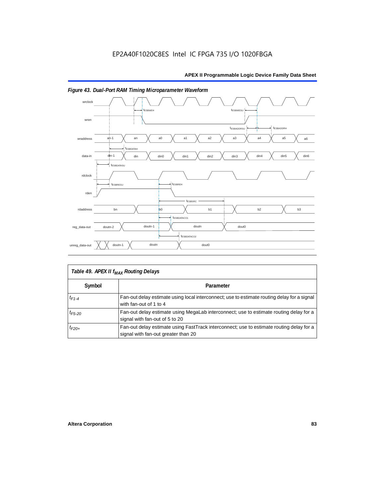

# *Figure 43. Dual-Port RAM Timing Microparameter Waveform*

|             | Table 49. APEX II f <sub>MAX</sub> Routing Delays                                                                               |
|-------------|---------------------------------------------------------------------------------------------------------------------------------|
| Symbol      | Parameter                                                                                                                       |
| $t_{F1-4}$  | Fan-out delay estimate using local interconnect; use to estimate routing delay for a signal<br>with fan-out of 1 to 4           |
| $t_{F5-20}$ | Fan-out delay estimate using MegaLab interconnect; use to estimate routing delay for a<br>signal with fan-out of 5 to 20        |
| $t_{F20+}$  | Fan-out delay estimate using FastTrack interconnect; use to estimate routing delay for a<br>signal with fan-out greater than 20 |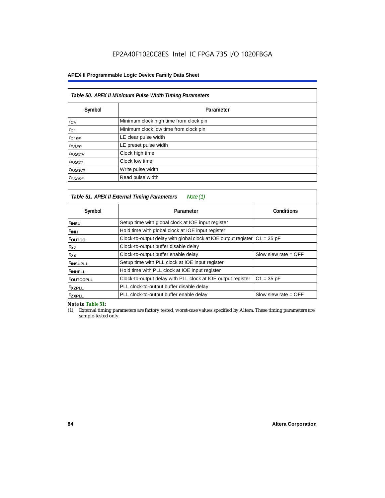# **APEX II Programmable Logic Device Family Data Sheet**

| Table 50. APEX II Minimum Pulse Width Timing Parameters |                                        |  |  |  |  |  |
|---------------------------------------------------------|----------------------------------------|--|--|--|--|--|
| Symbol                                                  | Parameter                              |  |  |  |  |  |
| $t_{CH}$                                                | Minimum clock high time from clock pin |  |  |  |  |  |
| $t_{CL}$                                                | Minimum clock low time from clock pin  |  |  |  |  |  |
| $t_{CLRP}$                                              | LE clear pulse width                   |  |  |  |  |  |
| $t_{PREF}$                                              | LE preset pulse width                  |  |  |  |  |  |
| $t_{ESBCH}$                                             | Clock high time                        |  |  |  |  |  |
| $t_{ESBCL}$                                             | Clock low time                         |  |  |  |  |  |
| $t_{ESBWP}$                                             | Write pulse width                      |  |  |  |  |  |
| $t_{ESBRP}$                                             | Read pulse width                       |  |  |  |  |  |

|                       | Table 51. APEX II External Timing Parameters<br>Note (1)       |                        |
|-----------------------|----------------------------------------------------------------|------------------------|
| Symbol                | Parameter                                                      | <b>Conditions</b>      |
| t <sub>INSU</sub>     | Setup time with global clock at IOE input register             |                        |
| $t_{\rm INH}$         | Hold time with global clock at IOE input register              |                        |
| toutco                | Clock-to-output delay with global clock at IOE output register | $C1 = 35 pF$           |
| t <sub>XZ</sub>       | Clock-to-output buffer disable delay                           |                        |
| $t_{ZX}$              | Clock-to-output buffer enable delay                            | Slow slew rate $=$ OFF |
| t <sub>INSUPLL</sub>  | Setup time with PLL clock at IOE input register                |                        |
| <sup>t</sup> INHPLL   | Hold time with PLL clock at IOE input register                 |                        |
| t <sub>outcopll</sub> | Clock-to-output delay with PLL clock at IOE output register    | $C1 = 35 pF$           |
| txzpll                | PLL clock-to-output buffer disable delay                       |                        |
| <sup>t</sup> zxpll    | PLL clock-to-output buffer enable delay                        | Slow slew rate $=$ OFF |

*Note to Table 51:*

(1) External timing parameters are factory tested, worst-case values specified by Altera. These timing parameters are sample-tested only.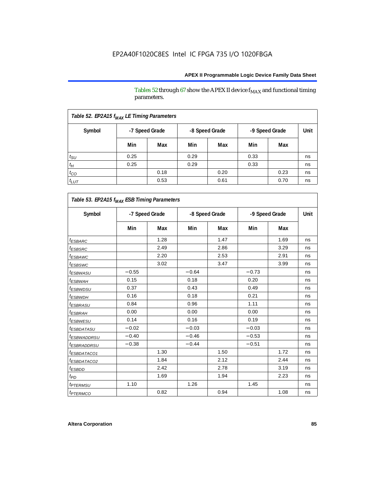Tables 52 through 67 show the APEX II device  $\rm f_{MAX}$  and functional timing parameters.

| Table 52. EP2A15 f <sub>MAX</sub> LE Timing Parameters |      |                |      |                |                |      |      |
|--------------------------------------------------------|------|----------------|------|----------------|----------------|------|------|
| Symbol                                                 |      | -7 Speed Grade |      | -8 Speed Grade | -9 Speed Grade |      | Unit |
|                                                        | Min  | Max            | Min  | Max            | Min            | Max  |      |
| $t_{\text{SU}}$                                        | 0.25 |                | 0.29 |                | 0.33           |      | ns   |
| $t_H$                                                  | 0.25 |                | 0.29 |                | 0.33           |      | ns   |
| $t_{CO}$                                               |      | 0.18           |      | 0.20           |                | 0.23 | ns   |
| $t_{LUT}$                                              |      | 0.53           |      | 0.61           |                | 0.70 | ns   |

| Symbol                       | -7 Speed Grade |      | -8 Speed Grade |      | -9 Speed Grade |      | <b>Unit</b> |
|------------------------------|----------------|------|----------------|------|----------------|------|-------------|
|                              | Min            | Max  | Min            | Max  | Min            | Max  |             |
| <sup>t</sup> ESBARC          |                | 1.28 |                | 1.47 |                | 1.69 | ns          |
| <i><b>ESBSRC</b></i>         |                | 2.49 |                | 2.86 |                | 3.29 | ns          |
| <sup>t</sup> ESBAWC          |                | 2.20 |                | 2.53 |                | 2.91 | ns          |
| <sup>t</sup> ESBSWC          |                | 3.02 |                | 3.47 |                | 3.99 | ns          |
| <sup>t</sup> ESBWASU         | $-0.55$        |      | $-0.64$        |      | $-0.73$        |      | ns          |
| <sup>t</sup> ESBWAH          | 0.15           |      | 0.18           |      | 0.20           |      | ns          |
| t <sub>ESBWDSU</sub>         | 0.37           |      | 0.43           |      | 0.49           |      | ns          |
| <sup>t</sup> ESBWDH          | 0.16           |      | 0.18           |      | 0.21           |      | ns          |
| <i><b>ESBRASU</b></i>        | 0.84           |      | 0.96           |      | 1.11           |      | ns          |
| <sup>t</sup> ESBRAH          | 0.00           |      | 0.00           |      | 0.00           |      | ns          |
| <sup>t</sup> ESBWESU         | 0.14           |      | 0.16           |      | 0.19           |      | ns          |
| <sup>t</sup> ESBDATASU       | $-0.02$        |      | $-0.03$        |      | $-0.03$        |      | ns          |
| <sup>t</sup> ESBWADDRSU      | $-0.40$        |      | $-0.46$        |      | $-0.53$        |      | ns          |
| <sup>t</sup> ESBRADDRSU      | $-0.38$        |      | $-0.44$        |      | $-0.51$        |      | ns          |
| <i>ESBDATACO1</i>            |                | 1.30 |                | 1.50 |                | 1.72 | ns          |
| <i>ESBDATACO2</i>            |                | 1.84 |                | 2.12 |                | 2.44 | ns          |
| <sup>t</sup> ESBDD           |                | 2.42 |                | 2.78 |                | 3.19 | ns          |
| t <sub>PD</sub>              |                | 1.69 |                | 1.94 |                | 2.23 | ns          |
| <i><b><i>FTERMSU</i></b></i> | 1.10           |      | 1.26           |      | 1.45           |      | ns          |
| <i><b><i>ETERMCO</i></b></i> |                | 0.82 |                | 0.94 |                | 1.08 | ns          |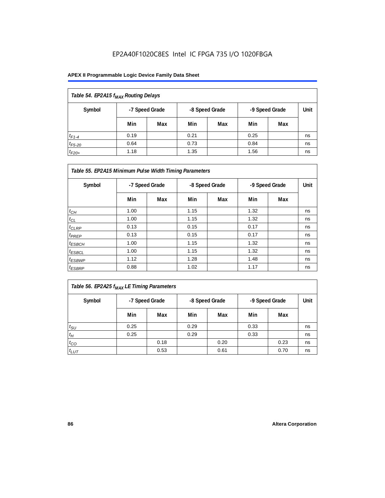| Table 54. EP2A15 f <sub>MAX</sub> Routing Delays |                |     |                |     |                |     |      |
|--------------------------------------------------|----------------|-----|----------------|-----|----------------|-----|------|
| Symbol                                           | -7 Speed Grade |     | -8 Speed Grade |     | -9 Speed Grade |     | Unit |
|                                                  | Min            | Max | Min            | Max | Min            | Max |      |
| $t_{F1-4}$                                       | 0.19           |     | 0.21           |     | 0.25           |     | ns   |
| $t_{F5-20}$                                      | 0.64           |     | 0.73           |     | 0.84           |     | ns   |
| $t_{F20+}$                                       | 1.18           |     | 1.35           |     | 1.56           |     | ns   |

| Table 55. EP2A15 Minimum Pulse Width Timing Parameters |                |     |                |     |                |     |      |
|--------------------------------------------------------|----------------|-----|----------------|-----|----------------|-----|------|
| Symbol                                                 | -7 Speed Grade |     | -8 Speed Grade |     | -9 Speed Grade |     | Unit |
|                                                        | Min            | Max | Min            | Max | Min            | Max |      |
| $t_{CH}$                                               | 1.00           |     | 1.15           |     | 1.32           |     | ns   |
| $t_{CL}$                                               | 1.00           |     | 1.15           |     | 1.32           |     | ns   |
| $t_{CLRP}$                                             | 0.13           |     | 0.15           |     | 0.17           |     | ns   |
| $t_{PREF}$                                             | 0.13           |     | 0.15           |     | 0.17           |     | ns   |
| $t_{ESBCH}$                                            | 1.00           |     | 1.15           |     | 1.32           |     | ns   |
| $t_{ESBCL}$                                            | 1.00           |     | 1.15           |     | 1.32           |     | ns   |
| <sup>t</sup> ESBWP                                     | 1.12           |     | 1.28           |     | 1.48           |     | ns   |
| $t_{ESBRP}$                                            | 0.88           |     | 1.02           |     | 1.17           |     | ns   |

| $\vert$ Table 56. EP2A25 $f_{MAX}$ LE Timing Parameters |
|---------------------------------------------------------|
|---------------------------------------------------------|

| Symbol          |      | -8 Speed Grade<br>-7 Speed Grade |      |      | -9 Speed Grade |      | Unit |
|-----------------|------|----------------------------------|------|------|----------------|------|------|
|                 | Min  | Max                              | Min  | Max  | Min            | Max  |      |
| $t_{\text{SU}}$ | 0.25 |                                  | 0.29 |      | 0.33           |      | ns   |
| $t_H$           | 0.25 |                                  | 0.29 |      | 0.33           |      | ns   |
| $t_{CO}$        |      | 0.18                             |      | 0.20 |                | 0.23 | ns   |
| $t_{LUT}$       |      | 0.53                             |      | 0.61 |                | 0.70 | ns   |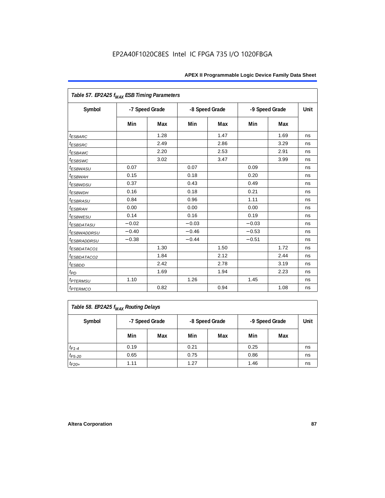| Table 57. EP2A25 f <sub>MAX</sub> ESB Timing Parameters |                |      |         |                |         |                |      |
|---------------------------------------------------------|----------------|------|---------|----------------|---------|----------------|------|
| Symbol                                                  | -7 Speed Grade |      |         | -8 Speed Grade |         | -9 Speed Grade | Unit |
|                                                         | Min            | Max  | Min     | Max            | Min     | Max            |      |
| <i><b>ESBARC</b></i>                                    |                | 1.28 |         | 1.47           |         | 1.69           | ns   |
| <i>t</i> <sub>ESBSRC</sub>                              |                | 2.49 |         | 2.86           |         | 3.29           | ns   |
| <sup>t</sup> ESBAWC                                     |                | 2.20 |         | 2.53           |         | 2.91           | ns   |
| t <sub>ESBSWC</sub>                                     |                | 3.02 |         | 3.47           |         | 3.99           | ns   |
| <sup>t</sup> ESBWASU                                    | 0.07           |      | 0.07    |                | 0.09    |                | ns   |
| <sup>t</sup> ESBWAH                                     | 0.15           |      | 0.18    |                | 0.20    |                | ns   |
| $t_{ESBWDSU}$                                           | 0.37           |      | 0.43    |                | 0.49    |                | ns   |
| <sup>t</sup> ESBWDH                                     | 0.16           |      | 0.18    |                | 0.21    |                | ns   |
| <sup>t</sup> ESBRASU                                    | 0.84           |      | 0.96    |                | 1.11    |                | ns   |
| <sup>t</sup> ESBRAH                                     | 0.00           |      | 0.00    |                | 0.00    |                | ns   |
| <sup>t</sup> ESBWESU                                    | 0.14           |      | 0.16    |                | 0.19    |                | ns   |
| <i>ESBDATASU</i>                                        | $-0.02$        |      | $-0.03$ |                | $-0.03$ |                | ns   |
| <sup>t</sup> ESBWADDRSU                                 | $-0.40$        |      | $-0.46$ |                | $-0.53$ |                | ns   |
| <sup>t</sup> ESBRADDRSU                                 | $-0.38$        |      | $-0.44$ |                | $-0.51$ |                | ns   |
| <i>ESBDATACO1</i>                                       |                | 1.30 |         | 1.50           |         | 1.72           | ns   |
| <i>ESBDATACO2</i>                                       |                | 1.84 |         | 2.12           |         | 2.44           | ns   |
| <sup>t</sup> ESBDD                                      |                | 2.42 |         | 2.78           |         | 3.19           | ns   |
| $t_{PD}$                                                |                | 1.69 |         | 1.94           |         | 2.23           | ns   |
| <i>t<sub>PTERMSU</sub></i>                              | 1.10           |      | 1.26    |                | 1.45    |                | ns   |
| <i><b>t<sub>PTERMCO</sub></b></i>                       |                | 0.82 |         | 0.94           |         | 1.08           | ns   |

| Table 58. EP2A25 f <sub>MAX</sub> Routing Delays |                |     |      |                |                |      |    |  |  |
|--------------------------------------------------|----------------|-----|------|----------------|----------------|------|----|--|--|
| Symbol                                           | -7 Speed Grade |     |      | -8 Speed Grade | -9 Speed Grade | Unit |    |  |  |
|                                                  | Min            | Max | Min  | Max            | Min            | Max  |    |  |  |
| $t_{F1-4}$                                       | 0.19           |     | 0.21 |                | 0.25           |      | ns |  |  |
| $t_{F5-20}$                                      | 0.65           |     | 0.75 |                | 0.86           |      | ns |  |  |
| $t_{F20+}$                                       | 1.11           |     | 1.27 |                | 1.46           |      | ns |  |  |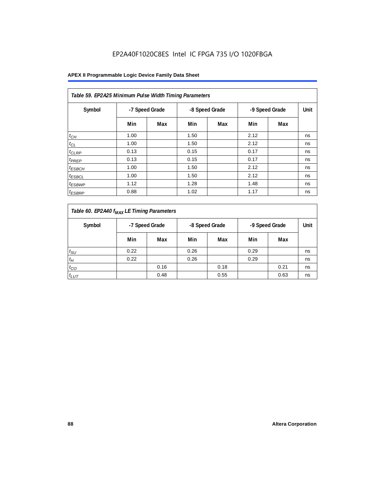| Table 59. EP2A25 Minimum Pulse Width Timing Parameters |                |     |      |                |      |                |      |  |  |  |
|--------------------------------------------------------|----------------|-----|------|----------------|------|----------------|------|--|--|--|
| Symbol                                                 | -7 Speed Grade |     |      | -8 Speed Grade |      | -9 Speed Grade | Unit |  |  |  |
|                                                        | Min            | Max | Min  | Max            | Min  | Max            |      |  |  |  |
| $t_{CH}$                                               | 1.00           |     | 1.50 |                | 2.12 |                | ns   |  |  |  |
| $t_{CL}$                                               | 1.00           |     | 1.50 |                | 2.12 |                | ns   |  |  |  |
| $t_{CLRP}$                                             | 0.13           |     | 0.15 |                | 0.17 |                | ns   |  |  |  |
| t <sub>PREP</sub>                                      | 0.13           |     | 0.15 |                | 0.17 |                | ns   |  |  |  |
| <sup>t</sup> ESBCH                                     | 1.00           |     | 1.50 |                | 2.12 |                | ns   |  |  |  |
| <sup>t</sup> ESBCL                                     | 1.00           |     | 1.50 |                | 2.12 |                | ns   |  |  |  |
| <sup>t</sup> ESBWP                                     | 1.12           |     | 1.28 |                | 1.48 |                | ns   |  |  |  |
| <sup>t</sup> ESBRP                                     | 0.88           |     | 1.02 |                | 1.17 |                | ns   |  |  |  |

| Table 60. EP2A40 f <sub>MAX</sub> LE Timing Parameters |      |                |      |                |      |                |      |  |  |
|--------------------------------------------------------|------|----------------|------|----------------|------|----------------|------|--|--|
| Symbol                                                 |      | -7 Speed Grade |      | -8 Speed Grade |      | -9 Speed Grade | Unit |  |  |
|                                                        | Min  | Max            | Min  | Max            | Min  | Max            |      |  |  |
| $t_{\rm SU}$                                           | 0.22 |                | 0.26 |                | 0.29 |                | ns   |  |  |
| $t_H$                                                  | 0.22 |                | 0.26 |                | 0.29 |                | ns   |  |  |
| $t_{CO}$                                               |      | 0.16           |      | 0.18           |      | 0.21           | ns   |  |  |
| $t_{LUT}$                                              |      | 0.48           |      | 0.55           |      | 0.63           | ns   |  |  |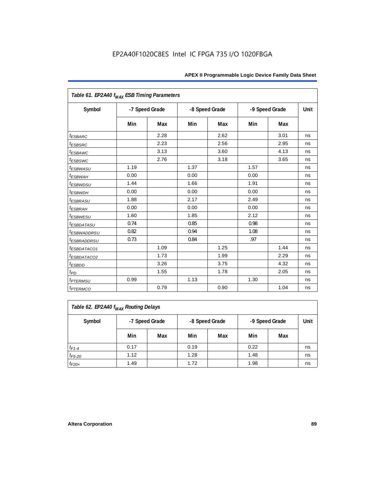| Table 61. EP2A40 f <sub>MAX</sub> ESB Timing Parameters |      |                |      |                |      |                |      |
|---------------------------------------------------------|------|----------------|------|----------------|------|----------------|------|
| Symbol                                                  |      | -7 Speed Grade |      | -8 Speed Grade |      | -9 Speed Grade | Unit |
|                                                         | Min  | Max            | Min  | Max            | Min  | Max            |      |
| <i><b>ESBARC</b></i>                                    |      | 2.28           |      | 2.62           |      | 3.01           | ns   |
| <i><b>ESBSRC</b></i>                                    |      | 2.23           |      | 2.56           |      | 2.95           | ns   |
| <i>ESBAWC</i>                                           |      | 3.13           |      | 3.60           |      | 4.13           | ns   |
| t <sub>ESBSWC</sub>                                     |      | 2.76           |      | 3.18           |      | 3.65           | ns   |
| <sup>t</sup> ESBWASU                                    | 1.19 |                | 1.37 |                | 1.57 |                | ns   |
| <sup>t</sup> ESBWAH                                     | 0.00 |                | 0.00 |                | 0.00 |                | ns   |
| <i>t<sub>ESBWDSU</sub></i>                              | 1.44 |                | 1.66 |                | 1.91 |                | ns   |
| <sup>t</sup> ESBWDH                                     | 0.00 |                | 0.00 |                | 0.00 |                | ns   |
| <i><b>ESBRASU</b></i>                                   | 1.88 |                | 2.17 |                | 2.49 |                | ns   |
| <sup>t</sup> ESBRAH                                     | 0.00 |                | 0.00 |                | 0.00 |                | ns   |
| $t_{ESBWESU}$                                           | 1.60 |                | 1.85 |                | 2.12 |                | ns   |
| <sup>t</sup> ESBDATASU                                  | 0.74 |                | 0.85 |                | 0.98 |                | ns   |
| <sup>t</sup> ESBWADDRSU                                 | 0.82 |                | 0.94 |                | 1.08 |                | ns   |
| <sup>t</sup> ESBRADDRSU                                 | 0.73 |                | 0.84 |                | .97  |                | ns   |
| <sup>t</sup> ESBDATACO1                                 |      | 1.09           |      | 1.25           |      | 1.44           | ns   |
| <sup>t</sup> ESBDATACO2                                 |      | 1.73           |      | 1.99           |      | 2.29           | ns   |
| <sup>t</sup> ESBDD                                      |      | 3.26           |      | 3.75           |      | 4.32           | ns   |
| t <sub>PD</sub>                                         |      | 1.55           |      | 1.78           |      | 2.05           | ns   |
| <i><b>t<sub>PTERMSU</sub></b></i>                       | 0.99 |                | 1.13 |                | 1.30 |                | ns   |
| <i><b>t<sub>PTERMCO</sub></b></i>                       |      | 0.79           |      | 0.90           |      | 1.04           | ns   |

| Table 62. EP2A40 f <sub>MAX</sub> Routing Delays |      |                |      |                |                |      |    |  |  |
|--------------------------------------------------|------|----------------|------|----------------|----------------|------|----|--|--|
| Symbol                                           |      | -7 Speed Grade |      | -8 Speed Grade | -9 Speed Grade | Unit |    |  |  |
|                                                  | Min  | Max            | Min  | Max            | Min            | Max  |    |  |  |
| $t_{F1-4}$                                       | 0.17 |                | 0.19 |                | 0.22           |      | ns |  |  |
| $t_{F5-20}$                                      | 1.12 |                | 1.28 |                | 1.48           |      | ns |  |  |
| $t_{F20+}$                                       | 1.49 |                | 1.72 |                | 1.98           |      | ns |  |  |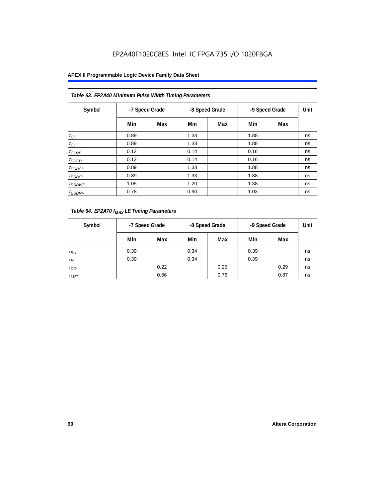| Table 63. EP2A40 Minimum Pulse Width Timing Parameters |                                  |     |      |                |      |     |    |  |  |  |  |
|--------------------------------------------------------|----------------------------------|-----|------|----------------|------|-----|----|--|--|--|--|
| Symbol                                                 | -7 Speed Grade<br>-8 Speed Grade |     |      | -9 Speed Grade | Unit |     |    |  |  |  |  |
|                                                        | Min                              | Max | Min  | Max            | Min  | Max |    |  |  |  |  |
| $t_{CH}$                                               | 0.89                             |     | 1.33 |                | 1.88 |     | ns |  |  |  |  |
| $t_{CL}$                                               | 0.89                             |     | 1.33 |                | 1.88 |     | ns |  |  |  |  |
| $t_{CLRP}$                                             | 0.12                             |     | 0.14 |                | 0.16 |     | ns |  |  |  |  |
| t <sub>PREP</sub>                                      | 0.12                             |     | 0.14 |                | 0.16 |     | ns |  |  |  |  |
| <sup>t</sup> ESBCH                                     | 0.89                             |     | 1.33 |                | 1.88 |     | ns |  |  |  |  |
| <sup>t</sup> ESBCL                                     | 0.89                             |     | 1.33 |                | 1.88 |     | ns |  |  |  |  |
| <sup>t</sup> ESBWP                                     | 1.05                             |     | 1.20 |                | 1.38 |     | ns |  |  |  |  |
| <sup>t</sup> ESBRP                                     | 0.78                             |     | 0.90 |                | 1.03 |     | ns |  |  |  |  |

| Table 64. EP2A70 f <sub>MAX</sub> LE Timing Parameters |      |                                                    |      |      |      |      |    |
|--------------------------------------------------------|------|----------------------------------------------------|------|------|------|------|----|
| Symbol                                                 |      | -7 Speed Grade<br>-8 Speed Grade<br>-9 Speed Grade |      |      |      | Unit |    |
|                                                        | Min  | Max                                                | Min  | Max  | Min  | Max  |    |
| $t_{\rm SU}$                                           | 0.30 |                                                    | 0.34 |      | 0.39 |      | ns |
| $t_H$                                                  | 0.30 |                                                    | 0.34 |      | 0.39 |      | ns |
| $t_{CO}$                                               |      | 0.22                                               |      | 0.25 |      | 0.29 | ns |
| $t_{LUT}$                                              |      | 0.66                                               |      | 0.76 |      | 0.87 | ns |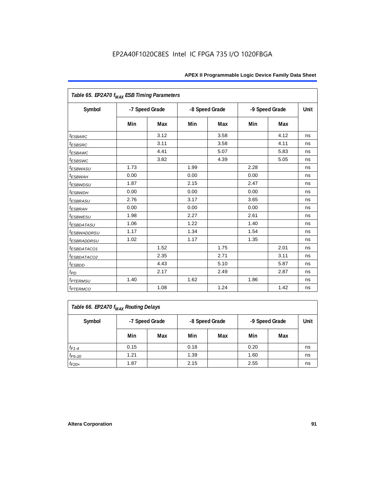| Table 65. EP2A70 f <sub>MAX</sub> ESB Timing Parameters |      |                |      |                |      |                |      |
|---------------------------------------------------------|------|----------------|------|----------------|------|----------------|------|
| Symbol                                                  |      | -7 Speed Grade |      | -8 Speed Grade |      | -9 Speed Grade | Unit |
|                                                         | Min  | Max            | Min  | Max            | Min  | Max            |      |
| <i><b>ESBARC</b></i>                                    |      | 3.12           |      | 3.58           |      | 4.12           | ns   |
| <i>t<sub>ESBSRC</sub></i>                               |      | 3.11           |      | 3.58           |      | 4.11           | ns   |
| <i>ESBAWC</i>                                           |      | 4.41           |      | 5.07           |      | 5.83           | ns   |
| t <sub>ESBSWC</sub>                                     |      | 3.82           |      | 4.39           |      | 5.05           | ns   |
| <sup>t</sup> ESBWASU                                    | 1.73 |                | 1.99 |                | 2.28 |                | ns   |
| <sup>t</sup> ESBWAH                                     | 0.00 |                | 0.00 |                | 0.00 |                | ns   |
| <i>t<sub>ESBWDSU</sub></i>                              | 1.87 |                | 2.15 |                | 2.47 |                | ns   |
| <sup>t</sup> ESBWDH                                     | 0.00 |                | 0.00 |                | 0.00 |                | ns   |
| <i><b>ESBRASU</b></i>                                   | 2.76 |                | 3.17 |                | 3.65 |                | ns   |
| <sup>t</sup> ESBRAH                                     | 0.00 |                | 0.00 |                | 0.00 |                | ns   |
| <sup>t</sup> ESBWESU                                    | 1.98 |                | 2.27 |                | 2.61 |                | ns   |
| <i>ESBDATASU</i>                                        | 1.06 |                | 1.22 |                | 1.40 |                | ns   |
| <sup>t</sup> ESBWADDRSU                                 | 1.17 |                | 1.34 |                | 1.54 |                | ns   |
| <sup>t</sup> ESBRADDRSU                                 | 1.02 |                | 1.17 |                | 1.35 |                | ns   |
| <sup>t</sup> ESBDATACO1                                 |      | 1.52           |      | 1.75           |      | 2.01           | ns   |
| <i>ESBDATACO2</i>                                       |      | 2.35           |      | 2.71           |      | 3.11           | ns   |
| <sup>t</sup> ESBDD                                      |      | 4.43           |      | 5.10           |      | 5.87           | ns   |
| $t_{PD}$                                                |      | 2.17           |      | 2.49           |      | 2.87           | ns   |
| <i><b>t<sub>PTERMSU</sub></b></i>                       | 1.40 |                | 1.62 |                | 1.86 |                | ns   |
| <i><b>IPTERMCO</b></i>                                  |      | 1.08           |      | 1.24           |      | 1.42           | ns   |

| Table 66. EP2A70 f <sub>MAX</sub> Routing Delays |      |                |      |                |                |      |    |  |  |
|--------------------------------------------------|------|----------------|------|----------------|----------------|------|----|--|--|
| Symbol                                           |      | -7 Speed Grade |      | -8 Speed Grade | -9 Speed Grade | Unit |    |  |  |
|                                                  | Min  | Max            | Min  | Max            | Min            | Max  |    |  |  |
| $t_{F1-4}$                                       | 0.15 |                | 0.18 |                | 0.20           |      | ns |  |  |
| $t_{F5-20}$                                      | 1.21 |                | 1.39 |                | 1.60           |      | ns |  |  |
| $t_{F20+}$                                       | 1.87 |                | 2.15 |                | 2.55           |      | ns |  |  |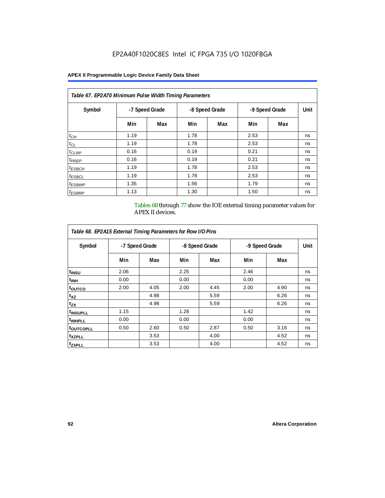# **APEX II Programmable Logic Device Family Data Sheet**

| Table 67. EP2A70 Minimum Pulse Width Timing Parameters |      |                |      |                |                |     |      |  |  |  |
|--------------------------------------------------------|------|----------------|------|----------------|----------------|-----|------|--|--|--|
| Symbol                                                 |      | -7 Speed Grade |      | -8 Speed Grade | -9 Speed Grade |     | Unit |  |  |  |
|                                                        | Min  | Max            | Min  | Max            | Min            | Max |      |  |  |  |
| $t_{CH}$                                               | 1.19 |                | 1.78 |                | 2.53           |     | ns   |  |  |  |
| $t_{CL}$                                               | 1.19 |                | 1.78 |                | 2.53           |     | ns   |  |  |  |
| $t_{CLRP}$                                             | 0.16 |                | 0.19 |                | 0.21           |     | ns   |  |  |  |
| $t_{PREF}$                                             | 0.16 |                | 0.19 |                | 0.21           |     | ns   |  |  |  |
| $t_{ESBCH}$                                            | 1.19 |                | 1.78 |                | 2.53           |     | ns   |  |  |  |
| $t_{ESBCL}$                                            | 1.19 |                | 1.78 |                | 2.53           |     | ns   |  |  |  |
| <sup>t</sup> ESBWP                                     | 1.35 |                | 1.56 |                | 1.79           |     | ns   |  |  |  |
| <sup>t</sup> ESBRP                                     | 1.13 |                | 1.30 |                | 1.50           |     | ns   |  |  |  |

Tables 68 through 77 show the IOE external timing parameter values for APEX II devices.

| Table 68. EP2A15 External Timing Parameters for Row I/O Pins |                |      |      |                |      |                |      |
|--------------------------------------------------------------|----------------|------|------|----------------|------|----------------|------|
| Symbol                                                       | -7 Speed Grade |      |      | -8 Speed Grade |      | -9 Speed Grade | Unit |
|                                                              | Min            | Max  | Min  | Max            | Min  | Max            |      |
| t <sub>INSU</sub>                                            | 2.06           |      | 2.25 |                | 2.46 |                | ns   |
| <sup>t</sup> inh                                             | 0.00           |      | 0.00 |                | 0.00 |                | ns   |
| <sup>t</sup> outco                                           | 2.00           | 4.05 | 2.00 | 4.45           | 2.00 | 4.90           | ns   |
| $t_{XZ}$                                                     |                | 4.98 |      | 5.59           |      | 6.26           | ns   |
| $t_{ZX}$                                                     |                | 4.98 |      | 5.59           |      | 6.26           | ns   |
| <sup>t</sup> INSUPLL                                         | 1.15           |      | 1.28 |                | 1.42 |                | ns   |
| <sup>t</sup> INHPLL                                          | 0.00           |      | 0.00 |                | 0.00 |                | ns   |
| <sup>t</sup> OUTCOPLL                                        | 0.50           | 2.60 | 0.50 | 2.87           | 0.50 | 3.16           | ns   |
| <sup>t</sup> XZPLL                                           |                | 3.53 |      | 4.00           |      | 4.52           | ns   |
| <sup>t</sup> zxpll                                           |                | 3.53 |      | 4.00           |      | 4.52           | ns   |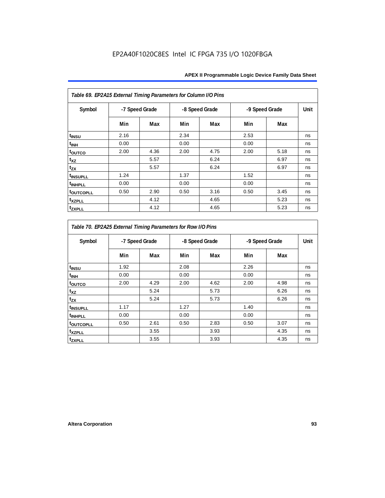| Table 69. EP2A15 External Timing Parameters for Column I/O Pins |                |      |      |                |      |                |      |
|-----------------------------------------------------------------|----------------|------|------|----------------|------|----------------|------|
| Symbol                                                          | -7 Speed Grade |      |      | -8 Speed Grade |      | -9 Speed Grade | Unit |
|                                                                 | Min            | Max  | Min  | Max            | Min  | Max            |      |
| t <sub>INSU</sub>                                               | 2.16           |      | 2.34 |                | 2.53 |                | ns   |
| t <sub>INH</sub>                                                | 0.00           |      | 0.00 |                | 0.00 |                | ns   |
| toutco                                                          | 2.00           | 4.36 | 2.00 | 4.75           | 2.00 | 5.18           | ns   |
| t <sub>XZ</sub>                                                 |                | 5.57 |      | 6.24           |      | 6.97           | ns   |
| $t_{ZX}$                                                        |                | 5.57 |      | 6.24           |      | 6.97           | ns   |
| t <sub>INSUPLL</sub>                                            | 1.24           |      | 1.37 |                | 1.52 |                | ns   |
| <sup>t</sup> INHPLL                                             | 0.00           |      | 0.00 |                | 0.00 |                | ns   |
| <b>toutcopll</b>                                                | 0.50           | 2.90 | 0.50 | 3.16           | 0.50 | 3.45           | ns   |
| <sup>t</sup> xzpll                                              |                | 4.12 |      | 4.65           |      | 5.23           | ns   |
| tzxpll                                                          |                | 4.12 |      | 4.65           |      | 5.23           | ns   |

| Table 70. EP2A25 External Timing Parameters for Row I/O Pins |      |                |      |                |                |      |      |
|--------------------------------------------------------------|------|----------------|------|----------------|----------------|------|------|
| Symbol                                                       |      | -7 Speed Grade |      | -8 Speed Grade | -9 Speed Grade |      | Unit |
|                                                              | Min  | Max            | Min  | Max            | Min            | Max  |      |
| t <sub>INSU</sub>                                            | 1.92 |                | 2.08 |                | 2.26           |      | ns   |
| <sup>t</sup> INH                                             | 0.00 |                | 0.00 |                | 0.00           |      | ns   |
| toutco                                                       | 2.00 | 4.29           | 2.00 | 4.62           | 2.00           | 4.98 | ns   |
| $t_{XZ}$                                                     |      | 5.24           |      | 5.73           |                | 6.26 | ns   |
| tzx                                                          |      | 5.24           |      | 5.73           |                | 6.26 | ns   |
| <sup>t</sup> INSUPLL                                         | 1.17 |                | 1.27 |                | 1.40           |      | ns   |
| <sup>t</sup> INHPLL                                          | 0.00 |                | 0.00 |                | 0.00           |      | ns   |
| <b>toutcopll</b>                                             | 0.50 | 2.61           | 0.50 | 2.83           | 0.50           | 3.07 | ns   |
| <sup>t</sup> xzpll                                           |      | 3.55           |      | 3.93           |                | 4.35 | ns   |
| tzxpll                                                       |      | 3.55           |      | 3.93           |                | 4.35 | ns   |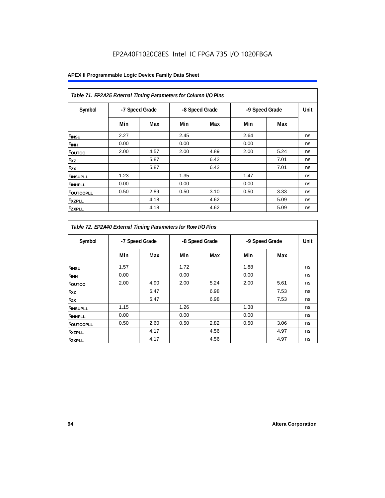| Table 71. EP2A25 External Timing Parameters for Column I/O Pins |                |      |      |                |      |                |      |
|-----------------------------------------------------------------|----------------|------|------|----------------|------|----------------|------|
| Symbol                                                          | -7 Speed Grade |      |      | -8 Speed Grade |      | -9 Speed Grade | Unit |
|                                                                 | Min            | Max  | Min  | Max            | Min  | Max            |      |
| t <sub>INSU</sub>                                               | 2.27           |      | 2.45 |                | 2.64 |                | ns   |
| t <sub>INH</sub>                                                | 0.00           |      | 0.00 |                | 0.00 |                | ns   |
| toutco                                                          | 2.00           | 4.57 | 2.00 | 4.89           | 2.00 | 5.24           | ns   |
| $t_{XZ}$                                                        |                | 5.87 |      | 6.42           |      | 7.01           | ns   |
| $t_{ZX}$                                                        |                | 5.87 |      | 6.42           |      | 7.01           | ns   |
| <sup>t</sup> INSUPLL                                            | 1.23           |      | 1.35 |                | 1.47 |                | ns   |
| <sup>t</sup> INHPLL                                             | 0.00           |      | 0.00 |                | 0.00 |                | ns   |
| <b>toutcopll</b>                                                | 0.50           | 2.89 | 0.50 | 3.10           | 0.50 | 3.33           | ns   |
| t <sub>XZPLL</sub>                                              |                | 4.18 |      | 4.62           |      | 5.09           | ns   |
| <sup>t</sup> zxpll                                              |                | 4.18 |      | 4.62           |      | 5.09           | ns   |

| Table 72. EP2A40 External Timing Parameters for Row I/O Pins |                |      |      |                |                |      |      |
|--------------------------------------------------------------|----------------|------|------|----------------|----------------|------|------|
| Symbol                                                       | -7 Speed Grade |      |      | -8 Speed Grade | -9 Speed Grade |      | Unit |
|                                                              | Min            | Max  | Min  | Max            | Min            | Max  |      |
| t <sub>INSU</sub>                                            | 1.57           |      | 1.72 |                | 1.88           |      | ns   |
| $t_{\text{INH}}$                                             | 0.00           |      | 0.00 |                | 0.00           |      | ns   |
| toutco                                                       | 2.00           | 4.90 | 2.00 | 5.24           | 2.00           | 5.61 | ns   |
| $t_{XZ}$                                                     |                | 6.47 |      | 6.98           |                | 7.53 | ns   |
| $t_{ZX}$                                                     |                | 6.47 |      | 6.98           |                | 7.53 | ns   |
| <sup>t</sup> INSUPLL                                         | 1.15           |      | 1.26 |                | 1.38           |      | ns   |
| <sup>t</sup> INHPLL                                          | 0.00           |      | 0.00 |                | 0.00           |      | ns   |
| <sup>t</sup> outcopll                                        | 0.50           | 2.60 | 0.50 | 2.82           | 0.50           | 3.06 | ns   |
| <sup>t</sup> xzpll                                           |                | 4.17 |      | 4.56           |                | 4.97 | ns   |
| t <sub>ZXPLL</sub>                                           |                | 4.17 |      | 4.56           |                | 4.97 | ns   |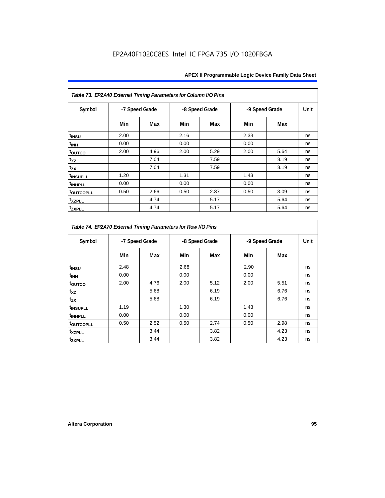| Table 73. EP2A40 External Timing Parameters for Column I/O Pins |                |      |      |                |      |                |      |
|-----------------------------------------------------------------|----------------|------|------|----------------|------|----------------|------|
| Symbol                                                          | -7 Speed Grade |      |      | -8 Speed Grade |      | -9 Speed Grade | Unit |
|                                                                 | Min            | Max  | Min  | Max            | Min  | Max            |      |
| t <sub>INSU</sub>                                               | 2.00           |      | 2.16 |                | 2.33 |                | ns   |
| t <sub>INH</sub>                                                | 0.00           |      | 0.00 |                | 0.00 |                | ns   |
| toutco                                                          | 2.00           | 4.96 | 2.00 | 5.29           | 2.00 | 5.64           | ns   |
| t <sub>XZ</sub>                                                 |                | 7.04 |      | 7.59           |      | 8.19           | ns   |
| $t_{ZX}$                                                        |                | 7.04 |      | 7.59           |      | 8.19           | ns   |
| <sup>t</sup> INSUPLL                                            | 1.20           |      | 1.31 |                | 1.43 |                | ns   |
| <sup>t</sup> INHPLL                                             | 0.00           |      | 0.00 |                | 0.00 |                | ns   |
| <b>toutcopll</b>                                                | 0.50           | 2.66 | 0.50 | 2.87           | 0.50 | 3.09           | ns   |
| t <sub>XZPLL</sub>                                              |                | 4.74 |      | 5.17           |      | 5.64           | ns   |
| <b>tzxpll</b>                                                   |                | 4.74 |      | 5.17           |      | 5.64           | ns   |

| Table 74. EP2A70 External Timing Parameters for Row I/O Pins |      |                |      |                |      |                |      |
|--------------------------------------------------------------|------|----------------|------|----------------|------|----------------|------|
| Symbol                                                       |      | -7 Speed Grade |      | -8 Speed Grade |      | -9 Speed Grade | Unit |
|                                                              | Min  | Max            | Min  | Max            | Min  | Max            |      |
| t <sub>INSU</sub>                                            | 2.48 |                | 2.68 |                | 2.90 |                | ns   |
| <sup>t</sup> INH                                             | 0.00 |                | 0.00 |                | 0.00 |                | ns   |
| toutco                                                       | 2.00 | 4.76           | 2.00 | 5.12           | 2.00 | 5.51           | ns   |
| t <sub>XZ</sub>                                              |      | 5.68           |      | 6.19           |      | 6.76           | ns   |
| t <sub>zx</sub>                                              |      | 5.68           |      | 6.19           |      | 6.76           | ns   |
| <sup>t</sup> INSUPLL                                         | 1.19 |                | 1.30 |                | 1.43 |                | ns   |
| <sup>t</sup> INHPLL                                          | 0.00 |                | 0.00 |                | 0.00 |                | ns   |
| t <sub>outcopll</sub>                                        | 0.50 | 2.52           | 0.50 | 2.74           | 0.50 | 2.98           | ns   |
| <sup>t</sup> xzpll                                           |      | 3.44           |      | 3.82           |      | 4.23           | ns   |
| tzxpll                                                       |      | 3.44           |      | 3.82           |      | 4.23           | ns   |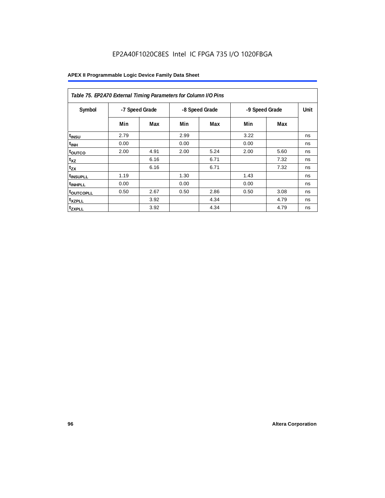| Table 75. EP2A70 External Timing Parameters for Column I/O Pins |      |                |      |                |      |                |      |
|-----------------------------------------------------------------|------|----------------|------|----------------|------|----------------|------|
| Symbol                                                          |      | -7 Speed Grade |      | -8 Speed Grade |      | -9 Speed Grade | Unit |
|                                                                 | Min  | Max            | Min  | Max            | Min  | Max            |      |
| t <sub>INSU</sub>                                               | 2.79 |                | 2.99 |                | 3.22 |                | ns   |
| <sup>t</sup> INH                                                | 0.00 |                | 0.00 |                | 0.00 |                | ns   |
| toutco                                                          | 2.00 | 4.91           | 2.00 | 5.24           | 2.00 | 5.60           | ns   |
| t <sub>XZ</sub>                                                 |      | 6.16           |      | 6.71           |      | 7.32           | ns   |
| $t_{ZX}$                                                        |      | 6.16           |      | 6.71           |      | 7.32           | ns   |
| <sup>t</sup> INSUPLL                                            | 1.19 |                | 1.30 |                | 1.43 |                | ns   |
| <sup>t</sup> INHPLL                                             | 0.00 |                | 0.00 |                | 0.00 |                | ns   |
| <b>toutcopll</b>                                                | 0.50 | 2.67           | 0.50 | 2.86           | 0.50 | 3.08           | ns   |
| <sup>t</sup> xzpll                                              |      | 3.92           |      | 4.34           |      | 4.79           | ns   |
| <sup>t</sup> zxpll                                              |      | 3.92           |      | 4.34           |      | 4.79           | ns   |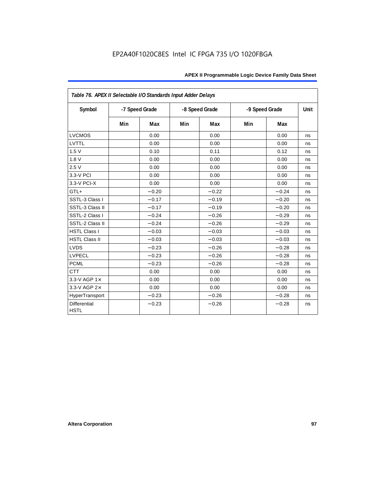| Table 76. APEX II Selectable I/O Standards Input Adder Delays |     |                |     |                |     |                |             |
|---------------------------------------------------------------|-----|----------------|-----|----------------|-----|----------------|-------------|
| Symbol                                                        |     | -7 Speed Grade |     | -8 Speed Grade |     | -9 Speed Grade | <b>Unit</b> |
|                                                               | Min | Max            | Min | Max            | Min | Max            |             |
| <b>LVCMOS</b>                                                 |     | 0.00           |     | 0.00           |     | 0.00           | ns          |
| LVTTL                                                         |     | 0.00           |     | 0.00           |     | 0.00           | ns          |
| 1.5V                                                          |     | 0.10           |     | 0.11           |     | 0.12           | ns          |
| 1.8V                                                          |     | 0.00           |     | 0.00           |     | 0.00           | ns          |
| 2.5V                                                          |     | 0.00           |     | 0.00           |     | 0.00           | ns          |
| 3.3-V PCI                                                     |     | 0.00           |     | 0.00           |     | 0.00           | ns          |
| 3.3-V PCI-X                                                   |     | 0.00           |     | 0.00           |     | 0.00           | ns          |
| GTL+                                                          |     | $-0.20$        |     | $-0.22$        |     | $-0.24$        | ns          |
| SSTL-3 Class I                                                |     | $-0.17$        |     | $-0.19$        |     | $-0.20$        | ns          |
| SSTL-3 Class II                                               |     | $-0.17$        |     | $-0.19$        |     | $-0.20$        | ns          |
| SSTL-2 Class I                                                |     | $-0.24$        |     | $-0.26$        |     | $-0.29$        | ns          |
| SSTL-2 Class II                                               |     | $-0.24$        |     | $-0.26$        |     | $-0.29$        | ns          |
| <b>HSTL Class I</b>                                           |     | $-0.03$        |     | $-0.03$        |     | $-0.03$        | ns          |
| <b>HSTL Class II</b>                                          |     | $-0.03$        |     | $-0.03$        |     | $-0.03$        | ns          |
| <b>LVDS</b>                                                   |     | $-0.23$        |     | $-0.26$        |     | $-0.28$        | ns          |
| <b>LVPECL</b>                                                 |     | $-0.23$        |     | $-0.26$        |     | $-0.28$        | ns          |
| <b>PCML</b>                                                   |     | $-0.23$        |     | $-0.26$        |     | $-0.28$        | ns          |
| <b>CTT</b>                                                    |     | 0.00           |     | 0.00           |     | 0.00           | ns          |
| 3.3-V AGP 1×                                                  |     | 0.00           |     | 0.00           |     | 0.00           | ns          |
| 3.3-V AGP 2×                                                  |     | 0.00           |     | 0.00           |     | 0.00           | ns          |
| HyperTransport                                                |     | $-0.23$        |     | $-0.26$        |     | $-0.28$        | ns          |
| <b>Differential</b><br><b>HSTL</b>                            |     | $-0.23$        |     | $-0.26$        |     | $-0.28$        | ns          |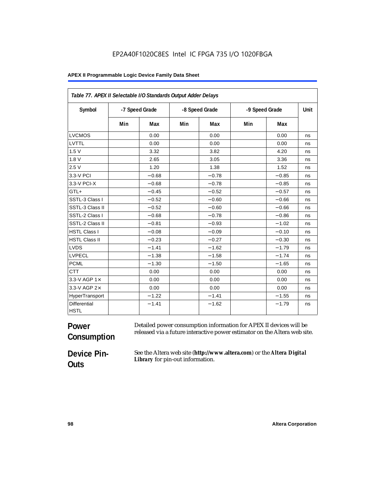#### **APEX II Programmable Logic Device Family Data Sheet**

| Table 77. APEX II Selectable I/O Standards Output Adder Delays |     |                |     |                |                |         |      |
|----------------------------------------------------------------|-----|----------------|-----|----------------|----------------|---------|------|
| Symbol                                                         |     | -7 Speed Grade |     | -8 Speed Grade | -9 Speed Grade |         | Unit |
|                                                                | Min | Max            | Min | Max            | Min            | Max     |      |
| <b>LVCMOS</b>                                                  |     | 0.00           |     | 0.00           |                | 0.00    | ns   |
| LVTTL                                                          |     | 0.00           |     | 0.00           |                | 0.00    | ns   |
| 1.5V                                                           |     | 3.32           |     | 3.82           |                | 4.20    | ns   |
| 1.8V                                                           |     | 2.65           |     | 3.05           |                | 3.36    | ns   |
| 2.5V                                                           |     | 1.20           |     | 1.38           |                | 1.52    | ns   |
| 3.3-V PCI                                                      |     | $-0.68$        |     | $-0.78$        |                | $-0.85$ | ns   |
| 3.3-V PCI-X                                                    |     | $-0.68$        |     | $-0.78$        |                | $-0.85$ | ns   |
| GTL+                                                           |     | $-0.45$        |     | $-0.52$        |                | $-0.57$ | ns   |
| SSTL-3 Class I                                                 |     | $-0.52$        |     | $-0.60$        |                | $-0.66$ | ns   |
| SSTL-3 Class II                                                |     | $-0.52$        |     | $-0.60$        |                | $-0.66$ | ns   |
| SSTL-2 Class I                                                 |     | $-0.68$        |     | $-0.78$        |                | $-0.86$ | ns   |
| SSTL-2 Class II                                                |     | $-0.81$        |     | $-0.93$        |                | $-1.02$ | ns   |
| <b>HSTL Class I</b>                                            |     | $-0.08$        |     | $-0.09$        |                | $-0.10$ | ns   |
| <b>HSTL Class II</b>                                           |     | $-0.23$        |     | $-0.27$        |                | $-0.30$ | ns   |
| <b>LVDS</b>                                                    |     | $-1.41$        |     | $-1.62$        |                | $-1.79$ | ns   |
| <b>LVPECL</b>                                                  |     | $-1.38$        |     | $-1.58$        |                | $-1.74$ | ns   |
| <b>PCML</b>                                                    |     | $-1.30$        |     | $-1.50$        |                | $-1.65$ | ns   |
| <b>CTT</b>                                                     |     | 0.00           |     | 0.00           |                | 0.00    | ns   |
| 3.3-V AGP 1×                                                   |     | 0.00           |     | 0.00           |                | 0.00    | ns   |
| 3.3-V AGP 2×                                                   |     | 0.00           |     | 0.00           |                | 0.00    | ns   |
| HyperTransport                                                 |     | $-1.22$        |     | $-1.41$        |                | $-1.55$ | ns   |
| <b>Differential</b><br><b>HSTL</b>                             |     | $-1.41$        |     | $-1.62$        |                | $-1.79$ | ns   |

#### **Power Consumption** Detailed power consumption information for APEX II devices will be released via a future interactive power estimator on the Altera web site.

# **Device Pin-Outs**

See the Altera web site (**http://www.altera.com**) or the *Altera Digital Library* for pin-out information.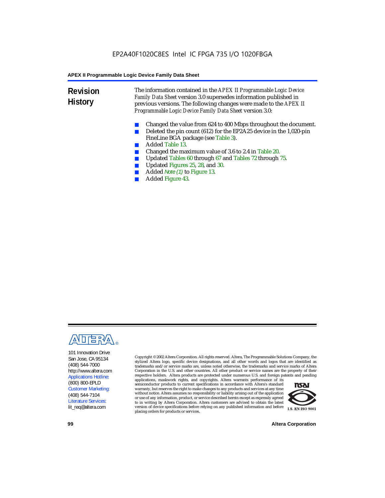**Revision History** The information contained in the *APEX II Programmable Logic Device Family Data Sheet* version 3.0 supersedes information published in previous versions. The following changes were made to the *APEX II Programmable Logic Device Family Data Sheet* version 3.0:

- Changed the value from 624 to 400 Mbps throughout the document.
- Deleted the pin count (612) for the EP2A25 device in the 1,020-pin FineLine BGA package (see Table 3).
- Added Table 13.
- Changed the maximum value of 3.6 to 2.4 in Table 20.
- Updated Tables 60 through 67 and Tables 72 through 75.<br>■ Updated Figures 25, 28, and 30
- Updated Figures 25, 28, and 30.
- Added *Note (1)* to Figure 13.
- Added Figure 43.



101 Innovation Drive San Jose, CA 95134 (408) 544-7000 http://www.altera.com Applications Hotline: (800) 800-EPLD Customer Marketing: (408) 544-7104 Literature Services: lit\_req@altera.com

Copyright © 2002 Altera Corporation. All rights reserved. Altera, The Programmable Solutions Company, the stylized Altera logo, specific device designations, and all other words and logos that are identified as trademarks and/or service marks are, unless noted otherwise, the trademarks and service marks of Altera Corporation in the U.S. and other countries. All other product or service names are the property of their respective holders. Altera products are protected under numerous U.S. and foreign patents and pending

applications, maskwork rights, and copyrights. Altera warrants performance of its semiconductor products to current specifications in accordance with Altera's standard warranty, but reserves the right to make changes to any products and services at any time without notice. Altera assumes no responsibility or liability arising out of the application or use of any information, product, or service described herein except as expressly agreed to in writing by Altera Corporation. Altera customers are advised to obtain the latest version of device specifications before relying on any published information and before placing orders for products or services.



**99 Altera Corporation**